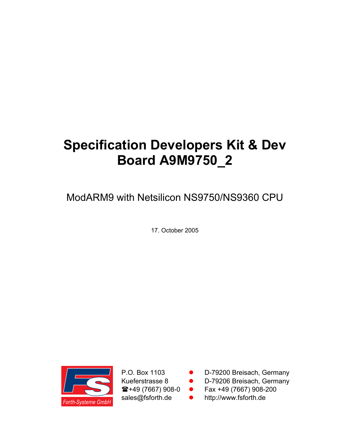# **Specification Developers Kit & Dev Board A9M9750\_2**

ModARM9 with Netsilicon NS9750/NS9360 CPU

17. October 2005



P.O. Box 1103 ● D-79200 Breisach, Germany

Kueferstrasse 8 **· D-79206 Breisach, Germany** 

 $\hat{\mathbf{z}}$ +49 (7667) 908-0 **•** Fax +49 (7667) 908-200

sales@fsforth.de • http://www.fsforth.de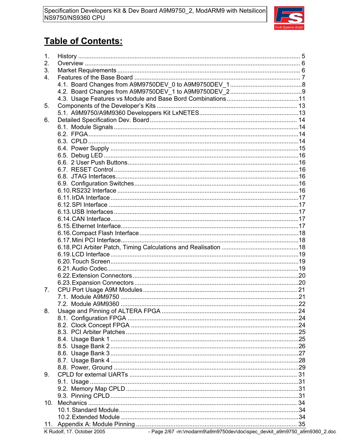

## **Table of Contents:**

| 1. |  |
|----|--|
| 2. |  |
| 3. |  |
| 4. |  |
|    |  |
|    |  |
|    |  |
| 5. |  |
|    |  |
| 6. |  |
|    |  |
|    |  |
|    |  |
|    |  |
|    |  |
|    |  |
|    |  |
|    |  |
|    |  |
|    |  |
|    |  |
|    |  |
|    |  |
|    |  |
|    |  |
|    |  |
|    |  |
|    |  |
|    |  |
|    |  |
|    |  |
|    |  |
|    |  |
| 7. |  |
|    |  |
|    |  |
| 8. |  |
|    |  |
|    |  |
|    |  |
|    |  |
|    |  |
|    |  |
|    |  |
|    |  |
|    |  |
| 9. |  |
|    |  |
|    |  |
|    |  |
|    |  |
|    |  |
|    |  |
|    |  |

- Page 2/67 -m:\modarm9\a9m9750dev\doc\spec\_devkit\_a9m9750\_a9m9360\_2.doc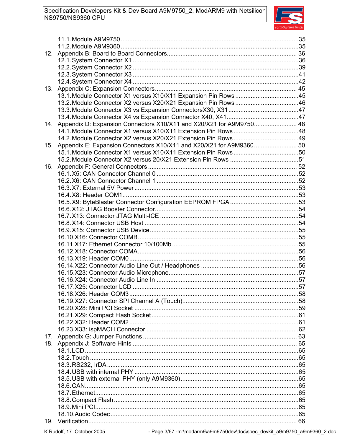

| 12. |                                                                         |  |
|-----|-------------------------------------------------------------------------|--|
|     |                                                                         |  |
|     |                                                                         |  |
|     |                                                                         |  |
|     |                                                                         |  |
| 13. |                                                                         |  |
|     |                                                                         |  |
|     |                                                                         |  |
|     |                                                                         |  |
|     |                                                                         |  |
|     | 14. Appendix D: Expansion Connectors X10/X11 and X20/X21 for A9M9750 48 |  |
|     |                                                                         |  |
| 15. |                                                                         |  |
|     |                                                                         |  |
|     |                                                                         |  |
| 16. |                                                                         |  |
|     |                                                                         |  |
|     |                                                                         |  |
|     |                                                                         |  |
|     |                                                                         |  |
|     |                                                                         |  |
|     |                                                                         |  |
|     |                                                                         |  |
|     |                                                                         |  |
|     |                                                                         |  |
|     |                                                                         |  |
|     |                                                                         |  |
|     |                                                                         |  |
|     |                                                                         |  |
|     |                                                                         |  |
|     |                                                                         |  |
|     |                                                                         |  |
|     |                                                                         |  |
|     |                                                                         |  |
|     |                                                                         |  |
|     |                                                                         |  |
|     |                                                                         |  |
|     |                                                                         |  |
|     |                                                                         |  |
| 17. |                                                                         |  |
|     |                                                                         |  |
|     |                                                                         |  |
|     |                                                                         |  |
|     |                                                                         |  |
|     |                                                                         |  |
|     |                                                                         |  |
|     |                                                                         |  |
|     |                                                                         |  |
|     |                                                                         |  |
|     |                                                                         |  |
| 19. |                                                                         |  |

- Page 3/67 -m:\modarm9\a9m9750dev\doc\spec\_devkit\_a9m9750\_a9m9360\_2.doc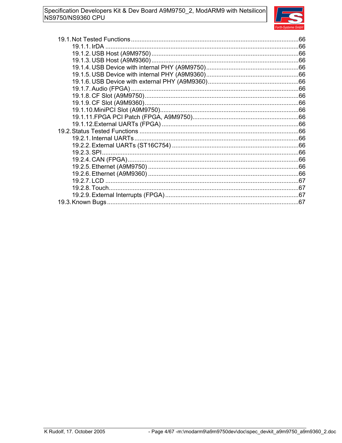

| 19.1.1. IrDA |  |
|--------------|--|
|              |  |
|              |  |
|              |  |
|              |  |
|              |  |
|              |  |
|              |  |
|              |  |
|              |  |
|              |  |
|              |  |
|              |  |
|              |  |
|              |  |
|              |  |
|              |  |
|              |  |
|              |  |
|              |  |
|              |  |
|              |  |
|              |  |
|              |  |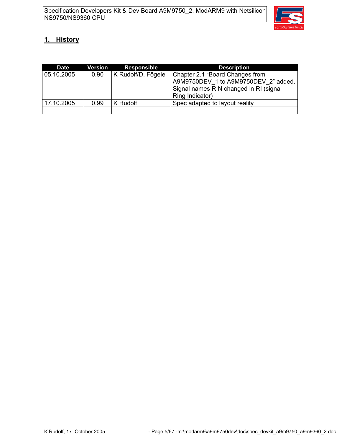

### **1. History**

| <b>Date</b> | Version | <b>Responsible</b> | <b>Description</b>                                                                                                                   |
|-------------|---------|--------------------|--------------------------------------------------------------------------------------------------------------------------------------|
| 05.10.2005  | 0.90    | K Rudolf/D. Fögele | Chapter 2.1 "Board Changes from<br>A9M9750DEV 1 to A9M9750DEV 2" added.<br>Signal names RIN changed in RI (signal<br>Ring Indicator) |
| 17.10.2005  | 0.99    | K Rudolf           | Spec adapted to layout reality                                                                                                       |
|             |         |                    |                                                                                                                                      |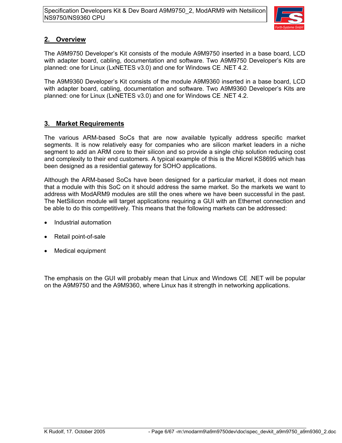

### **2. Overview**

The A9M9750 Developer's Kit consists of the module A9M9750 inserted in a base board, LCD with adapter board, cabling, documentation and software. Two A9M9750 Developer's Kits are planned: one for Linux (LxNETES v3.0) and one for Windows CE .NET 4.2.

The A9M9360 Developer's Kit consists of the module A9M9360 inserted in a base board, LCD with adapter board, cabling, documentation and software. Two A9M9360 Developer's Kits are planned: one for Linux (LxNETES v3.0) and one for Windows CE .NET 4.2.

### **3. Market Requirements**

The various ARM-based SoCs that are now available typically address specific market segments. It is now relatively easy for companies who are silicon market leaders in a niche segment to add an ARM core to their silicon and so provide a single chip solution reducing cost and complexity to their end customers. A typical example of this is the Micrel KS8695 which has been designed as a residential gateway for SOHO applications.

Although the ARM-based SoCs have been designed for a particular market, it does not mean that a module with this SoC on it should address the same market. So the markets we want to address with ModARM9 modules are still the ones where we have been successful in the past. The NetSilicon module will target applications requiring a GUI with an Ethernet connection and be able to do this competitively. This means that the following markets can be addressed:

- Industrial automation
- Retail point-of-sale
- Medical equipment

The emphasis on the GUI will probably mean that Linux and Windows CE .NET will be popular on the A9M9750 and the A9M9360, where Linux has it strength in networking applications.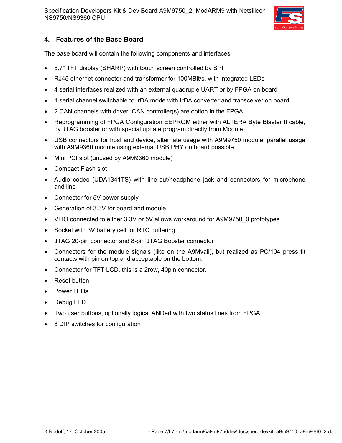

### **4. Features of the Base Board**

The base board will contain the following components and interfaces:

- 5.7" TFT display (SHARP) with touch screen controlled by SPI
- RJ45 ethernet connector and transformer for 100MBit/s, with integrated LEDs
- 4 serial interfaces realized with an external quadruple UART or by FPGA on board
- 1 serial channel switchable to IrDA mode with IrDA converter and transceiver on board
- 2 CAN channels with driver. CAN controller(s) are option in the FPGA
- Reprogramming of FPGA Configuration EEPROM either with ALTERA Byte Blaster II cable, by JTAG booster or with special update program directly from Module
- USB connectors for host and device, alternate usage with A9M9750 module, parallel usage with A9M9360 module using external USB PHY on board possible
- Mini PCI slot (unused by A9M9360 module)
- Compact Flash slot
- Audio codec (UDA1341TS) with line-out/headphone jack and connectors for microphone and line
- Connector for 5V power supply
- Generation of 3.3V for board and module
- VLIO connected to either 3.3V or 5V allows workaround for A9M9750\_0 prototypes
- Socket with 3V battery cell for RTC buffering
- JTAG 20-pin connector and 8-pin JTAG Booster connector
- Connectors for the module signals (like on the A9Mvali), but realized as PC/104 press fit contacts with pin on top and acceptable on the bottom.
- Connector for TFT LCD, this is a 2row, 40pin connector.
- Reset button
- Power LEDs
- Debug LED
- Two user buttons, optionally logical ANDed with two status lines from FPGA
- 8 DIP switches for configuration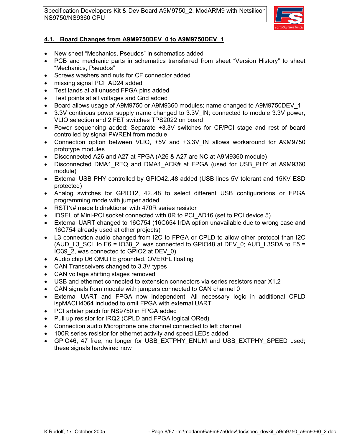

### **4.1. Board Changes from A9M9750DEV\_0 to A9M9750DEV\_1**

- New sheet "Mechanics, Pseudos" in schematics added
- PCB and mechanic parts in schematics transferred from sheet "Version History" to sheet "Mechanics, Pseudos"
- Screws washers and nuts for CF connector added
- missing signal PCI\_AD24 added
- Test lands at all unused FPGA pins added
- Test points at all voltages and Gnd added
- Board allows usage of A9M9750 or A9M9360 modules; name changed to A9M9750DEV\_1
- 3.3V continous power supply name changed to 3.3V\_IN; connected to module 3.3V power, VLIO selection and 2 FET switches TPS2022 on board
- Power sequencing added: Separate +3.3V switches for CF/PCI stage and rest of board controlled by signal PWREN from module
- Connection option between VLIO, +5V and +3.3V IN allows workaround for A9M9750 prototype modules
- Disconnected A26 and A27 at FPGA (A26 & A27 are NC at A9M9360 module)
- Disconnected DMA1\_REQ and DMA1\_ACK# at FPGA (used for USB\_PHY at A9M9360 module)
- External USB PHY controlled by GPIO42..48 added (USB lines 5V tolerant and 15KV ESD protected)
- Analog switches for GPIO12, 42..48 to select different USB configurations or FPGA programming mode with jumper added
- RSTIN# made bidirektional with 470R series resistor
- IDSEL of Mini-PCI socket connected with 0R to PCI\_AD16 (set to PCI device 5)
- External UART changed to 16C754 (16C654 IrDA option unavailable due to wrong case and 16C754 already used at other projects)
- L3 connection audio changed from I2C to FPGA or CPLD to allow other protocol than I2C (AUD\_L3\_SCL to E6 = IO38\_2, was connected to GPIO48 at DEV\_0; AUD\_L3SDA to E5 = IO39\_2, was connected to GPIO2 at DEV\_0)
- Audio chip U6 QMUTE grounded, OVERFL floating
- CAN Transceivers changed to 3.3V types
- CAN voltage shifting stages removed
- USB and ethernet connected to extension connectors via series resistors near X1,2
- CAN signals from module with jumpers connected to CAN channel 0
- External UART and FPGA now independent. All necessary logic in additional CPLD ispMACH4064 included to omit FPGA with external UART
- PCI arbiter patch for NS9750 in FPGA added
- Pull up resistor for IRQ2 (CPLD and FPGA logical ORed)
- Connection audio Microphone one channel connected to left channel
- 100R series resistor for ethernet activity and speed LEDs added
- GPIO46, 47 free, no longer for USB\_EXTPHY\_ENUM and USB\_EXTPHY\_SPEED used; these signals hardwired now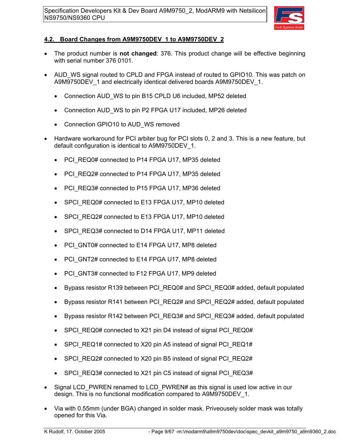

### **4.2. Board Changes from A9M9750DEV\_1 to A9M9750DEV\_2**

- The product number is **not changed**: 376. This product change will be effective beginning with serial number 376 0101.
- AUD WS signal routed to CPLD and FPGA instead of routed to GPIO10. This was patch on A9M9750DEV\_1 and electrically identical delivered boards A9M9750DEV\_1.
	- Connection AUD WS to pin B15 CPLD U6 included, MP52 deleted
	- Connection AUD\_WS to pin P2 FPGA U17 included, MP26 deleted
	- Connection GPIO10 to AUD\_WS removed
- Hardware workaround for PCI arbiter bug for PCI slots 0, 2 and 3. This is a new feature, but default configuration is identical to A9M9750DEV\_1.
	- PCI\_REQ0# connected to P14 FPGA U17, MP35 deleted
	- PCI\_REQ2# connected to P14 FPGA U17, MP35 deleted
	- PCI\_REQ3# connected to P15 FPGA U17, MP36 deleted
	- SPCI\_REQ0# connected to E13 FPGA U17, MP10 deleted
	- SPCI\_REQ2# connected to E13 FPGA U17, MP10 deleted
	- SPCI\_REQ3# connected to D14 FPGA U17, MP11 deleted
	- PCI GNT0# connected to E14 FPGA U17, MP8 deleted
	- PCI GNT2# connected to E14 FPGA U17, MP8 deleted
	- PCI\_GNT3# connected to F12 FPGA U17, MP9 deleted
	- Bypass resistor R139 between PCI\_REQ0# and SPCI\_REQ0# added, default populated
	- Bypass resistor R141 between PCI\_REQ2# and SPCI\_REQ2# added, default populated
	- Bypass resistor R142 between PCI\_REQ3# and SPCI\_REQ3# added, default populated
	- SPCI\_REQ0# connected to X21 pin D4 instead of signal PCI\_REQ0#
	- SPCI\_REQ1# connected to X20 pin A5 instead of signal PCI\_REQ1#
	- SPCI\_REQ2# connected to X20 pin B5 instead of signal PCI\_REQ2#
	- SPCI\_REQ3# connected to X21 pin C5 instead of signal PCI\_REQ3#
- Signal LCD\_PWREN renamed to LCD\_PWREN# as this signal is used low active in our design. This is no functional modification compared to A9M9750DEV\_1.
- Via with 0.55mm (under BGA) changed in solder mask. Priveousely solder mask was totally opened for this Via.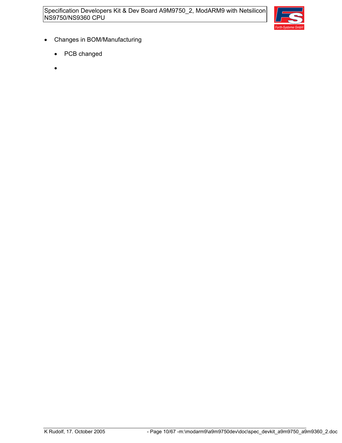

- Changes in BOM/Manufacturing
	- PCB changed
	- •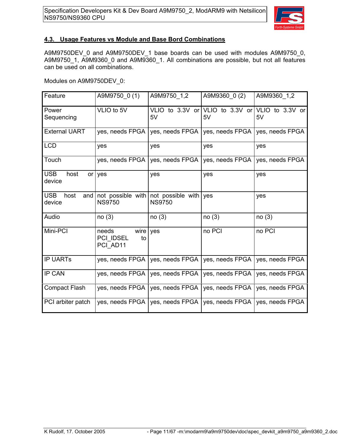

#### **4.3. Usage Features vs Module and Base Bord Combinations**

A9M9750DEV\_0 and A9M9750DEV\_1 base boards can be used with modules A9M9750\_0, A9M9750\_1, A9M9360\_0 and A9M9360\_1. All combinations are possible, but not all features can be used on all combinations.

Modules on A9M9750DEV\_0:

| Feature                             | A9M9750 0(1)                                 | A9M9750 1,2                                       | A9M9360 0 (2)   | A9M9360 1,2                           |
|-------------------------------------|----------------------------------------------|---------------------------------------------------|-----------------|---------------------------------------|
| Power<br>Sequencing                 | VLIO to 5V                                   | VLIO to $3.3V$ or<br>5V                           | 5V              | VLIO to 3.3V or VLIO to 3.3V or<br>5V |
| <b>External UART</b>                | yes, needs FPGA                              | yes, needs FPGA                                   | yes, needs FPGA | yes, needs FPGA                       |
| <b>LCD</b>                          | yes                                          | yes                                               | yes             | yes                                   |
| Touch                               | yes, needs FPGA                              | yes, needs FPGA                                   | yes, needs FPGA | yes, needs FPGA                       |
| <b>USB</b><br>host<br>device        | $or$ yes                                     | yes                                               | yes             | yes                                   |
| <b>USB</b><br>host<br>and<br>device | not possible with<br><b>NS9750</b>           | not possible with $\sqrt{ }$ yes<br><b>NS9750</b> |                 | yes                                   |
| Audio                               | no(3)                                        | no(3)                                             | no(3)           | no(3)                                 |
| Mini-PCI                            | needs<br>wire<br>PCI IDSEL<br>to<br>PCI AD11 | yes                                               | no PCI          | no PCI                                |
| <b>IP UARTS</b>                     | yes, needs FPGA                              | yes, needs FPGA                                   | yes, needs FPGA | yes, needs FPGA                       |
| <b>IP CAN</b>                       | yes, needs FPGA                              | yes, needs FPGA                                   | yes, needs FPGA | yes, needs FPGA                       |
| <b>Compact Flash</b>                | yes, needs FPGA                              | yes, needs FPGA                                   | yes, needs FPGA | yes, needs FPGA                       |
| PCI arbiter patch                   | yes, needs FPGA                              | yes, needs FPGA                                   | yes, needs FPGA | yes, needs FPGA                       |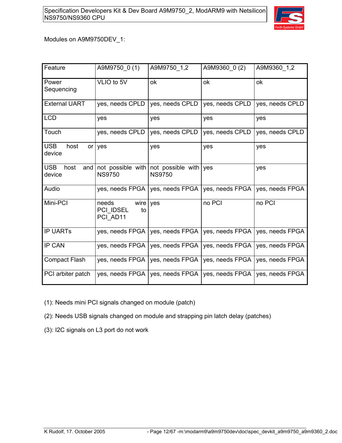

### Modules on A9M9750DEV\_1:

| Feature                             | A9M9750_0(1)                                 | A9M9750_1,2                                          | A9M9360_0(2)    | A9M9360 1,2     |
|-------------------------------------|----------------------------------------------|------------------------------------------------------|-----------------|-----------------|
| Power<br>Sequencing                 | VLIO to 5V                                   | ok                                                   | ok              | ok              |
| <b>External UART</b>                | yes, needs CPLD                              | yes, needs CPLD                                      | yes, needs CPLD | yes, needs CPLD |
| <b>LCD</b>                          | yes                                          | yes                                                  | yes             | yes             |
| Touch                               | yes, needs CPLD                              | yes, needs CPLD                                      | yes, needs CPLD | yes, needs CPLD |
| <b>USB</b><br>host<br>device        | or yes                                       | yes                                                  | yes             | yes             |
| <b>USB</b><br>host<br>and<br>device | <b>NS9750</b>                                | not possible with not possible with<br><b>NS9750</b> | yes             | yes             |
| Audio                               | yes, needs FPGA                              | yes, needs FPGA                                      | yes, needs FPGA | yes, needs FPGA |
| Mini-PCI                            | needs<br>wire<br>PCI IDSEL<br>to<br>PCI AD11 | yes                                                  | no PCI          | no PCI          |
| <b>IP UARTS</b>                     | yes, needs FPGA                              | yes, needs FPGA                                      | yes, needs FPGA | yes, needs FPGA |
| <b>IP CAN</b>                       | yes, needs FPGA                              | yes, needs FPGA                                      | yes, needs FPGA | yes, needs FPGA |
| <b>Compact Flash</b>                | yes, needs FPGA                              | yes, needs FPGA                                      | yes, needs FPGA | yes, needs FPGA |
| PCI arbiter patch                   | yes, needs FPGA                              | yes, needs FPGA                                      | yes, needs FPGA | yes, needs FPGA |

- (1): Needs mini PCI signals changed on module (patch)
- (2): Needs USB signals changed on module and strapping pin latch delay (patches)
- (3): I2C signals on L3 port do not work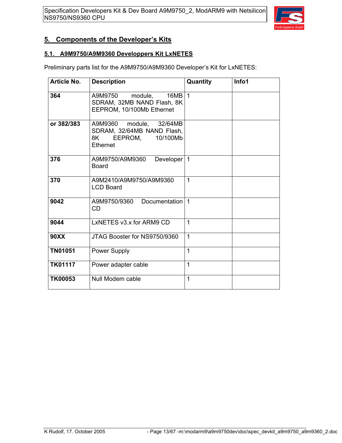

### **5. Components of the Developer's Kits**

#### **5.1. A9M9750/A9M9360 Developpers Kit LxNETES**

Preliminary parts list for the A9M9750/A9M9360 Developer's Kit for LxNETES:

| <b>Article No.</b> | <b>Description</b>                                                                          | Quantity     | Info1 |
|--------------------|---------------------------------------------------------------------------------------------|--------------|-------|
| 364                | module, $16MB \mid 1$<br>A9M9750<br>SDRAM, 32MB NAND Flash, 8K<br>EEPROM, 10/100Mb Ethernet |              |       |
| or 382/383         | A9M9360 module, 32/64MB<br>SDRAM, 32/64MB NAND Flash,<br>8K EEPROM,<br>10/100Mb<br>Ethernet |              |       |
| 376                | Developer<br>A9M9750/A9M9360<br><b>Board</b>                                                | $\mathbf{1}$ |       |
| 370                | A9M2410/A9M9750/A9M9360<br><b>LCD Board</b>                                                 | 1            |       |
| 9042               | A9M9750/9360<br><b>Documentation</b><br>CD.                                                 | $\mathbf{1}$ |       |
| 9044               | LxNETES v3.x for ARM9 CD                                                                    | $\mathbf 1$  |       |
| <b>90XX</b>        | JTAG Booster for NS9750/9360                                                                | 1            |       |
| <b>TN01051</b>     | <b>Power Supply</b>                                                                         | 1            |       |
| <b>TK01117</b>     | Power adapter cable                                                                         | 1            |       |
| <b>TK00053</b>     | Null Modem cable                                                                            | 1            |       |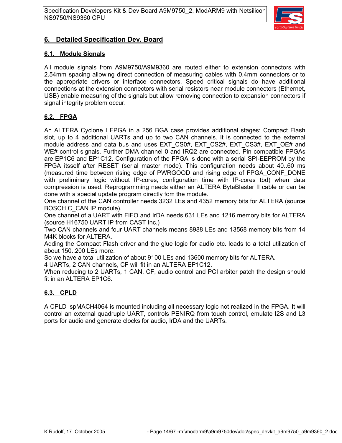

### **6. Detailed Specification Dev. Board**

### **6.1. Module Signals**

All module signals from A9M9750/A9M9360 are routed either to extension connectors with 2.54mm spacing allowing direct connection of measuring cables with 0.4mm connectors or to the appropriate drivers or interface connectors. Speed critical signals do have additional connections at the extension connectors with serial resistors near module connectors (Ethernet, USB) enable measuring of the signals but allow removing connection to expansion connectors if signal integrity problem occur.

### **6.2. FPGA**

An ALTERA Cyclone I FPGA in a 256 BGA case provides additional stages: Compact Flash slot, up to 4 additional UARTs and up to two CAN channels. It is connected to the external module address and data bus and uses EXT\_CS0#, EXT\_CS2#, EXT\_CS3#, EXT\_OE# and WE# control signals. Further DMA channel 0 and IRQ2 are connected. Pin compatible FPGAs are EP1C6 and EP1C12. Configuration of the FPGA is done with a serial SPI-EEPROM by the FPGA itsself after RESET (serial master mode). This configuration needs about 40..60 ms (measured time between rising edge of PWRGOOD and rising edge of FPGA\_CONF\_DONE with preliminary logic without IP-cores, configuration time with IP-cores tbd) when data compression is used. Reprogramming needs either an ALTERA ByteBlaster II cable or can be done with a special update program directly fom the module.

One channel of the CAN controller needs 3232 LEs and 4352 memory bits for ALTERA (source BOSCH C\_CAN IP module).

One channel of a UART with FIFO and IrDA needs 631 LEs and 1216 memory bits for ALTERA (source H16750 UART IP from CAST Inc.)

Two CAN channels and four UART channels means 8988 LEs and 13568 memory bits from 14 M4K blocks for ALTERA.

Adding the Compact Flash driver and the glue logic for audio etc. leads to a total utilization of about 150..200 LEs more.

So we have a total utilization of about 9100 LEs and 13600 memory bits for ALTERA.

4 UARTs, 2 CAN channels, CF will fit in an ALTERA EP1C12.

When reducing to 2 UARTs, 1 CAN, CF, audio control and PCI arbiter patch the design should fit in an ALTERA EP1C6.

### **6.3. CPLD**

A CPLD ispMACH4064 is mounted including all necessary logic not realized in the FPGA. It will control an external quadruple UART, controls PENIRQ from touch control, emulate I2S and L3 ports for audio and generate clocks for audio, IrDA and the UARTs.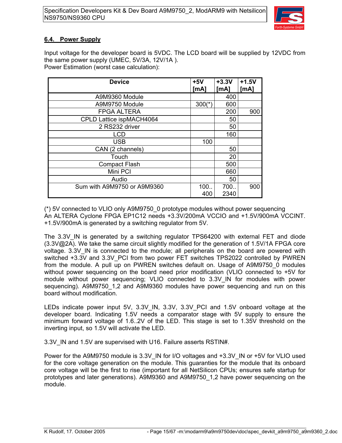

### **6.4. Power Supply**

Input voltage for the developer board is 5VDC. The LCD board will be supplied by 12VDC from the same power supply (UMEC, 5V/3A, 12V/1A ). Power Estimation (worst case calculation):

| <b>Device</b>               | $+5V$       | $+3.3V$     | $+1.5V$ |
|-----------------------------|-------------|-------------|---------|
|                             | [mA]        | [MA]        | [mA]    |
| A9M9360 Module              |             | 400         |         |
| A9M9750 Module              | $300(*)$    | 600         |         |
| <b>FPGA ALTERA</b>          |             | 200         | 900     |
| CPLD Lattice ispMACH4064    |             | 50          |         |
| 2 RS232 driver              |             | 50          |         |
| <b>LCD</b>                  |             | 160         |         |
| <b>USB</b>                  | 100         |             |         |
| CAN (2 channels)            |             | 50          |         |
| Touch                       |             | 20          |         |
| <b>Compact Flash</b>        |             | 500         |         |
| Mini PCI                    |             | 660         |         |
| Audio                       |             | 50          |         |
| Sum with A9M9750 or A9M9360 | 100.<br>400 | 700<br>2340 | 900     |

(\*) 5V connected to VLIO only A9M9750\_0 prototype modules without power sequencing An ALTERA Cyclone FPGA EP1C12 needs +3.3V/200mA VCCIO and +1.5V/900mA VCCINT. +1.5V/900mA is generated by a switching regulator from 5V.

The 3.3V IN is generated by a switching regulator TPS64200 with external FET and diode (3.3V@2A). We take the same circuit slightly modified for the generation of 1.5V/1A FPGA core voltage. 3.3V IN is connected to the module; all peripherals on the board are powered with switched +3.3V and 3.3V PCI from two power FET switches TPS2022 controlled by PWREN from the module. A pull up on PWREN switches default on. Usage of A9M9750\_0 modules without power sequencing on the board need prior modification (VLIO connected to +5V for module without power sequencing; VLIO connected to 3.3V\_IN for modules with power sequencing). A9M9750 1,2 and A9M9360 modules have power sequencing and run on this board without modification.

LEDs indicate power input 5V, 3.3V\_IN, 3.3V, 3.3V\_PCI and 1.5V onboard voltage at the developer board. Indicating 1.5V needs a comparator stage with 5V supply to ensure the minimum forward voltage of 1.6..2V of the LED. This stage is set to 1.35V threshold on the inverting input, so 1.5V will activate the LED.

3.3V\_IN and 1.5V are supervised with U16. Failure asserts RSTIN#.

Power for the A9M9750 module is 3.3V\_IN for I/O voltages and +3.3V\_IN or +5V for VLIO used for the core voltage generation on the module. This guaranties for the module that its onboard core voltage will be the first to rise (important for all NetSilicon CPUs; ensures safe startup for prototypes and later generations). A9M9360 and A9M9750\_1,2 have power sequencing on the module.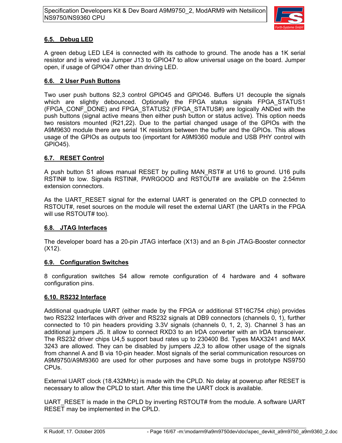

### **6.5. Debug LED**

A green debug LED LE4 is connected with its cathode to ground. The anode has a 1K serial resistor and is wired via Jumper J13 to GPIO47 to allow universal usage on the board. Jumper open, if usage of GPIO47 other than driving LED.

### **6.6. 2 User Push Buttons**

Two user push buttons S2,3 control GPIO45 and GPIO46. Buffers U1 decouple the signals which are slightly debounced. Optionally the FPGA status signals FPGA\_STATUS1 (FPGA\_CONF\_DONE) and FPGA\_STATUS2 (FPGA\_STATUS#) are logically ANDed with the push buttons (signal active means then either push button or status active). This option needs two resistors mounted (R21,22). Due to the partial changed usage of the GPIOs with the A9M9630 module there are serial 1K resistors between the buffer and the GPIOs. This allows usage of the GPIOs as outputs too (important for A9M9360 module and USB PHY control with GPIO45).

### **6.7. RESET Control**

A push button S1 allows manual RESET by pulling MAN\_RST# at U16 to ground. U16 pulls RSTIN# to low. Signals RSTIN#, PWRGOOD and RSTOUT# are available on the 2.54mm extension connectors.

As the UART\_RESET signal for the external UART is generated on the CPLD connected to RSTOUT#, reset sources on the module will reset the external UART (the UARTs in the FPGA will use RSTOUT# too).

### **6.8. JTAG Interfaces**

The developer board has a 20-pin JTAG interface (X13) and an 8-pin JTAG-Booster connector (X12).

### **6.9. Configuration Switches**

8 configuration switches S4 allow remote configuration of 4 hardware and 4 software configuration pins.

### **6.10. RS232 Interface**

Additional quadruple UART (either made by the FPGA or additional ST16C754 chip) provides two RS232 Interfaces with driver and RS232 signals at DB9 connectors (channels 0, 1), further connected to 10 pin headers providing 3.3V signals (channels 0, 1, 2, 3). Channel 3 has an additional jumpers J5. It allow to connect RXD3 to an IrDA converter with an IrDA transceiver. The RS232 driver chips U4,5 support baud rates up to 230400 Bd. Types MAX3241 and MAX 3243 are allowed. They can be disabled by jumpers J2,3 to allow other usage of the signals from channel A and B via 10-pin header. Most signals of the serial communication resources on A9M9750/A9M9360 are used for other purposes and have some bugs in prototype NS9750 CPUs.

External UART clock (18.432MHz) is made with the CPLD. No delay at powerup after RESET is necessary to allow the CPLD to start. After this time the UART clock is available.

UART\_RESET is made in the CPLD by inverting RSTOUT# from the module. A software UART RESET may be implemented in the CPLD.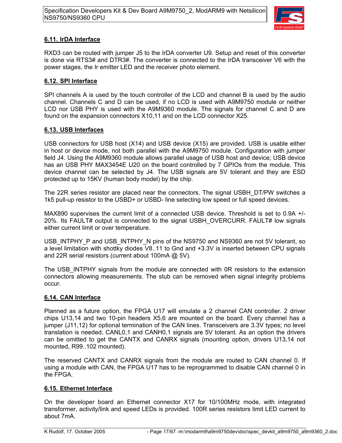

### **6.11. IrDA Interface**

RXD3 can be routed with jumper J5 to the IrDA converter U9. Setup and reset of this converter is done via RTS3# and DTR3#. The converter is connected to the IrDA transceiver V6 with the power stages, the Ir emitter LED and the receiver photo element.

#### **6.12. SPI Interface**

SPI channels A is used by the touch controller of the LCD and channel B is used by the audio channel. Channels C and D can be used, if no LCD is used with A9M9750 module or neither LCD nor USB PHY is used with the A9M9360 module. The signals for channel C and D are found on the expansion connectors X10,11 and on the LCD connector X25.

#### **6.13. USB Interfaces**

USB connectors for USB host (X14) and USB device (X15) are provided. USB is usable either in host or device mode, not both parallel with the A9M9750 module. Configuration with jumper field J4. Using the A9M9360 module allows parallel usage of USB host and device; USB device has an USB PHY MAX3454E U20 on the board controlled by 7 GPIOs from the module. This device channel can be selected by J4. The USB signals are 5V tolerant and they are ESD protected up to 15KV (human body model) by the chip.

The 22R series resistor are placed near the connectors. The signal USBH\_DT/PW switches a 1k5 pull-up resistor to the USBD+ or USBD- line selecting low speed or full speed devices.

MAX890 supervises the current limit of a connected USB device. Threshold is set to 0.9A +/- 20%. Its FAULT# output is connected to the signal USBH\_OVERCURR. FAULT# low signals either current limit or over temperature.

USB INTPHY P and USB INTPHY N pins of the NS9750 and NS9360 are not 5V tolerant, so a level limitation with shottky diodes V8..11 to Gnd and +3.3V is inserted between CPU signals and 22R serial resistors (current about 100mA @ 5V).

The USB INTPHY signals from the module are connected with 0R resistors to the extension connectors allowing measurements. The stub can be removed when signal integrity problems occur.

### **6.14. CAN Interface**

Planned as a future option, the FPGA U17 will emulate a 2 channel CAN controller. 2 driver chips U13,14 and two 10-pin headers X5,6 are mounted on the board. Every channel has a jumper (J11,12) for optional termination of the CAN lines. Transceivers are 3.3V types; no level translation is needed, CANL0,1 and CANH0,1 signals are 5V tolerant. As an option the drivers can be omitted to get the CANTX and CANRX signals (mounting option, drivers U13,14 not mounted, R99..102 mounted).

The reserved CANTX and CANRX signals from the module are routed to CAN channel 0. If using a module with CAN, the FPGA U17 has to be reprogrammed to disable CAN channel 0 in the FPGA.

#### **6.15. Ethernet Interface**

On the developer board an Ethernet connector X17 for 10/100MHz mode, with integrated transformer, activity/link and speed LEDs is provided. 100R series resistors limit LED current to about 7mA.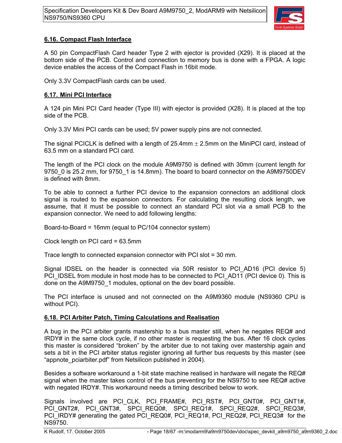

### **6.16. Compact Flash Interface**

A 50 pin CompactFlash Card header Type 2 with ejector is provided (X29). It is placed at the bottom side of the PCB. Control and connection to memory bus is done with a FPGA. A logic device enables the access of the Compact Flash in 16bit mode.

Only 3.3V CompactFlash cards can be used.

### **6.17. Mini PCI Interface**

A 124 pin Mini PCI Card header (Type III) with ejector is provided (X28). It is placed at the top side of the PCB.

Only 3.3V Mini PCI cards can be used; 5V power supply pins are not connected.

The signal PCICLK is defined with a length of 25.4mm  $\pm$  2.5mm on the MiniPCI card, instead of 63.5 mm on a standard PCI card.

The length of the PCI clock on the module A9M9750 is defined with 30mm (current length for 9750 0 is 25.2 mm, for 9750 1 is 14.8mm). The board to board connector on the A9M9750DEV is defined with 8mm.

To be able to connect a further PCI device to the expansion connectors an additional clock signal is routed to the expansion connectors. For calculating the resulting clock length, we assume, that it must be possible to connect an standard PCI slot via a small PCB to the expansion connector. We need to add following lengths:

Board-to-Board = 16mm (equal to PC/104 connector system)

Clock length on PCI card = 63.5mm

Trace length to connected expansion connector with PCI slot = 30 mm.

Signal IDSEL on the header is connected via 50R resistor to PCI\_AD16 (PCI device 5) PCI\_IDSEL from module in host mode has to be connected to PCI\_AD11 (PCI device 0). This is done on the A9M9750\_1 modules, optional on the dev board possible.

The PCI interface is unused and not connected on the A9M9360 module (NS9360 CPU is without PCI).

### **6.18. PCI Arbiter Patch, Timing Calculations and Realisation**

A bug in the PCI arbiter grants mastership to a bus master still, when he negates REQ# and IRDY# in the same clock cycle, if no other master is requesting the bus. After 16 clock cycles this master is considered "broken" by the arbiter due to not taking over mastership again and sets a bit in the PCI arbiter status register ignoring all further bus requests by this master (see "appnote\_pciarbiter.pdf" from Netsilicon published in 2004).

Besides a software workaround a 1-bit state machine realised in hardware will negate the REQ# signal when the master takes control of the bus preventing for the NS9750 to see REQ# active with negated IRDY#. This workaround needs a timing described below to work.

Signals involved are PCI CLK, PCI FRAME#, PCI RST#, PCI GNT0#, PCI GNT1#, PCI GNT2#, PCI GNT3#, SPCI REQ0#, SPCI REQ1#, SPCI REQ2#, SPCI REQ3#, PCI\_IRDY# generating the gated PCI\_REQ0#, PCI\_REQ1#, PCI\_REQ2#, PCI\_REQ3# for the NS9750.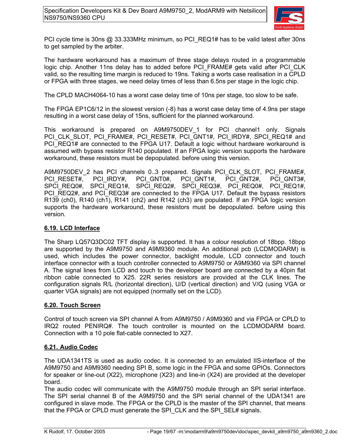

PCI cycle time is 30ns @ 33.333MHz minimum, so PCI\_REQ1# has to be valid latest after 30ns to get sampled by the arbiter.

The hardware workaround has a maximum of three stage delays routed in a programmable logic chip. Another 11ns delay has to added before PCI\_FRAME# gets valid after PCI\_CLK valid, so the resulting time margin is reduced to 19ns. Taking a worts case realisation in a CPLD or FPGA with three stages, we need delay times of less than 6.5ns per stage in the logic chip.

The CPLD MACH4064-10 has a worst case delay time of 10ns per stage, too slow to be safe.

The FPGA EP1C6/12 in the slowest version (-8) has a worst case delay time of 4.9ns per stage resulting in a worst case delay of 15ns, sufficient for the planned workaround.

This workaround is prepared on A9M9750DEV 1 for PCI channel1 only. Signals PCI CLK SLOT, PCI FRAME#, PCI RESET#, PCI GNT1#, PCI IRDY#, SPCI REQ1# and PCI\_REQ1# are connected to the FPGA U17. Default a logic without hardware workaround is assumed with bypass resistor R140 populated. If an FPGA logic version supports the hardware workaround, these resistors must be depopulated. before using this version.

A9M9750DEV\_2 has PCI channels 0..3 prepared. Signals PCI\_CLK\_SLOT, PCI\_FRAME#, PCI\_RESET#, PCI\_IRDY#, PCI\_GNT0#, PCI\_GNT1#, PCI\_GNT2#, PCI\_GNT3#, SPCI\_REQ0#, SPCI\_REQ1#, SPCI\_REQ2#, SPCI\_REQ3#, PCI\_REQ0#, PCI\_REQ1#, PCI\_REQ2#, and PCI\_REQ3# are connected to the FPGA U17. Default the bypass resistors R139 (ch0), R140 (ch1), R141 (ch2) and R142 (ch3) are populated. If an FPGA logic version supports the hardware workaround, these resistors must be depopulated. before using this version.

### **6.19. LCD Interface**

The Sharp LQ57Q3DC02 TFT display is supported. It has a colour resolution of 18bpp. 18bpp are supported by the A9M9750 and A9M9360 module. An additional pcb (LCDMODARM) is used, which includes the power connector, backlight module, LCD connector and touch interface connector with a touch controller connected to A9M9750 or A9M9360 via SPI channel A. The signal lines from LCD and touch to the developer board are connected by a 40pin flat ribbon cable connected to X25. 22R series resistors are provided at the CLK lines. The configuration signals R/L (horizontal direction), U/D (vertical direction) and V/Q (using VGA or quarter VGA signals) are not equipped (normally set on the LCD).

### **6.20. Touch Screen**

Control of touch screen via SPI channel A from A9M9750 / A9M9360 and via FPGA or CPLD to IRQ2 routed PENIRQ#. The touch controller is mounted on the LCDMODARM board. Connection with a 10 pole flat-cable connected to X27.

#### **6.21. Audio Codec**

The UDA1341TS is used as audio codec. It is connected to an emulated IIS-interface of the A9M9750 and A9M9360 needing SPI B, some logic in the FPGA and some GPIOs. Connectors for speaker or line-out (X22), microphone (X23) and line-in (X24) are provided at the developer board.

The audio codec will communicate with the A9M9750 module through an SPI serial interface. The SPI serial channel B of the A9M9750 and the SPI serial channel of the UDA1341 are configured in slave mode. The FPGA or the CPLD is the master of the SPI channel, that means that the FPGA or CPLD must generate the SPI\_CLK and the SPI\_SEL# signals.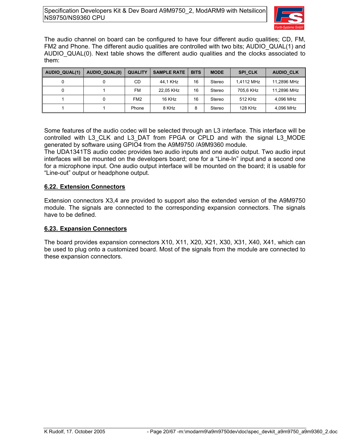

The audio channel on board can be configured to have four different audio qualities; CD, FM, FM2 and Phone. The different audio qualities are controlled with two bits; AUDIO QUAL(1) and AUDIO\_QUAL(0). Next table shows the different audio qualities and the clocks associated to them:

| AUDIO QUAL(1) | <b>AUDIO QUAL(0)</b> | <b>QUALITY</b>  | <b>SAMPLE RATE</b> | <b>BITS</b> | <b>MODE</b> | <b>SPI CLK</b> | <b>AUDIO CLK</b> |
|---------------|----------------------|-----------------|--------------------|-------------|-------------|----------------|------------------|
|               |                      | СD              | 44.1 KHz           | 16          | Stereo      | 1.4112 MHz     | 11.2896 MHz      |
|               |                      | FM              | 22.05 KHz          | 16          | Stereo      | 705.6 KHz      | 11,2896 MHz      |
|               |                      | FM <sub>2</sub> | 16 KHz             | 16          | Stereo      | 512 KHz        | 4.096 MHz        |
|               |                      | Phone           | 8 KHz              | 8           | Stereo      | 128 KHz        | 4,096 MHz        |

Some features of the audio codec will be selected through an L3 interface. This interface will be controlled with L3\_CLK and L3\_DAT from FPGA or CPLD and with the signal L3\_MODE generated by software using GPIO4 from the A9M9750 /A9M9360 module.

The UDA1341TS audio codec provides two audio inputs and one audio output. Two audio input interfaces will be mounted on the developers board; one for a "Line-In" input and a second one for a microphone input. One audio output interface will be mounted on the board; it is usable for "Line-out" output or headphone output.

### **6.22. Extension Connectors**

Extension connectors X3,4 are provided to support also the extended version of the A9M9750 module. The signals are connected to the corresponding expansion connectors. The signals have to be defined.

### **6.23. Expansion Connectors**

The board provides expansion connectors X10, X11, X20, X21, X30, X31, X40, X41, which can be used to plug onto a customized board. Most of the signals from the module are connected to these expansion connectors.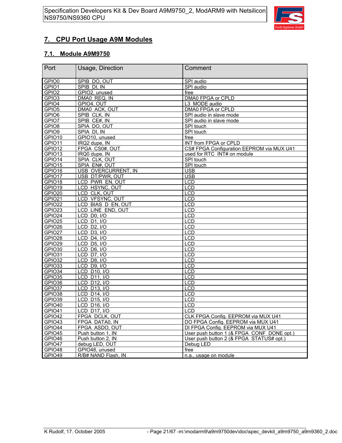

### **7. CPU Port Usage A9M Modules**

### **7.1. Module A9M9750**

| Port               | Usage, Direction                             | Comment                                    |
|--------------------|----------------------------------------------|--------------------------------------------|
| GPIO0              | SPIB DO, OUT                                 | SPI audio                                  |
| GPIO1              | SPIB DI, IN                                  | SPI audio                                  |
| GPIO <sub>2</sub>  | GPIO2, unused                                | free                                       |
| GPIO <sub>3</sub>  | DMA0 REQ, IN                                 | DMA0 FPGA or CPLD                          |
| GPIO4              | GPIO4, OUT                                   | L3 MODE audio                              |
| GPIO <sub>5</sub>  | DMA0 ACK, OUT                                | DMA0 FPGA or CPLD                          |
| GPIO6              | SPIB CLK, IN                                 | SPI audio in slave mode                    |
| GPIO7              | SPIB CE#, IN                                 | SPI audio in slave mode                    |
| GPIO <sub>8</sub>  | SPIA DO, OUT                                 | SPI touch                                  |
| GPIO9              | SPIA DI, IN                                  | SPI touch                                  |
| GPIO10             | GPIO10, unused                               | free                                       |
| GPIO11             | IRQ2 dupe, IN                                | INT from FPGA or CPLD                      |
| GPIO12             | FPGA CS0#, OUT                               | CS# FPGA Configuration EEPROM via MUX U41  |
| GPIO13             | IRQ0 dupe, IN                                | used for RTC INT# on module                |
| GPIO14             | SPIA CLK, OUT                                | SPI touch                                  |
| GPIO15             | SPIA EN#, OUT                                | SPI touch                                  |
| GPIO16             | USB OVERCURRENT, IN                          | <b>USB</b>                                 |
| GPIO17             | USB DT/PWR, OUT                              | <b>USB</b>                                 |
| GPIO18             | LCD PWR EN, OUT                              | <b>LCD</b>                                 |
| GPIO19             | LCD HSYNC, OUT                               | LCD                                        |
| GPIO <sub>20</sub> | LCD CLK, OUT                                 | <b>LCD</b>                                 |
| GPIO21             | LCD VFSYNC, OUT                              | <b>LCD</b>                                 |
| GPIO22             | LCD BIAS D EN, OUT                           | <b>LCD</b>                                 |
| GPIO23             | LCD LINE END, OUT                            | <b>LCD</b>                                 |
| GPIO24             | $\overline{\text{LCD}}$ D <sub>0</sub> , I/O | <b>LCD</b>                                 |
| GPIO25             | <b>LCD D1, I/O</b>                           | LCD                                        |
| GPIO26             | <b>LCD D2, I/O</b>                           | $\overline{LCD}$                           |
| GPIO27             | LCD D3, I/O                                  | <b>LCD</b>                                 |
| GPIO28             | LCD D4, I/O                                  | LCD                                        |
| GPIO29             | <b>LCD D5, I/O</b>                           | LCD                                        |
| GPIO30             | <b>LCD D6, I/O</b>                           | <b>LCD</b>                                 |
| GPIO31             | LCD D7, I/O                                  | <b>LCD</b>                                 |
| GPIO32             | LCD D8, I/O                                  | LCD                                        |
| GPIO33             | LCD D9, I/O                                  | <b>LCD</b>                                 |
| GPIO34             | <b>LCD D10, I/O</b>                          | LCD                                        |
| GPIO35             | LCD D11, I/O                                 | <b>LCD</b>                                 |
| GPIO36             | LCD D12, I/O                                 | <b>LCD</b>                                 |
| GPIO37             | LCD D13, I/O                                 | <b>LCD</b>                                 |
| GPIO38             | <b>LCD D14, I/O</b>                          | $\overline{LCD}$                           |
| GPIO39             | LCD D15, I/O                                 | <b>LCD</b>                                 |
| GPIO40             | LCD D16, I/O                                 | <b>LCD</b>                                 |
| GPIO41             | <b>LCD D17, I/O</b>                          | <b>LCD</b>                                 |
| GPIO42             | FPGA DCLK, OUT                               | CLK FPGA Config. EEPROM via MUX U41        |
| GPIO43             | FPGA DATA0. IN                               | DO FPGA Config. EEPROM via MUX U41         |
| GPIO44             | FPGA ASDO, OUT                               | DI FPGA Config. EEPROM via MUX U41         |
| GPIO45             | Push button 1, IN                            | User push button 1 (& FPGA CONF DONE opt.) |
| GPIO46             | Push button 2, IN                            | User push button 2 (& FPGA STATUS# opt.)   |
| GPIO47             | debug LED, OUT                               | Debug LED                                  |
| GPIO48             | GPIO48, unused                               | free                                       |
| GPIO49             | R/B# NAND Flash, IN                          | n.a., usage on module                      |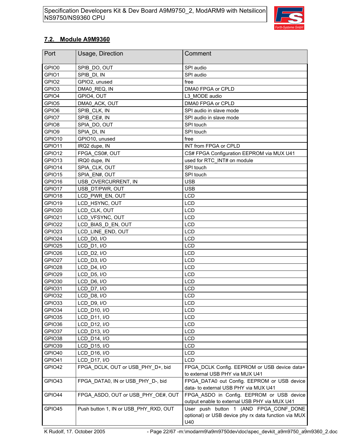

### **7.2. Module A9M9360**

| Port              | Usage, Direction                      | Comment                                                                                               |
|-------------------|---------------------------------------|-------------------------------------------------------------------------------------------------------|
| GPIO0             | SPIB DO, OUT                          | SPI audio                                                                                             |
| GPIO1             | SPIB DI, IN                           | SPI audio                                                                                             |
| GPIO <sub>2</sub> | GPIO2, unused                         | free                                                                                                  |
| GPIO <sub>3</sub> | DMA0 REQ, IN                          | DMA0 FPGA or CPLD                                                                                     |
| GPIO4             | GPIO4, OUT                            | L3 MODE audio                                                                                         |
| GPIO <sub>5</sub> | DMA0_ACK, OUT                         | DMA0 FPGA or CPLD                                                                                     |
| GPIO6             | SPIB CLK, IN                          | SPI audio in slave mode                                                                               |
| GPIO7             | SPIB CE#, IN                          | SPI audio in slave mode                                                                               |
| GPIO8             | SPIA DO, OUT                          | SPI touch                                                                                             |
| GPIO9             | SPIA DI, IN                           | SPI touch                                                                                             |
| GPIO10            | GPIO10, unused                        | free                                                                                                  |
| GPIO11            | IRQ2 dupe, IN                         | INT from FPGA or CPLD                                                                                 |
| GPIO12            | FPGA CS0#, OUT                        | CS# FPGA Configuration EEPROM via MUX U41                                                             |
| GPIO13            | IRQ0 dupe, IN                         | used for RTC INT# on module                                                                           |
| GPIO14            | SPIA CLK, OUT                         | SPI touch                                                                                             |
| GPIO15            | SPIA EN#, OUT                         | SPI touch                                                                                             |
| GPIO16            | USB OVERCURRENT, IN                   | <b>USB</b>                                                                                            |
| GPIO17            | USB DT/PWR, OUT                       | <b>USB</b>                                                                                            |
| GPIO18            | LCD PWR EN, OUT                       | <b>LCD</b>                                                                                            |
| GPIO19            | LCD HSYNC, OUT                        | <b>LCD</b>                                                                                            |
| GPIO20            | LCD CLK, OUT                          | <b>LCD</b>                                                                                            |
| GPIO21            | LCD_VFSYNC, OUT                       | <b>LCD</b>                                                                                            |
| GPIO22            | LCD BIAS D EN, OUT                    | <b>LCD</b>                                                                                            |
| GPIO23            | LCD_LINE_END, OUT                     | <b>LCD</b>                                                                                            |
| GPIO24            | LCD D0, I/O                           | <b>LCD</b>                                                                                            |
| GPIO25            | LCD D1, I/O                           | <b>LCD</b>                                                                                            |
| GPIO26            | LCD_D2, I/O                           | <b>LCD</b>                                                                                            |
| GPIO27            | LCD_D3, I/O                           | <b>LCD</b>                                                                                            |
| GPIO28            | LCD D4, I/O                           | <b>LCD</b>                                                                                            |
| GPIO29            | LCD D5, I/O                           | <b>LCD</b>                                                                                            |
| GPIO30            | LCD D6, I/O                           | <b>LCD</b>                                                                                            |
| GPIO31            | LCD D7, I/O                           | <b>LCD</b>                                                                                            |
| GPIO32            | LCD D8, I/O                           | <b>LCD</b>                                                                                            |
| GPIO33            | LCD D9, I/O                           | <b>LCD</b>                                                                                            |
| GPIO34            | LCD D10, I/O                          | LCD                                                                                                   |
| GPIO35            | LCD_D11, I/O                          | <b>LCD</b>                                                                                            |
| GPIO36            | LCD D12, I/O                          | <b>LCD</b>                                                                                            |
| GPIO37            | LCD_D13, I/O                          | LCD                                                                                                   |
| GPIO38            | LCD D14, I/O                          | LCD                                                                                                   |
| GPIO39            | LCD D15, I/O                          | <b>LCD</b>                                                                                            |
| GPIO40            | LCD D16, I/O                          | <b>LCD</b>                                                                                            |
| GPIO41            | <b>LCD D17, I/O</b>                   | <b>LCD</b>                                                                                            |
| GPIO42            | FPGA DCLK, OUT or USB PHY D+, bid     | FPGA DCLK Config. EEPROM or USB device data+<br>to external USB PHY via MUX U41                       |
| GPIO43            | FPGA DATA0, IN or USB PHY D-, bid     | FPGA DATA0 out Config. EEPROM or USB device<br>data- to external USB PHY via MUX U41                  |
| GPIO44            | FPGA ASDO, OUT or USB PHY OE#, OUT    | FPGA ASDO in Config. EEPROM or USB device<br>output enable to external USB PHY via MUX U41            |
| GPIO45            | Push button 1, IN or USB PHY RXD, OUT | User push button 1 (AND FPGA CONF DONE<br>optional) or USB device phy rx data function via MUX<br>U40 |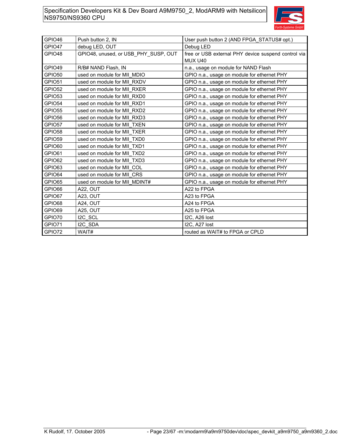

| GPIO46 | Push button 2, IN                    | User push button 2 (AND FPGA STATUS# opt.)          |
|--------|--------------------------------------|-----------------------------------------------------|
| GPIO47 | debug LED, OUT                       | Debug LED                                           |
| GPIO48 | GPIO48, unused, or USB PHY SUSP, OUT | free or USB external PHY device suspend control via |
|        |                                      | MUX U40                                             |
| GPIO49 | R/B# NAND Flash, IN                  | n.a., usage on module for NAND Flash                |
| GPIO50 | used on module for MII MDIO          | GPIO n.a., usage on module for ethernet PHY         |
| GPIO51 | used on module for MII RXDV          | GPIO n.a., usage on module for ethernet PHY         |
| GPIO52 | used on module for MII RXER          | GPIO n.a., usage on module for ethernet PHY         |
| GPIO53 | used on module for MII RXD0          | GPIO n.a., usage on module for ethernet PHY         |
| GPIO54 | used on module for MII RXD1          | GPIO n.a., usage on module for ethernet PHY         |
| GPIO55 | used on module for MII RXD2          | GPIO n.a., usage on module for ethernet PHY         |
| GPIO56 | used on module for MII RXD3          | GPIO n.a., usage on module for ethernet PHY         |
| GPIO57 | used on module for MII TXEN          | GPIO n.a., usage on module for ethernet PHY         |
| GPIO58 | used on module for MII TXER          | GPIO n.a., usage on module for ethernet PHY         |
| GPIO59 | used on module for MII TXD0          | GPIO n.a., usage on module for ethernet PHY         |
| GPIO60 | used on module for MII TXD1          | GPIO n.a., usage on module for ethernet PHY         |
| GPIO61 | used on module for MII TXD2          | GPIO n.a., usage on module for ethernet PHY         |
| GPIO62 | used on module for MII TXD3          | GPIO n.a., usage on module for ethernet PHY         |
| GPIO63 | used on module for MII COL           | GPIO n.a., usage on module for ethernet PHY         |
| GPIO64 | used on module for MII CRS           | GPIO n.a., usage on module for ethernet PHY         |
| GPIO65 | used on module for MII_MDINT#        | GPIO n.a., usage on module for ethernet PHY         |
| GPIO66 | A22, OUT                             | A22 to FPGA                                         |
| GPIO67 | A23, OUT                             | A23 to FPGA                                         |
| GPIO68 | A24, OUT                             | A24 to FPGA                                         |
| GPIO69 | A25, OUT                             | A25 to FPGA                                         |
| GPIO70 | I2C SCL                              | I2C, A26 lost                                       |
| GPIO71 | I2C SDA                              | I2C, A27 lost                                       |
| GPIO72 | WAIT#                                | routed as WAIT# to FPGA or CPLD                     |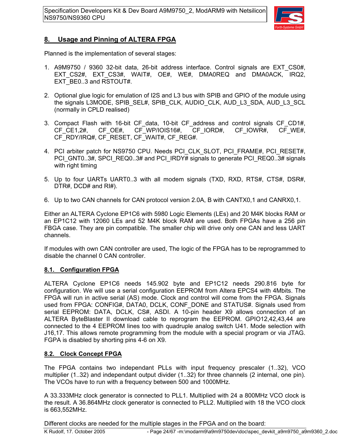

### **8. Usage and Pinning of ALTERA FPGA**

Planned is the implementation of several stages:

- 1. A9M9750 / 9360 32-bit data, 26-bit address interface. Control signals are EXT\_CS0#, EXT CS2#, EXT CS3#, WAIT#, OE#, WE#, DMA0REQ and DMA0ACK, IRQ2, EXT\_BE0..3 and RSTOUT#.
- 2. Optional glue logic for emulation of I2S and L3 bus with SPIB and GPIO of the module using the signals L3MODE, SPIB\_SEL#, SPIB\_CLK, AUDIO\_CLK, AUD\_L3\_SDA, AUD\_L3\_SCL (normally in CPLD realised)
- 3. Compact Flash with 16-bit CF\_data, 10-bit CF\_address and control signals CF\_CD1#, CF\_CE1,2#, CF\_OE#, CF\_WP/IOIS16#, CF\_IORD#, CF\_IOWR#, CF\_WE#, CF\_RDY/IRQ#, CF\_RESET, CF\_WAIT#, CF\_REG#.
- 4. PCI arbiter patch for NS9750 CPU. Needs PCI CLK SLOT, PCI FRAME#, PCI RESET#, PCI\_GNT0..3#, SPCI\_REQ0..3# and PCI\_IRDY# signals to generate PCI\_REQ0..3# signals with right timing
- 5. Up to four UARTs UART0..3 with all modem signals (TXD, RXD, RTS#, CTS#, DSR#, DTR#, DCD# and RI#).
- 6. Up to two CAN channels for CAN protocol version 2.0A, B with CANTX0,1 and CANRX0,1.

Either an ALTERA Cyclone EP1C6 with 5980 Logic Elements (LEs) and 20 M4K blocks RAM or an EP1C12 with 12060 LEs and 52 M4K block RAM are used. Both FPGAs have a 256 pin FBGA case. They are pin compatible. The smaller chip will drive only one CAN and less UART channels.

If modules with own CAN controller are used, The logic of the FPGA has to be reprogrammed to disable the channel 0 CAN controller.

### **8.1. Configuration FPGA**

ALTERA Cyclone EP1C6 needs 145.902 byte and EP1C12 needs 290.816 byte for configuration. We will use a serial configuration EEPROM from Altera EPCS4 with 4Mbits. The FPGA will run in active serial (AS) mode. Clock and control will come from the FPGA. Signals used from FPGA: CONFIG#, DATA0, DCLK, CONF\_DONE and STATUS#. Signals used from serial EEPROM: DATA, DCLK, CS#, ASDI. A 10-pin header X9 allows connection of an ALTERA ByteBlaster II download cable to reprogram the EEPROM. GPIO12,42,43,44 are connected to the 4 EEPROM lines too with quadruple analog switch U41. Mode selection with J16,17. This allows remote programming from the module with a special program or via JTAG. FGPA is disabled by shorting pins 4-6 on X9.

### **8.2. Clock Concept FPGA**

The FPGA contains two independant PLLs with input frequency prescaler (1..32), VCO multiplier (1..32) and independant output divider (1..32) for three channels (2 internal, one pin). The VCOs have to run with a frequency between 500 and 1000MHz.

A 33.333MHz clock generator is connected to PLL1. Multiplied with 24 a 800MHz VCO clock is the result. A 36.864MHz clock generator is connected to PLL2. Multiplied with 18 the VCO clock is 663,552MHz.

Different clocks are needed for the multiple stages in the FPGA and on the board: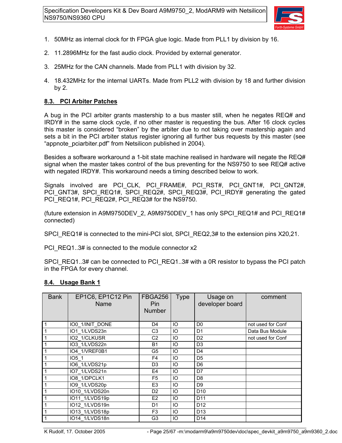

- 1. 50MHz as internal clock for th FPGA glue logic. Made from PLL1 by division by 16.
- 2. 11.2896MHz for the fast audio clock. Provided by external generator.
- 3. 25MHz for the CAN channels. Made from PLL1 with division by 32.
- 4. 18.432MHz for the internal UARTs. Made from PLL2 with division by 18 and further division by 2.

#### **8.3. PCI Arbiter Patches**

A bug in the PCI arbiter grants mastership to a bus master still, when he negates REQ# and IRDY# in the same clock cycle, if no other master is requesting the bus. After 16 clock cycles this master is considered "broken" by the arbiter due to not taking over mastership again and sets a bit in the PCI arbiter status register ignoring all further bus requests by this master (see "appnote\_pciarbiter.pdf" from Netsilicon published in 2004).

Besides a software workaround a 1-bit state machine realised in hardware will negate the REQ# signal when the master takes control of the bus preventing for the NS9750 to see REQ# active with negated IRDY#. This workaround needs a timing described below to work.

Signals involved are PCI CLK, PCI FRAME#, PCI RST#, PCI GNT1#, PCI GNT2#, PCI GNT3#, SPCI REQ1#, SPCI REQ2#, SPCI REQ3#, PCI IRDY# generating the gated PCI\_REQ1#, PCI\_REQ2#, PCI\_REQ3# for the NS9750.

(future extension in A9M9750DEV\_2, A9M9750DEV\_1 has only SPCI\_REQ1# and PCI\_REQ1# connected)

SPCI\_REQ1# is connected to the mini-PCI slot, SPCI\_REQ2,3# to the extension pins X20,21.

PCI\_REQ1..3# is connected to the module connector x2

SPCI\_REQ1..3# can be connected to PCI\_REQ1..3# with a 0R resistor to bypass the PCI patch in the FPGA for every channel.

#### **8.4. Usage Bank 1**

| <b>Bank</b>    | EP1C6, EP1C12 Pin<br>Name | <b>FBGA256</b><br>Pin<br><b>Number</b> | <b>Type</b> | Usage on<br>developer board | comment           |
|----------------|---------------------------|----------------------------------------|-------------|-----------------------------|-------------------|
|                | IO0_1/INIT_DONE           | D <sub>4</sub>                         | IO          | D <sub>0</sub>              | not used for Conf |
| $\overline{1}$ | IO1 1/LVDS23n             | C3                                     | IO          | D <sub>1</sub>              | Data Bus Module   |
| $\overline{1}$ | IO2 1/CLKUSR              | C <sub>2</sub>                         | IO          | D <sub>2</sub>              | not used for Conf |
| $\overline{1}$ | IO3 1/LVDS22n             | <b>B1</b>                              | IO          | D <sub>3</sub>              |                   |
| $\overline{1}$ | IO4 1/VREF0B1             | G <sub>5</sub>                         | IO          | D <sub>4</sub>              |                   |
| $\overline{1}$ | IO5 1                     | F4                                     | IO          | D <sub>5</sub>              |                   |
| $\overline{1}$ | IO6 1/LVDS21p             | D <sub>3</sub>                         | IO          | D <sub>6</sub>              |                   |
| $\overline{1}$ | IO7 1/LVDS21n             | E4                                     | IO          | D7                          |                   |
| $\overline{1}$ | IO8 1/DPCLK1              | F <sub>5</sub>                         | IO          | D <sub>8</sub>              |                   |
| $\overline{1}$ | IO9 1/LVDS20p             | E <sub>3</sub>                         | IO          | D <sub>9</sub>              |                   |
| $\overline{1}$ | IO10 1/LVDS20n            | D <sub>2</sub>                         | IO          | D <sub>10</sub>             |                   |
| $\overline{1}$ | IO11 1/LVDS19p            | E <sub>2</sub>                         | IO          | D <sub>11</sub>             |                   |
| $\overline{1}$ | IO12 1/LVDS19n            | D <sub>1</sub>                         | IO          | D <sub>12</sub>             |                   |
| $\overline{1}$ | IO13 1/LVDS18p            | F <sub>3</sub>                         | IO          | D <sub>13</sub>             |                   |
| $\overline{1}$ | IO14 1/LVDS18n            | G <sub>3</sub>                         | IO          | D <sub>14</sub>             |                   |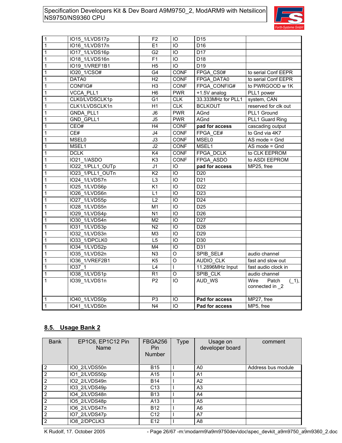

| $\mathbf{1}$   | IO15_1/LVDS17p   | F <sub>2</sub>  | IO              | D <sub>15</sub>       |                                             |
|----------------|------------------|-----------------|-----------------|-----------------------|---------------------------------------------|
| $\overline{1}$ | IO16 1/LVDS17n   | E1              | IO              | D <sub>16</sub>       |                                             |
| $\overline{1}$ | IO17 1/LVDS16p   | G <sub>2</sub>  | IO              | D17                   |                                             |
| $\overline{1}$ | IO18 1/LVDS16n   | F <sub>1</sub>  | IO              | D <sub>18</sub>       |                                             |
| $\overline{1}$ | IO19 1/VREF1B1   | H <sub>5</sub>  | IO              | D19                   |                                             |
| $\overline{1}$ | IO20 1/CSO#      | G4              | CONF            | FPGA CS0#             | to serial Conf EEPR                         |
| $\overline{1}$ | DATA0            | H2              | <b>CONF</b>     | FPGA DATA0            | to serial Conf EEPR                         |
| $\mathbf{1}$   | CONFIG#          | H <sub>3</sub>  | CONF            | FPGA CONFIG#          | to PWRGOOD w 1K                             |
| $\overline{1}$ | <b>VCCA PLL1</b> | H <sub>6</sub>  | <b>PWR</b>      | +1.5V analog          | PLL1 power                                  |
| $\overline{1}$ | CLK0/LVDSCLK1p   | G <sub>1</sub>  | <b>CLK</b>      | 33.333MHz for PLL1    | system, CAN                                 |
| $\overline{1}$ | CLK1/LVDSCLK1n   | H1              | CLK             | <b>BCLKOUT</b>        | reserved for clk out                        |
| $\mathbf 1$    | <b>GNDA PLL1</b> | J6              | <b>PWR</b>      | AGnd                  | PLL1 Ground                                 |
| $\overline{1}$ | GND GPLL1        | $\overline{J5}$ | <b>PWR</b>      | AGnd                  | PLL1 Guard Ring                             |
| $\overline{1}$ | CEO#             | H4              | <b>CONF</b>     | pad for access        | cascading output                            |
| $\overline{1}$ | CE#              | J4              | <b>CONF</b>     | FPGA CE#              | to Gnd via 4K7                              |
| $\overline{1}$ | <b>MSEL0</b>     | J3              | CONF            | <b>MSEL0</b>          | $AS$ mode = $Gnd$                           |
| $\overline{1}$ | MSEL1            | J2              | <b>CONF</b>     | MSEL1                 | $AS$ mode = $Gnd$                           |
| $\overline{1}$ | <b>DCLK</b>      | K4              | CONF            | FPGA DCLK             | to CLK EEPROM                               |
| $\overline{1}$ | IO21 1/ASDO      | K <sub>3</sub>  | <b>CONF</b>     | FPGA ASDO             | to ASDI EEPROM                              |
| $\overline{1}$ | IO22 1/PLL1 OUTp | J <sub>1</sub>  | IO              | pad for access        | MP25, free                                  |
| $\overline{1}$ | IO23 1/PLL1 OUTn | K <sub>2</sub>  | IO              | D <sub>20</sub>       |                                             |
| $\overline{1}$ | IO24 1/LVDS7n    | L <sub>3</sub>  | IO              | D <sub>21</sub>       |                                             |
| $\mathbf 1$    | IO25 1/LVDS6p    | K <sub>1</sub>  | IO              | D <sub>22</sub>       |                                             |
| $\overline{1}$ | IO26 1/LVDS6n    | L1              | IO              | D <sub>23</sub>       |                                             |
| $\overline{1}$ | IO27 1/LVDS5p    | $\overline{L2}$ | IO              | D <sub>24</sub>       |                                             |
| $\mathbf 1$    | IO28 1/LVDS5n    | M <sub>1</sub>  | IO              | D <sub>25</sub>       |                                             |
| $\overline{1}$ | IO29_1/LVDS4p    | N <sub>1</sub>  | IO              | D <sub>26</sub>       |                                             |
| $\mathbf{1}$   | IO30 1/LVDS4n    | M <sub>2</sub>  | IO              | D <sub>27</sub>       |                                             |
| $\mathbf 1$    | IO31 1/LVDS3p    | N <sub>2</sub>  | IO              | D <sub>28</sub>       |                                             |
| $\mathbf 1$    | IO32 1/LVDS3n    | M <sub>3</sub>  | IO              | D <sub>29</sub>       |                                             |
| $\overline{1}$ | IO33 1/DPCLK0    | L5              | IO              | D30                   |                                             |
| $\overline{1}$ | IO34 1/LVDS2p    | M4              | IO              | D31                   |                                             |
| $\overline{1}$ | IO35 1/LVDS2n    | N3              | $\overline{O}$  | SPIB SEL#             | audio channel                               |
| $\mathbf 1$    | IO36 1/VREF2B1   | K <sub>5</sub>  | O               | AUDIO CLK             | fast and slow out                           |
| $\overline{1}$ | IO37 1           | L4              | L               | 11.2896MHz Input      | fast audio clock in                         |
| $\overline{1}$ | IO38 1/LVDS1p    | R <sub>1</sub>  | $\overline{O}$  | SPIB CLK              | audio channel                               |
| $\mathbf{1}$   | IO39 1/LVDS1n    | P <sub>2</sub>  | IO              | AUD_WS                | Wire<br>Patch<br>$(1)$ ,<br>connected in _2 |
| $\overline{1}$ | IO40 1/LVDS0p    | P <sub>3</sub>  | IO              | Pad for access        | MP27, free                                  |
| $\overline{1}$ | IO41 1/LVDS0n    | N <sub>4</sub>  | $\overline{10}$ | <b>Pad for access</b> | MP5, free                                   |

### **8.5. Usage Bank 2**

| <b>Bank</b>    | EP1C6, EP1C12 Pin<br>Name | <b>FBGA256</b><br><b>Pin</b><br><b>Number</b> | Type | Usage on<br>developer board | comment            |
|----------------|---------------------------|-----------------------------------------------|------|-----------------------------|--------------------|
| 2              | IO0 2/LVDS50n             | <b>B15</b>                                    |      | A0                          | Address bus module |
| $\overline{2}$ | IO1 2/LVDS50p             | A15                                           |      | A <sub>1</sub>              |                    |
| 2              | IO2 2/LVDS49n             | <b>B14</b>                                    |      | A2                          |                    |
| $\overline{2}$ | IO3 2/LVDS49p             | C <sub>13</sub>                               |      | A <sub>3</sub>              |                    |
| $\overline{2}$ | IO4 2/LVDS48n             | <b>B13</b>                                    |      | A4                          |                    |
| $\overline{2}$ | IO5 2/LVDS48p             | A <sub>13</sub>                               |      | A <sub>5</sub>              |                    |
| $\overline{2}$ | IO6 2/LVDS47n             | <b>B12</b>                                    |      | A6                          |                    |
| $\overline{2}$ | IO7 2/LVDS47p             | C <sub>12</sub>                               |      | A7                          |                    |
| $\overline{2}$ | IO8 2/DPCLK3              | E <sub>12</sub>                               |      | A <sub>8</sub>              |                    |

K Rudolf, 17. October 2005 - Page 26/67 -m:\modarm9\a9m9750dev\doc\spec\_devkit\_a9m9750\_a9m9360\_2.doc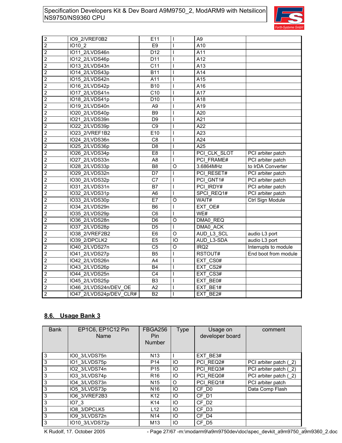

| $\overline{c}$          | IO9 2/VREF0B2           | E11               |                | A <sub>9</sub>   |                      |
|-------------------------|-------------------------|-------------------|----------------|------------------|----------------------|
| $\overline{2}$          | IO10 2                  | E <sub>9</sub>    |                | A10              |                      |
| $\mathbf 2$             | IO11 2/LVDS46n          | $\overline{D}$ 12 | $\overline{1}$ | A11              |                      |
| $\overline{2}$          | IO12 2/LVDS46p          | D11               | T              | $\overline{A12}$ |                      |
| 2                       | IO13 2/LVDS43n          | C <sub>11</sub>   | T              | A13              |                      |
| $\overline{2}$          | IO14 2/LVDS43p          | <b>B11</b>        | T              | A14              |                      |
| $\overline{2}$          | IO15 2/LVDS42n          | A11               |                | A15              |                      |
| $\overline{2}$          | IO16 2/LVDS42p          | <b>B10</b>        |                | A16              |                      |
| $\overline{2}$          | IO17 2/LVDS41n          | C10               |                | A17              |                      |
| $\overline{\mathbf{c}}$ | IO18 2/LVDS41p          | D <sub>10</sub>   |                | A18              |                      |
| $\overline{2}$          | IO19 2/LVDS40n          | A <sub>9</sub>    | T              | A19              |                      |
| $\overline{2}$          | IO20 2/LVDS40p          | <b>B9</b>         |                | $\overline{A20}$ |                      |
| $\overline{2}$          | IO21 2/LVDS39n          | D <sub>9</sub>    |                | A21              |                      |
| $\overline{c}$          | IO22 2/LVDS39p          | C <sub>9</sub>    |                | A22              |                      |
| $\overline{2}$          | IO23_2/VREF1B2          | E10               |                | $\overline{A23}$ |                      |
| 2                       | IO24 2/LVDS36n          | C <sub>8</sub>    | T              | A24              |                      |
| $\mathbf 2$             | IO25 2/LVDS36p          | D <sub>8</sub>    |                | A25              |                      |
| $\overline{c}$          | IO26 2/LVDS34p          | E <sub>8</sub>    |                | PCI CLK SLOT     | PCI arbiter patch    |
| $\overline{2}$          | 1027_2/LVDS33n          | A <sub>8</sub>    | $\overline{1}$ | PCI FRAME#       | PCI arbiter patch    |
| $\overline{2}$          | IO28_2/LVDS33p          | B <sub>8</sub>    | O              | 3.6864MHz        | to IrDA Converter    |
| 2                       | IO29 2/LVDS32n          | D7                |                | PCI RESET#       | PCI arbiter patch    |
| $\overline{2}$          | IO30 2/LVDS32p          | C7                |                | PCI GNT1#        | PCI arbiter patch    |
| $\overline{2}$          | IO31 2/LVDS31n          | B7                |                | PCI IRDY#        | PCI arbiter patch    |
| $\overline{c}$          | IO32 2/LVDS31p          | A <sub>6</sub>    | T              | SPCI REQ1#       | PCI arbiter patch    |
| $\overline{2}$          | IO33 2/LVDS30p          | E7                | $\circ$        | WAIT#            | Ctrl Sign Module     |
| $\overline{2}$          | IO34 2/LVDS29n          | B <sub>6</sub>    | T              | EXT OE#          |                      |
| $\overline{2}$          | IO35_2/LVDS29p          | C <sub>6</sub>    |                | WE#              |                      |
| $\overline{2}$          | IO36 2/LVDS28n          | D <sub>6</sub>    | $\circ$        | DMA0 REQ         |                      |
| 2                       | 1037_2/LVDS28p          | D <sub>5</sub>    | L              | DMA0 ACK         |                      |
| $\overline{2}$          | 1038_2/VREF2B2          | E <sub>6</sub>    | $\circ$        | AUD L3 SCL       | audio L3 port        |
| $\overline{2}$          | IO39 2/DPCLK2           | E <sub>5</sub>    | IO             | AUD L3-SDA       | audio L3 port        |
| $\overline{2}$          | IO40 2/LVDS27n          | C <sub>5</sub>    | $\circ$        | IRQ <sub>2</sub> | Interrupts to module |
| $\overline{2}$          | IO41_2/LVDS27p          | B <sub>5</sub>    |                | RSTOUT#          | End boot from module |
| $\overline{c}$          | IO42 2/LVDS26n          | A4                |                | EXT CS0#         |                      |
| $\overline{c}$          | IO43_2/LVDS26p          | <b>B4</b>         |                | $EXT_C$ S2#      |                      |
| $\overline{2}$          | IO44 2/LVDS25n          | C <sub>4</sub>    |                | EXT_CS3#         |                      |
| $\overline{2}$          | IO45 2/LVDS25p          | B <sub>3</sub>    |                | EXT BE0#         |                      |
| $\overline{2}$          | IO46 2/LVDS24n/DEV OE   | A2                |                | EXT BE1#         |                      |
| $\overline{2}$          | IO47 2/LVDS24p/DEV CLR# | $\overline{B2}$   |                | EXT BE2#         |                      |

### **8.6. Usage Bank 3**

| <b>Bank</b>         | EP1C6, EP1C12 Pin<br>Name | <b>FBGA256</b><br><b>Pin</b><br><b>Number</b> | <b>Type</b> | Usage on<br>developer board | comment               |
|---------------------|---------------------------|-----------------------------------------------|-------------|-----------------------------|-----------------------|
| $\mathbf{3}$        | IO0 3/LVDS75n             | N <sub>13</sub>                               |             | EXT BE3#                    |                       |
| $\overline{3}$      | IO1 3/LVDS75p             | P <sub>14</sub>                               | IO          | PCI REQ2#                   | PCI arbiter patch (2) |
| $\mathbf{3}$        | IO2 3/LVDS74n             | P <sub>15</sub>                               | IO          | PCI REQ3#                   | PCI arbiter patch (2) |
| $\overline{\omega}$ | IO3 3/LVDS74p             | R <sub>16</sub>                               | IO          | PCI REQ0#                   | PCI arbiter patch (2) |
| $\mathbf{3}$        | IO4 3/LVDS73n             | N <sub>15</sub>                               | O           | PCI REQ1#                   | PCI arbiter patch     |
| $\overline{3}$      | IO5 3/LVDS73p             | N <sub>16</sub>                               | IO          | CF D <sub>0</sub>           | Data Comp Flash       |
| $\mathbf{3}$        | IO6 3/VREF2B3             | K <sub>12</sub>                               | IO          | CF D1                       |                       |
| ن                   | IO73                      | K14                                           | IO          | CF D <sub>2</sub>           |                       |
| ဇာ                  | IO8 3/DPCLK5              | L12                                           | IO          | CF D3                       |                       |
| $\overline{3}$      | IO9 3/LVDS72n             | N <sub>14</sub>                               | IO          | CF D4                       |                       |
| $\mathbf{3}$        | IO10 3/LVDS72p            | M <sub>13</sub>                               | IO          | $CF_$ D5                    |                       |

K Rudolf, 17. October 2005 - Page 27/67 -m:\modarm9\a9m9750dev\doc\spec\_devkit\_a9m9750\_a9m9360\_2.doc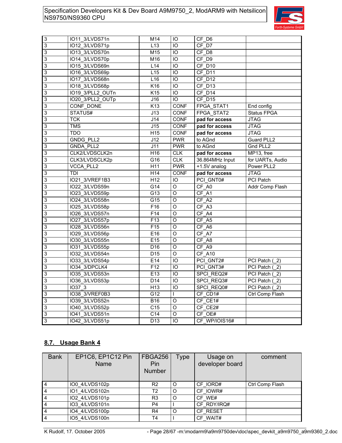

| $\vert$ 3                 | IO11_3/LVDS71n   | M14             | IО         | CF D6           |                  |
|---------------------------|------------------|-----------------|------------|-----------------|------------------|
| $\overline{3}$            | IO12_3/LVDS71p   | L13             | IO         | CF D7           |                  |
| $\ensuremath{\mathsf{3}}$ | IO13_3/LVDS70n   | M15             | IO         | CF D8           |                  |
| $\overline{3}$            | IO14 3/LVDS70p   | M16             | IO         | CF D9           |                  |
| $\ensuremath{\mathsf{3}}$ | IO15 3/LVDS69n   | L14             | IO         | CF D10          |                  |
| 3                         | IO16 3/LVDS69p   | L15             | IO         | CF D11          |                  |
| $\ensuremath{\mathsf{3}}$ | IO17_3/LVDS68n   | L16             | IO         | CF D12          |                  |
| 3                         | IO18 3/LVDS68p   | K16             | IO         | CF D13          |                  |
| $\ensuremath{\mathsf{3}}$ | IO19 3/PLL2 OUTn | K <sub>15</sub> | IO         | CF D14          |                  |
| 3                         | IO20 3/PLL2 OUTp | J16             | IO         | CF D15          |                  |
| $\ensuremath{\mathsf{3}}$ | CONF DONE        | K <sub>13</sub> | CONF       | FPGA_STAT1      | End config       |
| 3                         | STATUS#          | J13             | CONF       | FPGA STAT2      | Status FPGA      |
| $\ensuremath{\mathsf{3}}$ | <b>TCK</b>       | J14             | CONF       | pad for access  | <b>JTAG</b>      |
| 3                         | <b>TMS</b>       | J15             | CONF       | pad for access  | <b>JTAG</b>      |
| $\ensuremath{\mathsf{3}}$ | <b>TDO</b>       | H <sub>15</sub> | CONF       | pad for access  | <b>JTAG</b>      |
| 3                         | <b>GNDG PLL2</b> | J12             | <b>PWR</b> | to AGnd         | Guard PLL2       |
| $\ensuremath{\mathsf{3}}$ | GNDA PLL2        | J11             | <b>PWR</b> | to AGnd         | Gnd PLL2         |
| 3                         | CLK2/LVDSCLK2n   | H <sub>16</sub> | <b>CLK</b> | pad for access  | MP13, free       |
| 3                         | CLK3/LVDSCLK2p   | G16             | <b>CLK</b> | 36.864MHz Input | for UARTs, Audio |
| 3                         | VCCA PLL2        | H11             | <b>PWR</b> | +1.5V analog    | Power PLL2       |
| $\ensuremath{\mathsf{3}}$ | <b>TDI</b>       | H14             | CONF       | pad for access  | <b>JTAG</b>      |
| 3                         | IO21 3/VREF1B3   | H <sub>12</sub> | IO         | PCI_GNT0#       | PCI Patch        |
| $\ensuremath{\mathsf{3}}$ | IO22 3/LVDS59n   | G14             | O          | CF_A0           | Addr Comp Flash  |
| 3                         | IO23 3/LVDS59p   | G13             | $\circ$    | CF A1           |                  |
| $\ensuremath{\mathsf{3}}$ | IO24 3/LVDS58n   | G15             | $\circ$    | CF A2           |                  |
| 3                         | IO25 3/LVDS58p   | F16             | O          | CF A3           |                  |
| 3                         | IO26 3/LVDS57n   | F14             | O          | CF A4           |                  |
| 3                         | IO27 3/LVDS57p   | F13             | $\circ$    | CF A5           |                  |
| $\ensuremath{\mathsf{3}}$ | IO28 3/LVDS56n   | F <sub>15</sub> | O          | CF A6           |                  |
| 3                         | IO29 3/LVDS56p   | E16             | O          | CF A7           |                  |
| $\ensuremath{\mathsf{3}}$ | IO30 3/LVDS55n   | E <sub>15</sub> | O          | CF A8           |                  |
| 3                         | IO31 3/LVDS55p   | D <sub>16</sub> | $\circ$    | CF A9           |                  |
| $\ensuremath{\mathsf{3}}$ | IO32 3/LVDS54n   | D <sub>15</sub> | O          | CF A10          |                  |
| 3                         | IO33 3/LVDS54p   | E14             | IO         | PCI GNT2#       | PCI Patch (2)    |
| $\ensuremath{\mathsf{3}}$ | IO34 3/DPCLK4    | F12             | IO         | PCI_GNT3#       | PCI Patch (2)    |
| 3                         | IO35 3/LVDS53n   | E13             | IO         | SPCI REQ2#      | PCI Patch (2)    |
| $\ensuremath{\mathsf{3}}$ | IO36 3/LVDS53p   | D <sub>14</sub> | IO         | SPCI REQ3#      | PCI Patch (2)    |
| 3                         | <b>IO37 3</b>    | H <sub>13</sub> | IO         | SPCI REQ0#      | PCI Patch (2)    |
| $\ensuremath{\mathsf{3}}$ | IO38 3/VREF0B3   | G12             | L          | CF CD1#         | Ctrl Comp Flash  |
| 3                         | IO39 3/LVDS52n   | <b>B16</b>      | O          | $CF$ $CE1#$     |                  |
| $\ensuremath{\mathsf{3}}$ | IO40 3/LVDS52p   | C <sub>15</sub> | O          | CF CE2#         |                  |
| 3                         | IO41 3/LVDS51n   | C14             | O          | CF OE#          |                  |
| $\overline{3}$            | IO42 3/LVDS51p   | D <sub>13</sub> | IO         | CF WP/IOIS16#   |                  |

### **8.7. Usage Bank 4**

| <b>Bank</b>    | EP1C6, EP1C12 Pin<br>Name | <b>FBGA256</b><br>Pin<br>Number | Type | Usage on<br>developer board | comment         |
|----------------|---------------------------|---------------------------------|------|-----------------------------|-----------------|
| $\overline{4}$ | IO0 4/LVDS102p            | R <sub>2</sub>                  | O    | CF IORD#                    | Ctrl Comp Flash |
| $\overline{4}$ | IO1 4/LVDS102n            | T <sub>2</sub>                  | O    | CF IOWR#                    |                 |
| $\overline{4}$ | IO2 4/LVDS101p            | R <sub>3</sub>                  | O    | CF WE#                      |                 |
| $\overline{4}$ | IO3 4/LVDS101n            | P4                              |      | CF RDY/IRQ#                 |                 |
| $\overline{4}$ | IO4 4/LVDS100p            | R <sub>4</sub>                  | O    | CF RESET                    |                 |
| $\overline{4}$ | IO5 4/LVDS100n            | T <sub>4</sub>                  |      | CF WAIT#                    |                 |

K Rudolf, 17. October 2005 - Page 28/67 -m:\modarm9\a9m9750dev\doc\spec\_devkit\_a9m9750\_a9m9360\_2.doc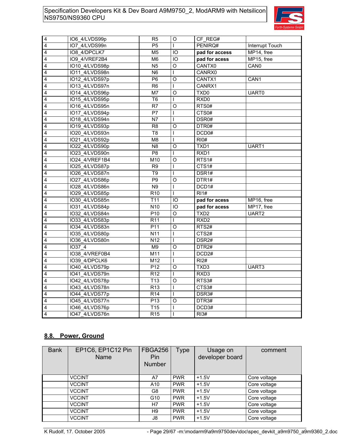

| $\overline{\mathbf{4}}$ | IO6 4/LVDS99p  | R <sub>5</sub>   | O               | CF REG#           |                  |
|-------------------------|----------------|------------------|-----------------|-------------------|------------------|
| $\overline{\mathbf{4}}$ | IO7 4/LVDS99n  | P <sub>5</sub>   | L               | PENIRQ#           | Interrupt Touch  |
| $\overline{\mathbf{4}}$ | IO8 4/DPCLK7   | M <sub>5</sub>   | IO              | pad for access    | MP14, free       |
| $\overline{4}$          | IO9 4/VREF2B4  | M <sub>6</sub>   | IO              | pad for acess     | MP15, free       |
| $\overline{4}$          | IO10 4/LVDS98p | N <sub>5</sub>   | $\overline{O}$  | CANTX0            | CAN <sub>0</sub> |
| $\overline{4}$          | IO11 4/LVDS98n | $\overline{N6}$  |                 | CANRX0            |                  |
| $\overline{\mathbf{4}}$ | IO12 4/LVDS97p | P <sub>6</sub>   | O               | CANTX1            | CAN1             |
| $\overline{\mathbf{4}}$ | IO13 4/LVDS97n | R <sub>6</sub>   | L               | CANRX1            |                  |
| $\overline{\mathbf{4}}$ | IO14 4/LVDS96p | M7               | O               | TXD <sub>0</sub>  | UART0            |
| $\overline{\mathbf{4}}$ | IO15 4/LVDS95p | $\overline{16}$  | L               | RXD <sub>0</sub>  |                  |
| $\overline{\mathbf{4}}$ | IO16 4/LVDS95n | R <sub>7</sub>   | O               | RTS0#             |                  |
| $\overline{\mathbf{4}}$ | IO17 4/LVDS94p | $\overline{P}$   | L               | CTS <sub>0#</sub> |                  |
| $\overline{\mathbf{4}}$ | IO18 4/LVDS94n | N7               |                 | DSR0#             |                  |
| $\overline{\mathbf{4}}$ | IO19 4/LVDS93p | R <sub>8</sub>   | O               | DTR0#             |                  |
| $\overline{4}$          | IO20 4/LVDS93n | $\overline{18}$  |                 | DCD <sub>0#</sub> |                  |
| $\overline{\mathbf{4}}$ | IO21 4/LVDS92p | M <sub>8</sub>   |                 | R10#              |                  |
| $\overline{4}$          | IO22 4/LVDS90p | N <sub>8</sub>   | O               | TXD1              | UART1            |
| $\overline{\mathbf{4}}$ | IO23 4/LVDS90n | P <sub>8</sub>   |                 | RXD1              |                  |
| $\overline{4}$          | IO24 4/VREF1B4 | M10              | $\overline{0}$  | RTS1#             |                  |
| $\overline{\mathbf{4}}$ | IO25 4/LVDS87p | R <sub>9</sub>   |                 | CTS1#             |                  |
| $\overline{\mathbf{4}}$ | IO26 4/LVDS87n | T <sub>9</sub>   | L               | DSR1#             |                  |
| $\overline{\mathbf{4}}$ | IO27 4/LVDS86p | P <sub>9</sub>   | $\circ$         | DTR1#             |                  |
| $\overline{4}$          | IO28 4/LVDS86n | N9               | L               | DCD1#             |                  |
| $\overline{4}$          | IO29 4/LVDS85p | $\overline{R10}$ | L               | R11#              |                  |
| $\overline{\mathbf{4}}$ | IO30 4/LVDS85n | T <sub>11</sub>  | IO              | pad for acess     | MP16, free       |
| $\overline{4}$          | IO31 4/LVDS84p | N10              | $\overline{10}$ | pad for acess     | MP17, free       |
| $\overline{\mathbf{4}}$ | IO32 4/LVDS84n | P <sub>10</sub>  | O               | TXD <sub>2</sub>  | UART2            |
| $\overline{\mathbf{4}}$ | IO33 4/LVDS83p | R <sub>11</sub>  |                 | RXD <sub>2</sub>  |                  |
| 4                       | IO34 4/LVDS83n | P11              | $\circ$         | RTS2#             |                  |
| $\overline{4}$          | IO35 4/LVDS80p | N11              | L               | CTS2#             |                  |
| $\overline{\mathbf{4}}$ | IO36 4/LVDS80n | N <sub>12</sub>  | T               | DSR <sub>2#</sub> |                  |
| $\overline{\mathbf{4}}$ | <b>IO37 4</b>  | M <sub>9</sub>   | O               | DTR <sub>2#</sub> |                  |
| $\overline{\mathbf{4}}$ | IO38 4/VREF0B4 | M11              | I               | DCD <sub>2#</sub> |                  |
| $\overline{4}$          | IO39 4/DPCLK6  | M12              |                 | R12#              |                  |
| $\overline{4}$          | IO40 4/LVDS79p | P12              | O               | TXD <sub>3</sub>  | UART3            |
| $\overline{\mathbf{4}}$ | IO41 4/LVDS79n | R <sub>12</sub>  |                 | RXD3              |                  |
| $\overline{4}$          | IO42 4/LVDS78p | T13              | O               | RTS3#             |                  |
| $\overline{4}$          | IO43 4/LVDS78n | R <sub>13</sub>  | I               | CTS3#             |                  |
| $\overline{\mathbf{4}}$ | IO44 4/LVDS77p | R <sub>14</sub>  |                 | DSR3#             |                  |
| $\overline{\mathbf{4}}$ | IO45 4/LVDS77n | P <sub>13</sub>  | O               | DTR3#             |                  |
| $\overline{4}$          | IO46 4/LVDS76p | T <sub>15</sub>  | L               | DCD3#             |                  |
| $\overline{4}$          | IO47 4/LVDS76n | R <sub>15</sub>  | T               | R13#              |                  |

### **8.8. Power, Ground**

| <b>Bank</b> | EP1C6, EP1C12 Pin<br>Name | <b>FBGA256</b><br>Pin<br>Number | <b>Type</b> | Usage on<br>developer board | comment      |
|-------------|---------------------------|---------------------------------|-------------|-----------------------------|--------------|
|             | <b>VCCINT</b>             | A7                              | <b>PWR</b>  | $+1.5V$                     | Core voltage |
|             | <b>VCCINT</b>             | A10                             | <b>PWR</b>  | $+1.5V$                     | Core voltage |
|             | <b>VCCINT</b>             | G8                              | <b>PWR</b>  | $+1.5V$                     | Core voltage |
|             | <b>VCCINT</b>             | G <sub>10</sub>                 | <b>PWR</b>  | $+1.5V$                     | Core voltage |
|             | <b>VCCINT</b>             | H7                              | <b>PWR</b>  | $+1.5V$                     | Core voltage |
|             | <b>VCCINT</b>             | H <sub>9</sub>                  | <b>PWR</b>  | $+1.5V$                     | Core voltage |
|             | <b>VCCINT</b>             | J8                              | <b>PWR</b>  | $+1.5V$                     | Core voltage |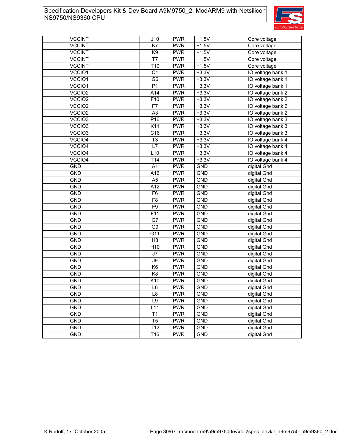

| <b>VCCINT</b>      | J10             | <b>PWR</b> | $+1.5V$    | Core voltage      |
|--------------------|-----------------|------------|------------|-------------------|
| <b>VCCINT</b>      | K7              | <b>PWR</b> | $+1.5V$    | Core voltage      |
| <b>VCCINT</b>      | K <sub>9</sub>  | <b>PWR</b> | $+1.5V$    | Core voltage      |
| <b>VCCINT</b>      | T7              | <b>PWR</b> | $+1.5V$    | Core voltage      |
| <b>VCCINT</b>      | T <sub>10</sub> | <b>PWR</b> | $+1.5V$    | Core voltage      |
| VCCIO1             | C <sub>1</sub>  | <b>PWR</b> | $+3.3V$    | IO voltage bank 1 |
| VCCIO1             | G <sub>6</sub>  | <b>PWR</b> | $+3.3V$    | IO voltage bank 1 |
| VCCIO1             | P <sub>1</sub>  | <b>PWR</b> | $+3.3V$    | IO voltage bank 1 |
| VCCIO2             | A14             | <b>PWR</b> | $+3.3V$    | IO voltage bank 2 |
| VCCIO2             | F10             | <b>PWR</b> | $+3.3V$    | IO voltage bank 2 |
| VCCIO2             | F7              | <b>PWR</b> | $+3.3V$    | IO voltage bank 2 |
| VCCIO2             | A <sub>3</sub>  | <b>PWR</b> | $+3.3V$    | IO voltage bank 2 |
| VCCIO <sub>3</sub> | P16             | <b>PWR</b> | $+3.3V$    | IO voltage bank 3 |
| VCCIO <sub>3</sub> | K11             | <b>PWR</b> | $+3.3V$    | IO voltage bank 3 |
| VCCIO <sub>3</sub> | C16             | <b>PWR</b> | $+3.3V$    | IO voltage bank 3 |
| VCCIO4             | T <sub>3</sub>  | <b>PWR</b> | $+3.3V$    | IO voltage bank 4 |
| VCCIO4             | L7              | <b>PWR</b> | $+3.3V$    | IO voltage bank 4 |
| VCCIO4             | L10             | <b>PWR</b> | $+3.3V$    | IO voltage bank 4 |
| VCCIO4             | T <sub>14</sub> | <b>PWR</b> | $+3.3V$    | IO voltage bank 4 |
| <b>GND</b>         | A1              | <b>PWR</b> | <b>GND</b> | digital Gnd       |
| <b>GND</b>         | A16             | <b>PWR</b> | <b>GND</b> | digital Gnd       |
| <b>GND</b>         | A <sub>5</sub>  | <b>PWR</b> | <b>GND</b> | digital Gnd       |
| <b>GND</b>         | A12             | <b>PWR</b> | <b>GND</b> | digital Gnd       |
| <b>GND</b>         | F <sub>6</sub>  | <b>PWR</b> | <b>GND</b> | digital Gnd       |
| <b>GND</b>         | F <sub>8</sub>  | <b>PWR</b> | <b>GND</b> | digital Gnd       |
| <b>GND</b>         | F <sub>9</sub>  | <b>PWR</b> | <b>GND</b> | digital Gnd       |
| <b>GND</b>         | F11             | <b>PWR</b> | <b>GND</b> | digital Gnd       |
| <b>GND</b>         | G7              | <b>PWR</b> | <b>GND</b> | digital Gnd       |
| <b>GND</b>         | G <sub>9</sub>  | <b>PWR</b> | <b>GND</b> | digital Gnd       |
| <b>GND</b>         | G11             | <b>PWR</b> | <b>GND</b> | digital Gnd       |
| <b>GND</b>         | H <sub>8</sub>  | <b>PWR</b> | <b>GND</b> | digital Gnd       |
| <b>GND</b>         | H <sub>10</sub> | <b>PWR</b> | <b>GND</b> | digital Gnd       |
| <b>GND</b>         | J7              | <b>PWR</b> | <b>GND</b> | digital Gnd       |
| <b>GND</b>         | J9              | <b>PWR</b> | <b>GND</b> | digital Gnd       |
| <b>GND</b>         | K <sub>6</sub>  | <b>PWR</b> | <b>GND</b> | digital Gnd       |
| <b>GND</b>         | K <sub>8</sub>  | <b>PWR</b> | <b>GND</b> | digital Gnd       |
| <b>GND</b>         | K10             | <b>PWR</b> | <b>GND</b> | digital Gnd       |
| <b>GND</b>         | $\mathsf{L}6$   | <b>PWR</b> | <b>GND</b> | digital Gnd       |
| <b>GND</b>         | L8              | <b>PWR</b> | <b>GND</b> | digital Gnd       |
| <b>GND</b>         | L9              | <b>PWR</b> | <b>GND</b> | digital Gnd       |
| <b>GND</b>         | L11             | <b>PWR</b> | <b>GND</b> | digital Gnd       |
| <b>GND</b>         | T1              | <b>PWR</b> | <b>GND</b> | digital Gnd       |
| <b>GND</b>         | T <sub>5</sub>  | <b>PWR</b> | <b>GND</b> | digital Gnd       |
| <b>GND</b>         | T12             | <b>PWR</b> | <b>GND</b> | digital Gnd       |
| <b>GND</b>         | T16             | <b>PWR</b> | <b>GND</b> | digital Gnd       |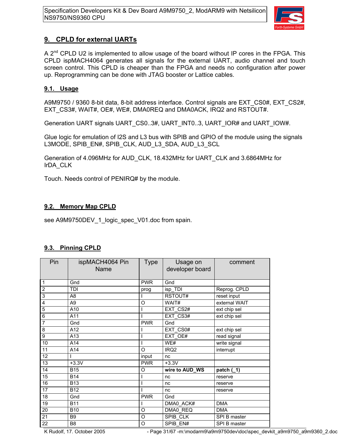

### **9. CPLD for external UARTs**

A  $2^{nd}$  CPLD U2 is implemented to allow usage of the board without IP cores in the FPGA. This CPLD ispMACH4064 generates all signals for the external UART, audio channel and touch screen control. This CPLD is cheaper than the FPGA and needs no configuration after power up. Reprogramming can be done with JTAG booster or Lattice cables.

### **9.1. Usage**

A9M9750 / 9360 8-bit data, 8-bit address interface. Control signals are EXT\_CS0#, EXT\_CS2#, EXT\_CS3#, WAIT#, OE#, WE#, DMA0REQ and DMA0ACK, IRQ2 and RSTOUT#.

Generation UART signals UART CS0..3#, UART INT0..3, UART IOR# and UART IOW#.

Glue logic for emulation of I2S and L3 bus with SPIB and GPIO of the module using the signals L3MODE, SPIB\_EN#, SPIB\_CLK, AUD\_L3\_SDA, AUD\_L3\_SCL

Generation of 4.096MHz for AUD\_CLK, 18.432MHz for UART\_CLK and 3.6864MHz for IrDA\_CLK

Touch. Needs control of PENIRQ# by the module.

### **9.2. Memory Map CPLD**

see A9M9750DEV\_1\_logic\_spec\_V01.doc from spain.

### **9.3. Pinning CPLD**

| Pin                     | ispMACH4064 Pin<br>Name | <b>Type</b> | Usage on<br>developer board | comment       |
|-------------------------|-------------------------|-------------|-----------------------------|---------------|
| $\mathbf{1}$            | Gnd                     | <b>PWR</b>  | Gnd                         |               |
| $\overline{2}$          | <b>TDI</b>              | prog        | isp_TDI                     | Reprog. CPLD  |
| 3                       | A <sub>8</sub>          |             | RSTOUT#                     | reset input   |
| $\overline{\mathbf{4}}$ | A <sub>9</sub>          | O           | WAIT#                       | external WAIT |
| $\overline{5}$          | A10                     |             | EXT_CS2#                    | ext chip sel  |
| $\overline{6}$          | A11                     |             | EXT_CS3#                    | ext chip sel  |
| $\overline{7}$          | Gnd                     | <b>PWR</b>  | Gnd                         |               |
| $\overline{8}$          | A12                     |             | EXT CS0#                    | ext chip sel  |
| $\overline{9}$          | A13                     |             | EXT_OE#                     | read signal   |
| $10$                    | A14                     |             | WE#                         | write signal  |
| 11                      | A14                     | O           | IRQ <sub>2</sub>            | interrupt     |
| 12                      |                         | input       | nc                          |               |
| 13                      | $+3.3V$                 | <b>PWR</b>  | $+3.3V$                     |               |
| 14                      | <b>B15</b>              | O           | wire to AUD_WS              | patch $(1)$   |
| 15                      | <b>B14</b>              |             | nc                          | reserve       |
| 16                      | <b>B13</b>              |             | nc                          | reserve       |
| 17                      | <b>B12</b>              |             | nc                          | reserve       |
| 18                      | Gnd                     | <b>PWR</b>  | Gnd                         |               |
| 19                      | <b>B11</b>              |             | DMA0_ACK#                   | <b>DMA</b>    |
| 20                      | <b>B10</b>              | O           | DMA0 REQ                    | <b>DMA</b>    |
| $\overline{21}$         | B <sub>9</sub>          | O           | SPIB CLK                    | SPI B master  |
| $\overline{22}$         | B <sub>8</sub>          | O           | SPIB EN#                    | SPI B master  |

K Rudolf, 17. October 2005 - Page 31/67 -m:\modarm9\a9m9750dev\doc\spec\_devkit\_a9m9750\_a9m9360\_2.doc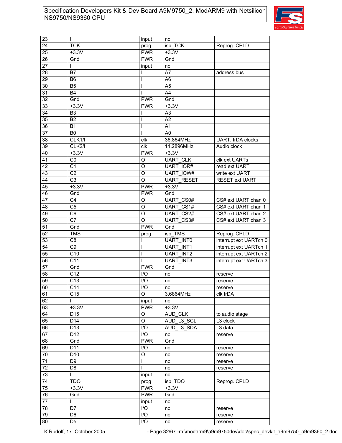

| 23 | I               | input                   | nc                |                        |
|----|-----------------|-------------------------|-------------------|------------------------|
| 24 | <b>TCK</b>      | prog                    | isp TCK           | Reprog. CPLD           |
| 25 | $+3.3V$         | <b>PWR</b>              | $+3.3V$           |                        |
| 26 | Gnd             | <b>PWR</b>              | Gnd               |                        |
| 27 | L               | input                   | nc                |                        |
| 28 | B7              |                         | A7                | address bus            |
| 29 | B <sub>6</sub>  |                         | A <sub>6</sub>    |                        |
| 30 | B <sub>5</sub>  |                         | A <sub>5</sub>    |                        |
| 31 | <b>B4</b>       |                         | A4                |                        |
| 32 | Gnd             | <b>PWR</b>              | Gnd               |                        |
| 33 | $+3.3V$         | <b>PWR</b>              | $+3.3V$           |                        |
| 34 | B <sub>3</sub>  |                         | A <sub>3</sub>    |                        |
| 35 | <b>B2</b>       |                         | A2                |                        |
|    |                 |                         | A1                |                        |
| 36 | <b>B1</b>       |                         |                   |                        |
| 37 | B <sub>0</sub>  | ı                       | A <sub>0</sub>    |                        |
| 38 | CLK1/I          | clk                     | 36.864MHz         | UART, IrDA clocks      |
| 39 | CLK2/I          | clk                     | 11.2896MHz        | Audio clock            |
| 40 | $+3.3V$         | <b>PWR</b>              | $+3.3V$           |                        |
| 41 | CO              | O                       | <b>UART CLK</b>   | clk ext UARTs          |
| 42 | C <sub>1</sub>  | O                       | UART IOR#         | read ext UART          |
| 43 | C <sub>2</sub>  | O                       | <b>UART IOW#</b>  | write ext UART         |
| 44 | C <sub>3</sub>  | O                       | <b>UART RESET</b> | <b>RESET ext UART</b>  |
| 45 | $+3.3V$         | <b>PWR</b>              | $+3.3V$           |                        |
| 46 | Gnd             | <b>PWR</b>              | Gnd               |                        |
| 47 | C <sub>4</sub>  | O                       | <b>UART CS0#</b>  | CS# ext UART chan 0    |
| 48 | C <sub>5</sub>  | O                       | UART CS1#         | CS# ext UART chan 1    |
| 49 | C <sub>6</sub>  | O                       | UART CS2#         | CS# ext UART chan 2    |
| 50 | C7              | O                       | UART CS3#         | CS# ext UART chan 3    |
| 51 | Gnd             | <b>PWR</b>              | Gnd               |                        |
| 52 | <b>TMS</b>      | prog                    | isp TMS           | Reprog. CPLD           |
| 53 | C <sub>8</sub>  |                         | <b>UART INTO</b>  | interrupt ext UARTch 0 |
| 54 | C <sub>9</sub>  |                         | <b>UART INT1</b>  | interrupt ext UARTch 1 |
| 55 | C10             |                         | <b>UART INT2</b>  | interrupt ext UARTch 2 |
| 56 | C <sub>11</sub> |                         | <b>UART INT3</b>  | interrupt ext UARTch 3 |
| 57 | Gnd             | <b>PWR</b>              | Gnd               |                        |
| 58 | C <sub>12</sub> | I/O                     | nc                | reserve                |
| 59 | C13             | I/O                     | nc                | reserve                |
| 60 | C <sub>14</sub> | $\overline{1/O}$        | nc                | reserve                |
| 61 | C <sub>15</sub> | O                       | 3.6864MHz         | clk IrDA               |
| 62 | L               | input                   | nc                |                        |
| 63 | $+3.3V$         | <b>PWR</b>              | $+3.3V$           |                        |
| 64 | D <sub>15</sub> | O                       | AUD CLK           | to audio stage         |
| 65 | D14             | O                       | AUD L3 SCL        | L3 clock               |
| 66 | D <sub>13</sub> | I/O                     | AUD L3 SDA        | L3 data                |
| 67 | D12             | I/O                     | nc                | reserve                |
| 68 | Gnd             | <b>PWR</b>              | Gnd               |                        |
| 69 | D11             | I/O                     | nc                | reserve                |
| 70 | D <sub>10</sub> | O                       | nc                | reserve                |
| 71 | D <sub>9</sub>  |                         | nc                | reserve                |
| 72 | D <sub>8</sub>  | L                       | nc                | reserve                |
| 73 | L               | input                   | nc                |                        |
| 74 | <b>TDO</b>      |                         | isp TDO           | Reprog. CPLD           |
| 75 | $+3.3V$         | prog<br><b>PWR</b>      | $+3.3V$           |                        |
| 76 |                 | <b>PWR</b>              |                   |                        |
|    | Gnd             |                         | Gnd               |                        |
| 77 | L               | input                   | nc                |                        |
| 78 | D7              | I/O                     | nc                | reserve                |
| 79 | D <sub>6</sub>  | I/O                     | nc                | reserve                |
| 80 | D <sub>5</sub>  | $\mathsf{I}/\mathsf{O}$ | nc                | reserve                |

K Rudolf, 17. October 2005 - Page 32/67 -m:\modarm9\a9m9750dev\doc\spec\_devkit\_a9m9750\_a9m9360\_2.doc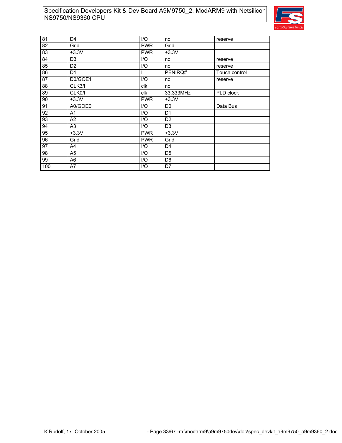

| 81  | D <sub>4</sub> | 1/O        | nc             | reserve       |
|-----|----------------|------------|----------------|---------------|
| 82  | Gnd            | <b>PWR</b> | Gnd            |               |
| 83  | $+3.3V$        | <b>PWR</b> | $+3.3V$        |               |
| 84  | D <sub>3</sub> | I/O        | nc             | reserve       |
| 85  | D <sub>2</sub> | I/O        | nc             | reserve       |
| 86  | D <sub>1</sub> |            | PENIRQ#        | Touch control |
| 87  | D0/GOE1        | I/O        | nc             | reserve       |
| 88  | CLK3/I         | clk        | nc             |               |
| 89  | CLK0/I         | clk        | 33.333MHz      | PLD clock     |
| 90  | $+3.3V$        | <b>PWR</b> | $+3.3V$        |               |
| 91  | A0/GOE0        | 1/O        | D <sub>0</sub> | Data Bus      |
| 92  | A <sub>1</sub> | I/O        | D <sub>1</sub> |               |
| 93  | A2             | 1/O        | D <sub>2</sub> |               |
| 94  | A3             | I/O        | D <sub>3</sub> |               |
| 95  | $+3.3V$        | <b>PWR</b> | $+3.3V$        |               |
| 96  | Gnd            | <b>PWR</b> | Gnd            |               |
| 97  | A4             | I/O        | D <sub>4</sub> |               |
| 98  | A5             | I/O        | D <sub>5</sub> |               |
| 99  | A <sub>6</sub> | I/O        | D <sub>6</sub> |               |
| 100 | A7             | I/O        | D7             |               |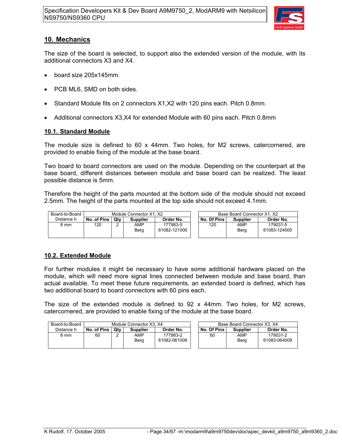

### **10. Mechanics**

The size of the board is selected, to support also the extended version of the module, with its additional connectors X3 and X4.

- board size 205x145mm.
- PCB ML6, SMD on both sides.
- Standard Module fits on 2 connectors X1,X2 with 120 pins each. Pitch 0.8mm.
- Additional connectors X3,X4 for extended Module with 60 pins each. Pitch 0.8mm

#### **10.1. Standard Module**

The module size is defined to 60 x 44mm. Two holes, for M2 screws, catercornered, are provided to enable fixing of the module at the base board.

Two board to board connectors are used on the module. Depending on the counterpart at the base board, different distances between module and base board can be realized. The least possible distance is 5mm.

Therefore the height of the parts mounted at the bottom side of the module should not exceed 2.5mm. The height of the parts mounted at the top side should not exceed 4.1mm.

| Board-to-Board |             |     | Module Connector X1, X2 |                          |             | Base Board Connector X1, X2 |                          |
|----------------|-------------|-----|-------------------------|--------------------------|-------------|-----------------------------|--------------------------|
| Distance h     | No. of Pins | Qtv | <b>Supplier</b>         | Order No.                | No. Of Pins | <b>Supplier</b>             | Order No.                |
| 8 mm           | 120         |     | AMP<br>Berg             | 177983-5<br>61082-121000 | 120         | AMP<br>Berg                 | 179031-5<br>61083-124000 |

### **10.2. Extended Module**

For further modules it might be necessary to have some additional hardware placed on the module, which will need more signal lines connected between module and base board, than actual available. To meet these future requirements, an extended board is defined, which has two additional board to board connectors with 60 pins each.

The size of the extended module is defined to 92 x 44mm. Two holes, for M2 screws, catercornered, are provided to enable fixing of the module at the base board.

| Board-to-Board | Module Connector X3, X4 |     |                 |                          |  |             | Base Board Connector X3, X4 |                          |
|----------------|-------------------------|-----|-----------------|--------------------------|--|-------------|-----------------------------|--------------------------|
| Distance h     | No. of Pins             | Qtv | <b>Supplier</b> | Order No.                |  | No. Of Pins | <b>Supplier</b>             | Order No.                |
| 8 mm           | 60                      |     | AMP<br>Berg     | 177983-2<br>61082-061009 |  | 60          | AMP<br>Berg                 | 179031-2<br>61083-064009 |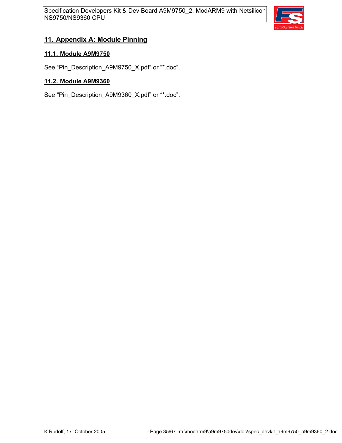

### **11. Appendix A: Module Pinning**

### **11.1. Module A9M9750**

See "Pin\_Description\_A9M9750\_X.pdf" or "\*.doc".

### **11.2. Module A9M9360**

See "Pin\_Description\_A9M9360\_X.pdf" or "\*.doc".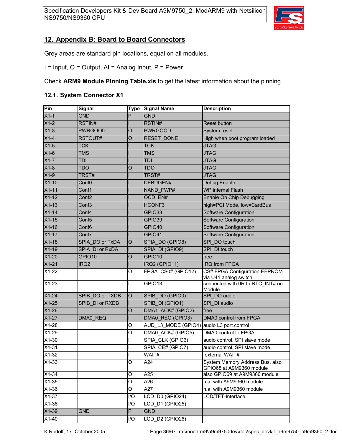

### **12. Appendix B: Board to Board Connectors**

Grey areas are standard pin locations, equal on all modules.

I = Input, O = Output, AI = Analog Input, P = Power

Check **ARM9 Module Pinning Table.xls** to get the latest information about the pinning.

#### **12.1. System Connector X1**

| Pin     | <b>Signal</b>     | <b>Type</b> | <b>Signal Name</b>  | <b>Description</b>                                          |
|---------|-------------------|-------------|---------------------|-------------------------------------------------------------|
| $X1-1$  | <b>GND</b>        | P           | <b>GND</b>          |                                                             |
| $X1-2$  | RSTIN#            |             | RSTIN#              | <b>Reset button</b>                                         |
| $X1-3$  | <b>PWRGOOD</b>    | O           | <b>PWRGOOD</b>      | System reset                                                |
| $X1-4$  | RSTOUT#           | O           | RESET DONE          | High when boot program loaded                               |
| $X1-5$  | <b>TCK</b>        |             | <b>TCK</b>          | <b>JTAG</b>                                                 |
| $X1-6$  | <b>TMS</b>        |             | <b>TMS</b>          | <b>JTAG</b>                                                 |
| $X1-7$  | <b>TDI</b>        |             | TDI                 | <b>JTAG</b>                                                 |
| $X1-8$  | TDO               | O           | <b>TDO</b>          | <b>JTAG</b>                                                 |
| $X1-9$  | TRST#             |             | TRST#               | <b>JTAG</b>                                                 |
| $X1-10$ | Conf <sub>0</sub> |             | DEBUGEN#            | Debug Enable                                                |
| $X1-11$ | Conf1             |             | NAND FWP#           | WP internal Flash                                           |
| $X1-12$ | Conf <sub>2</sub> |             | OCD EN#             | Enable On Chip Debugging                                    |
| $X1-13$ | Conf <sub>3</sub> |             | HCONF3              | high=PCI Mode, low=CardBus                                  |
| $X1-14$ | Conf4             |             | GPIO38              | Software Configuration                                      |
| $X1-15$ | Conf <sub>5</sub> |             | GPIO39              | Software Configuration                                      |
| $X1-16$ | Conf <sub>6</sub> |             | GPIO40              | Software Configuration                                      |
| $X1-17$ | Conf7             |             | GPIO41              | Software Configuration                                      |
| $X1-18$ | SPIA DO or TxDA   | $\circ$     | SPIA DO (GPIO8)     | SPI DO touch                                                |
| $X1-19$ | SPIA DI or RxDA   | T           | SPIA DI (GPIO9)     | SPI DI touch                                                |
| $X1-20$ | GPIO10            | $\circ$     | GPIO10              | free                                                        |
| $X1-21$ | IRQ <sub>2</sub>  | т           | IRQ2 (GPIO11)       | <b>IRQ from FPGA</b>                                        |
| $X1-22$ |                   | O           | FPGA CS0# (GPIO12)  | CS# FPGA Configuration EEPROM<br>via U41 analog switch      |
| $X1-23$ |                   | L           | GPIO13              | connected with 0R to RTC_INT# on<br>Module                  |
| $X1-24$ | SPIB DO or TXDB   | $\circ$     | SPIB_DO (GPIO0)     | SPI DO audio                                                |
| $X1-25$ | SPIB DI or RXDB   | T           | SPIB_DI (GPIO1)     | SPI DI audio                                                |
| $X1-26$ |                   | $\circ$     | DMA1 ACK# (GPIO2)   | free                                                        |
| $X1-27$ | DMA0 REQ          | T           | DMA0 REQ (GPIO3)    | DMA0 control from FPGA                                      |
| $X1-28$ |                   | O           | AUD_L3_MODE (GPIO4) | audio L3 port control                                       |
| $X1-29$ |                   | O           | DMA0 ACK# (GPIO5)   | DMA0 control to FPGA                                        |
| $X1-30$ |                   |             | SPIA CLK (GPIO6)    | audio control, SPI slave mode                               |
| $X1-31$ |                   |             | SPIA_CE# (GPIO7)    | audio control, SPI slave mode                               |
| $X1-32$ |                   |             | WAIT#               | external WAIT#                                              |
| $X1-33$ |                   | O           | A24                 | System Memory Address Bus, also<br>GPIO68 at A9M9360 module |
| $X1-34$ |                   | O           | A25                 | also GPIO69 at A9M9360 module                               |
| $X1-35$ |                   | O           | A26                 | n.a. with A9M9360 module                                    |
| X1-36   |                   | O           | A27                 | n.a. with A9M9360 module                                    |
| $X1-37$ |                   | I/O         | LCD D0 (GPIO24)     | LCD/TFT-Interface                                           |
| $X1-38$ |                   | I/O         | LCD D1 (GPIO25)     |                                                             |
| $X1-39$ | <b>GND</b>        | P           | <b>GND</b>          |                                                             |
| $X1-40$ |                   | I/O         | LCD D2 (GPIO26)     |                                                             |

K Rudolf, 17. October 2005 - Page 36/67 -m:\modarm9\a9m9750dev\doc\spec\_devkit\_a9m9750\_a9m9360\_2.doc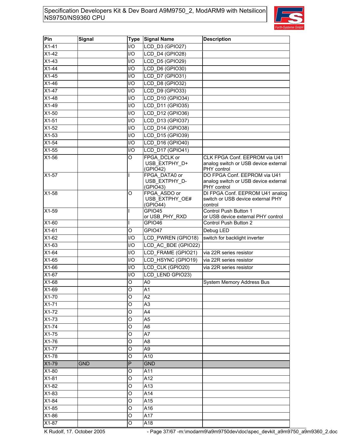

| Pin     | <b>Signal</b> | <b>Type</b> | <b>Signal Name</b>                                           | <b>Description</b>                                                                  |
|---------|---------------|-------------|--------------------------------------------------------------|-------------------------------------------------------------------------------------|
| $X1-41$ |               | 1/O         | LCD_D3 (GPIO27)                                              |                                                                                     |
| $X1-42$ |               | I/O         | $\overline{\text{LCD}}$ D <sub>4</sub> (GPIO <sub>28</sub> ) |                                                                                     |
| $X1-43$ |               | I/O         | <b>LCD D5 (GPIO29)</b>                                       |                                                                                     |
| $X1-44$ |               | 1/O         | LCD D6 (GPIO30)                                              |                                                                                     |
| $X1-45$ |               | I/O         | LCD D7 (GPIO31)                                              |                                                                                     |
| $X1-46$ |               | I/O         | LCD D8 (GPIO32)                                              |                                                                                     |
| $X1-47$ |               | I/O         | LCD D9 (GPIO33)                                              |                                                                                     |
| $X1-48$ |               | I/O         | LCD D10 (GPIO34)                                             |                                                                                     |
| $X1-49$ |               | I/O         | LCD D11 (GPIO35)                                             |                                                                                     |
| $X1-50$ |               | 1/O         | LCD D12 (GPIO36)                                             |                                                                                     |
| $X1-51$ |               | I/O         | LCD D13 (GPIO37)                                             |                                                                                     |
| $X1-52$ |               | 1/O         | LCD D14 (GPIO38)                                             |                                                                                     |
| $X1-53$ |               | I/O         | LCD D15 (GPIO39)                                             |                                                                                     |
| $X1-54$ |               | I/O         | LCD D16 (GPIO40)                                             |                                                                                     |
| $X1-55$ |               | I/O         | LCD D17 (GPIO41)                                             |                                                                                     |
| X1-56   |               | O           | FPGA DCLK or                                                 | CLK FPGA Conf. EEPROM via U41                                                       |
|         |               |             | USB EXTPHY D+<br>(GPIO42)                                    | analog switch or USB device external<br>PHY control                                 |
| $X1-57$ |               |             | FPGA DATA0 or<br>USB EXTPHY_D-<br>(GPIO43)                   | DO FPGA Conf. EEPROM via U41<br>analog switch or USB device external<br>PHY control |
| $X1-58$ |               | O           | FPGA ASDO or<br>USB EXTPHY OE#<br>(GPIO44)                   | DI FPGA Conf. EEPROM U41 analog<br>switch or USB device external PHY<br>control     |
| X1-59   |               |             | GPIO45                                                       | Control Push Button 1                                                               |
|         |               |             | or USB_PHY_RXD                                               | or USB device external PHY control                                                  |
| X1-60   |               |             | GPIO46                                                       | Control Push Button 2                                                               |
| $X1-61$ |               | O           | GPIO47                                                       | Debug LED                                                                           |
| X1-62   |               | I/O         | LCD PWREN (GPIO18)                                           | switch for backlight inverter                                                       |
| X1-63   |               | 1/O         | LCD AC BDE (GPIO22)                                          |                                                                                     |
| $X1-64$ |               | I/O         | LCD FRAME (GPIO21)                                           | via 22R series resistor                                                             |
| $X1-65$ |               | I/O         | LCD HSYNC (GPIO19)                                           | via 22R series resistor                                                             |
| X1-66   |               | I/O         | LCD CLK (GPIO20)                                             | via 22R series resistor                                                             |
| X1-67   |               | I/O         | LCD LEND GPIO23)                                             |                                                                                     |
| X1-68   |               | O           | A <sub>0</sub>                                               | <b>System Memory Address Bus</b>                                                    |
| X1-69   |               | O           | A <sub>1</sub>                                               |                                                                                     |
| $X1-70$ |               | O           | A2                                                           |                                                                                     |
| $X1-71$ |               | O           | A <sub>3</sub>                                               |                                                                                     |
| X1-72   |               | O           | A4                                                           |                                                                                     |
| $X1-73$ |               | O           | A <sub>5</sub>                                               |                                                                                     |
| $X1-74$ |               | O           | A <sub>6</sub>                                               |                                                                                     |
| $X1-75$ |               | O           | A7                                                           |                                                                                     |
| X1-76   |               | O           | A <sub>8</sub>                                               |                                                                                     |
| X1-77   |               | O           | A <sub>9</sub>                                               |                                                                                     |
| $X1-78$ |               | O           | A10                                                          |                                                                                     |
| X1-79   | <b>GND</b>    | P           | <b>GND</b>                                                   |                                                                                     |
| X1-80   |               | O           | A11                                                          |                                                                                     |
| $X1-81$ |               | O           | A12                                                          |                                                                                     |
| X1-82   |               | O           | A13                                                          |                                                                                     |
| X1-83   |               | O           | A14                                                          |                                                                                     |
| $X1-84$ |               | O           | A15                                                          |                                                                                     |
| $X1-85$ |               | O           | A16                                                          |                                                                                     |
| $X1-86$ |               | O           | A17                                                          |                                                                                     |
| $X1-87$ |               | O           | A18                                                          |                                                                                     |

K Rudolf, 17. October 2005 - Page 37/67 -m:\modarm9\a9m9750dev\doc\spec\_devkit\_a9m9750\_a9m9360\_2.doc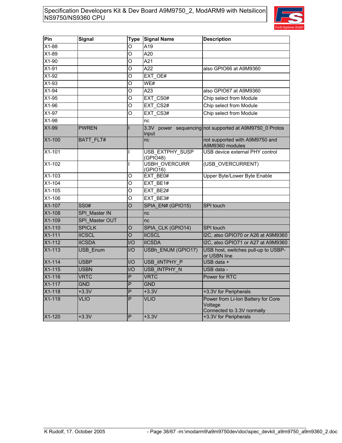

| <b>Signal</b>    | Type               | <b>Signal Name</b>          | <b>Description</b>                                                          |
|------------------|--------------------|-----------------------------|-----------------------------------------------------------------------------|
|                  | O                  | A19                         |                                                                             |
|                  | O                  | A20                         |                                                                             |
|                  | $\overline{O}$     | A21                         |                                                                             |
|                  | O                  | A22                         | also GPIO66 at A9M9360                                                      |
|                  | O                  | EXT OE#                     |                                                                             |
|                  | O                  | WE#                         |                                                                             |
|                  | O                  | A23                         | also GPIO67 at A9M9360                                                      |
|                  | Ο                  | EXT CS0#                    | Chip select from Module                                                     |
|                  | O                  | EXT CS2#                    | Chip select from Module                                                     |
|                  | $\overline{\circ}$ | EXT CS3#                    | Chip select from Module                                                     |
|                  |                    | nc                          |                                                                             |
| <b>PWREN</b>     |                    | 3.3V<br>input               | power sequencing not supported at A9M9750 0 Protos                          |
| <b>BATT FLT#</b> |                    | nc                          | not supported with A9M9750 and<br>A9M9360 modules                           |
|                  | L                  | USB EXTPHY SUSP<br>(GPIO48) | USB device external PHY control                                             |
|                  | L                  | <b>USBH OVERCURR</b>        | (USB OVERCURRENT)                                                           |
|                  | O                  | EXT BE0#                    | Upper Byte/Lower Byte Enable                                                |
|                  | O                  | EXT BE1#                    |                                                                             |
|                  | O                  | EXT BE2#                    |                                                                             |
|                  | O                  | EXT BE3#                    |                                                                             |
| SS0#             | O                  | SPIA EN# (GPIO15)           | SPI touch                                                                   |
| SPI_Master IN    |                    | nc                          |                                                                             |
| SPI Master OUT   |                    | nc                          |                                                                             |
| <b>SPICLK</b>    | O                  | SPIA CLK (GPIO14)           | SPI touch                                                                   |
| <b>IICSCL</b>    | $\Omega$           | <b>IICSCL</b>               | I2C, also GPIO70 or A26 at A9M9360                                          |
| <b>IICSDA</b>    | $II$               | <b>IICSDA</b>               | I2C, also GPIO71 or A27 at A9M9360                                          |
| USB Enum         | I/O                | USBh ENUM (GPIO17)          | USB host, switches pull-up to USBP-<br>or USBN line                         |
| <b>USBP</b>      | I/O                | USB IINTPHY P               | USB data +                                                                  |
| <b>USBN</b>      | I/O                | USB INTPHY N                | USB data -                                                                  |
| <b>VRTC</b>      | P                  | <b>VRTC</b>                 | Power for RTC                                                               |
| <b>GND</b>       | $\overline{P}$     | <b>GND</b>                  |                                                                             |
| $+3.3V$          | P                  | $+3.3V$                     | +3.3V for Peripherals                                                       |
| <b>VLIO</b>      | P                  | <b>VLIO</b>                 | Power from Li-Ion Battery for Core<br>Voltage<br>Connected to 3.3V normally |
| $+3.3V$          | P                  | $+3.3V$                     | +3.3V for Peripherals                                                       |
|                  |                    |                             | (GPIO16)                                                                    |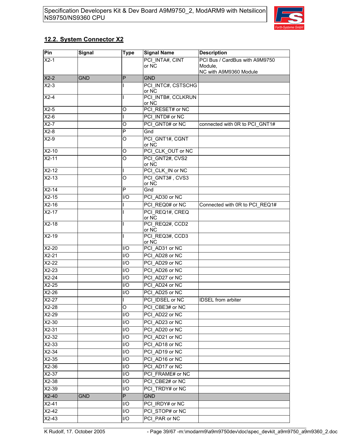

### **12.2. System Connector X2**

| Pin     | <b>Signal</b> | <b>Type</b>      | <b>Signal Name</b>          | <b>Description</b>                |
|---------|---------------|------------------|-----------------------------|-----------------------------------|
| $X2-1$  |               |                  | PCI INTA#, CINT             | PCI Bus / CardBus with A9M9750    |
|         |               |                  | or $N\overline{C}$          | Module,<br>NC with A9M9360 Module |
| $X2-2$  | <b>GND</b>    | $\mathsf{P}$     | <b>GND</b>                  |                                   |
| $X2-3$  |               |                  | PCI INTC#, CSTSCHG<br>or NC |                                   |
| $X2-4$  |               | ı                | PCI INTB#, CCLKRUN<br>or NC |                                   |
| $X2-5$  |               | O                | PCI RESET# or NC            |                                   |
| $X2-6$  |               | ı                | PCI INTD# or NC             |                                   |
| $X2-7$  |               | O                | PCI GNT0# or NC             | connected with 0R to PCI GNT1#    |
| $X2-8$  |               | P                | Gnd                         |                                   |
| $X2-9$  |               | O                | PCI GNT1#, CGNT<br>or NC    |                                   |
| $X2-10$ |               | O                | PCI CLK OUT or NC           |                                   |
| $X2-11$ |               | O                | PCI GNT2#, CVS2<br>or NC    |                                   |
| $X2-12$ |               | I                | PCI CLK IN or NC            |                                   |
| $X2-13$ |               | O                | PCI GNT3#, CVS3<br>or NC    |                                   |
| $X2-14$ |               | P                | Gnd                         |                                   |
| $X2-15$ |               | $\overline{I}/O$ | PCI AD30 or NC              |                                   |
| $X2-16$ |               |                  | PCI REQ0# or NC             | Connected with 0R to PCI_REQ1#    |
| $X2-17$ |               |                  | PCI REQ1#, CREQ<br>or NC    |                                   |
| $X2-18$ |               | L                | PCI REQ2#, CCD2<br>or NC    |                                   |
| $X2-19$ |               | T                | PCI REQ3#, CCD3<br>or NC    |                                   |
| $X2-20$ |               | I/O              | PCI AD31 or NC              |                                   |
| $X2-21$ |               | I/O              | PCI AD28 or NC              |                                   |
| $X2-22$ |               | I/O              | PCI AD29 or NC              |                                   |
| $X2-23$ |               | I/O              | PCI AD26 or NC              |                                   |
| $X2-24$ |               | I/O              | PCI AD27 or NC              |                                   |
| X2-25   |               | I/O              | PCI AD24 or NC              |                                   |
| $X2-26$ |               | I/O              | PCI AD25 or NC              |                                   |
| $X2-27$ |               | Τ                | PCI IDSEL or NC             | <b>IDSEL</b> from arbiter         |
| $X2-28$ |               | O                | PCI CBE3# or NC             |                                   |
| $X2-29$ |               | I/O              | PCI_AD22 or NC              |                                   |
| $X2-30$ |               | I/O              | PCI AD23 or NC              |                                   |
| $X2-31$ |               | I/O              | PCI AD20 or NC              |                                   |
| $X2-32$ |               | I/O              | PCI AD21 or NC              |                                   |
| $X2-33$ |               | I/O              | PCI AD18 or NC              |                                   |
| $X2-34$ |               | I/O              | PCI AD19 or NC              |                                   |
| $X2-35$ |               | I/O              | PCI AD16 or NC              |                                   |
| $X2-36$ |               | I/O              | PCI AD17 or NC              |                                   |
| $X2-37$ |               | I/O              | PCI FRAME# or NC            |                                   |
| $X2-38$ |               | I/O              | PCI CBE2# or NC             |                                   |
| X2-39   |               | I/O              | PCI TRDY# or NC             |                                   |
| $X2-40$ | <b>GND</b>    | P                | <b>GND</b>                  |                                   |
| $X2-41$ |               | I/O              | PCI IRDY# or NC             |                                   |
| $X2-42$ |               | I/O              | PCI STOP# or NC             |                                   |
| $X2-43$ |               | I/O              | PCI PAR or NC               |                                   |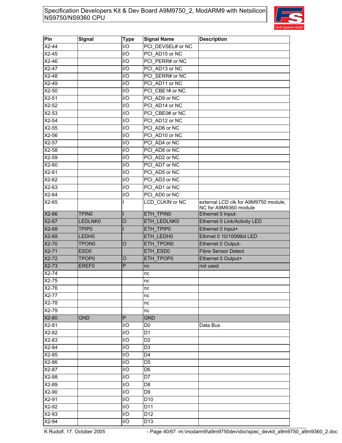

| external LCD clk for A9M9750 module,<br>NC for A9M9360 module |
|---------------------------------------------------------------|
|                                                               |
| Ethernet 0 Link/Activity LED                                  |
|                                                               |
| Ethrnet 0 10/100Mbit LED                                      |
|                                                               |
|                                                               |
|                                                               |
|                                                               |
|                                                               |
|                                                               |
|                                                               |
|                                                               |
|                                                               |
|                                                               |
|                                                               |
|                                                               |
|                                                               |
|                                                               |
|                                                               |
|                                                               |
|                                                               |
|                                                               |
|                                                               |
|                                                               |
|                                                               |
|                                                               |
|                                                               |
|                                                               |
|                                                               |
|                                                               |

K Rudolf, 17. October 2005 - Page 40/67 -m:\modarm9\a9m9750dev\doc\spec\_devkit\_a9m9750\_a9m9360\_2.doc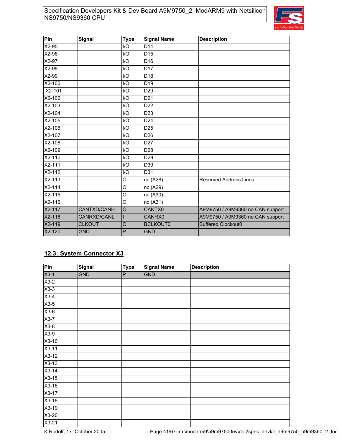

| Pin        | <b>Signal</b> | <b>Type</b>             | <b>Signal Name</b> | <b>Description</b>               |
|------------|---------------|-------------------------|--------------------|----------------------------------|
| $X2-95$    |               | $U$ O                   | D <sub>14</sub>    |                                  |
| X2-96      |               | I/O                     | D <sub>15</sub>    |                                  |
| $X2-97$    |               | I/O                     | D <sub>16</sub>    |                                  |
| X2-98      |               | $\mathsf{I}/\mathsf{O}$ | D <sub>17</sub>    |                                  |
| X2-99      |               | 1/O                     | D <sub>18</sub>    |                                  |
| X2-100     |               | I/O                     | D <sub>19</sub>    |                                  |
| X2-101     |               | I/O                     | D <sub>20</sub>    |                                  |
| X2-102     |               | I/O                     | D <sub>21</sub>    |                                  |
| $X2-103$   |               | I/O                     | $\overline{D22}$   |                                  |
| X2-104     |               | I/O                     | D <sub>23</sub>    |                                  |
| X2-105     |               | I/O                     | D <sub>24</sub>    |                                  |
| X2-106     |               | I/O                     | D <sub>25</sub>    |                                  |
| X2-107     |               | I/O                     | D <sub>26</sub>    |                                  |
| X2-108     |               | I/O                     | D <sub>27</sub>    |                                  |
| X2-109     |               | I/O                     | D <sub>28</sub>    |                                  |
| X2-110     |               | I/O                     | D <sub>29</sub>    |                                  |
| X2-111     |               | I/O                     | D <sub>30</sub>    |                                  |
| X2-112     |               | I/O                     | D31                |                                  |
| $X2 - 113$ |               | O                       | nc (A28)           | <b>Reserved Address Lines</b>    |
| $X2 - 114$ |               | $\circ$                 | nc (A29)           |                                  |
| X2-115     |               | $\overline{O}$          | nc (A30)           |                                  |
| $X2-116$   |               | O                       | nc (A31)           |                                  |
| X2-117     | CANTXD/CANH   | $\overline{O}$          | CANTX0             | A9M9750 / A9M9360 no CAN support |
| $X2-118$   | CANRXD/CANL   |                         | CANRX0             | A9M9750 / A9M9360 no CAN support |
| X2-119     | <b>CLKOUT</b> | $\circ$                 | <b>BCLKOUT0</b>    | <b>Buffered Clockout0</b>        |
| X2-120     | <b>GND</b>    | P                       | <b>GND</b>         |                                  |

### **12.3. System Connector X3**

| Pin     | <b>Signal</b> | <b>Type</b> | <b>Signal Name</b> | <b>Description</b> |
|---------|---------------|-------------|--------------------|--------------------|
| $X3-1$  | <b>GND</b>    | ΙP          | <b>GND</b>         |                    |
| $X3-2$  |               |             |                    |                    |
| $X3-3$  |               |             |                    |                    |
| $X3-4$  |               |             |                    |                    |
| $X3-5$  |               |             |                    |                    |
| $X3-6$  |               |             |                    |                    |
| $X3-7$  |               |             |                    |                    |
| $X3-8$  |               |             |                    |                    |
| $X3-9$  |               |             |                    |                    |
| $X3-10$ |               |             |                    |                    |
| $X3-11$ |               |             |                    |                    |
| $X3-12$ |               |             |                    |                    |
| $X3-13$ |               |             |                    |                    |
| $X3-14$ |               |             |                    |                    |
| $X3-15$ |               |             |                    |                    |
| $X3-16$ |               |             |                    |                    |
| $X3-17$ |               |             |                    |                    |
| $X3-18$ |               |             |                    |                    |
| X3-19   |               |             |                    |                    |
| $X3-20$ |               |             |                    |                    |
| $X3-21$ |               |             |                    |                    |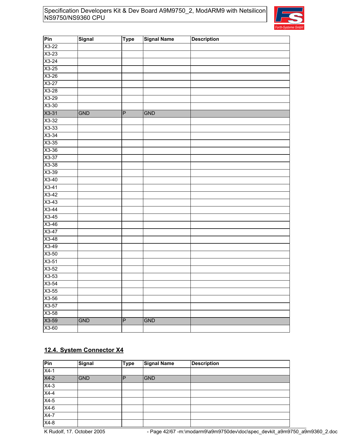

| Pin     | Signal     | <b>Type</b>    | <b>Signal Name</b> | <b>Description</b> |
|---------|------------|----------------|--------------------|--------------------|
| $X3-22$ |            |                |                    |                    |
| $X3-23$ |            |                |                    |                    |
| $X3-24$ |            |                |                    |                    |
| $X3-25$ |            |                |                    |                    |
| X3-26   |            |                |                    |                    |
| $X3-27$ |            |                |                    |                    |
| X3-28   |            |                |                    |                    |
| X3-29   |            |                |                    |                    |
| $X3-30$ |            |                |                    |                    |
| $X3-31$ | <b>GND</b> | P              | GND                |                    |
| X3-32   |            |                |                    |                    |
| $X3-33$ |            |                |                    |                    |
| $X3-34$ |            |                |                    |                    |
| $X3-35$ |            |                |                    |                    |
| $X3-36$ |            |                |                    |                    |
| X3-37   |            |                |                    |                    |
| X3-38   |            |                |                    |                    |
| $X3-39$ |            |                |                    |                    |
| $X3-40$ |            |                |                    |                    |
| $X3-41$ |            |                |                    |                    |
| $X3-42$ |            |                |                    |                    |
| $X3-43$ |            |                |                    |                    |
| $X3-44$ |            |                |                    |                    |
| $X3-45$ |            |                |                    |                    |
| X3-46   |            |                |                    |                    |
| X3-47   |            |                |                    |                    |
| $X3-48$ |            |                |                    |                    |
| $X3-49$ |            |                |                    |                    |
| X3-50   |            |                |                    |                    |
| $X3-51$ |            |                |                    |                    |
| X3-52   |            |                |                    |                    |
| X3-53   |            |                |                    |                    |
| $X3-54$ |            |                |                    |                    |
| $X3-55$ |            |                |                    |                    |
| X3-56   |            |                |                    |                    |
| $X3-57$ |            |                |                    |                    |
| $X3-58$ |            |                |                    |                    |
| X3-59   | <b>GND</b> | $\overline{P}$ | <b>GND</b>         |                    |
| $X3-60$ |            |                |                    |                    |

### **12.4. System Connector X4**

| Pin               | Signal     | <b>Type</b> | <b>Signal Name</b> | <b>Description</b> |
|-------------------|------------|-------------|--------------------|--------------------|
| $X4-1$            |            |             |                    |                    |
| $X4-2$            | <b>GND</b> | P           | <b>GND</b>         |                    |
| $\overline{X4-3}$ |            |             |                    |                    |
| $X4-4$            |            |             |                    |                    |
| $X4-5$            |            |             |                    |                    |
| $X4-6$            |            |             |                    |                    |
| $X4-7$            |            |             |                    |                    |
| $X4-8$            |            |             |                    |                    |

K Rudolf, 17. October 2005 - Page 42/67 -m:\modarm9\a9m9750dev\doc\spec\_devkit\_a9m9750\_a9m9360\_2.doc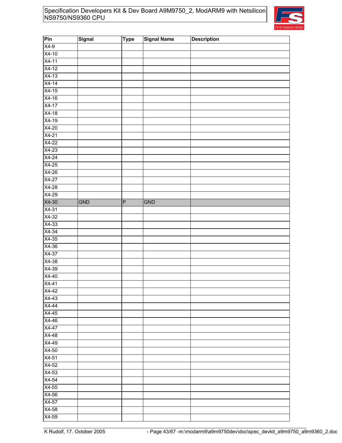

| Pin     | Signal | <b>Type</b> | <b>Signal Name</b> | <b>Description</b> |
|---------|--------|-------------|--------------------|--------------------|
| $X4-9$  |        |             |                    |                    |
| $X4-10$ |        |             |                    |                    |
| $X4-11$ |        |             |                    |                    |
| $X4-12$ |        |             |                    |                    |
| $X4-13$ |        |             |                    |                    |
| $X4-14$ |        |             |                    |                    |
| $X4-15$ |        |             |                    |                    |
| X4-16   |        |             |                    |                    |
| $X4-17$ |        |             |                    |                    |
| $X4-18$ |        |             |                    |                    |
| $X4-19$ |        |             |                    |                    |
| $X4-20$ |        |             |                    |                    |
| $X4-21$ |        |             |                    |                    |
| $X4-22$ |        |             |                    |                    |
| $X4-23$ |        |             |                    |                    |
| $X4-24$ |        |             |                    |                    |
| $X4-25$ |        |             |                    |                    |
| $X4-26$ |        |             |                    |                    |
| $X4-27$ |        |             |                    |                    |
| $X4-28$ |        |             |                    |                    |
| $X4-29$ |        |             |                    |                    |
| X4-30   | GND    | $\mathsf P$ | GND                |                    |
| $X4-31$ |        |             |                    |                    |
| $X4-32$ |        |             |                    |                    |
| $X4-33$ |        |             |                    |                    |
| $X4-34$ |        |             |                    |                    |
| $X4-35$ |        |             |                    |                    |
| $X4-36$ |        |             |                    |                    |
| X4-37   |        |             |                    |                    |
| X4-38   |        |             |                    |                    |
| X4-39   |        |             |                    |                    |
| X4-40   |        |             |                    |                    |
| $X4-41$ |        |             |                    |                    |
| X4-42   |        |             |                    |                    |
| $X4-43$ |        |             |                    |                    |
| $X4-44$ |        |             |                    |                    |
| $X4-45$ |        |             |                    |                    |
| $X4-46$ |        |             |                    |                    |
| $X4-47$ |        |             |                    |                    |
| X4-48   |        |             |                    |                    |
| X4-49   |        |             |                    |                    |
| X4-50   |        |             |                    |                    |
| $X4-51$ |        |             |                    |                    |
| X4-52   |        |             |                    |                    |
| $X4-53$ |        |             |                    |                    |
| $X4-54$ |        |             |                    |                    |
| $X4-55$ |        |             |                    |                    |
| $X4-56$ |        |             |                    |                    |
| X4-57   |        |             |                    |                    |
| X4-58   |        |             |                    |                    |
| X4-59   |        |             |                    |                    |
|         |        |             |                    |                    |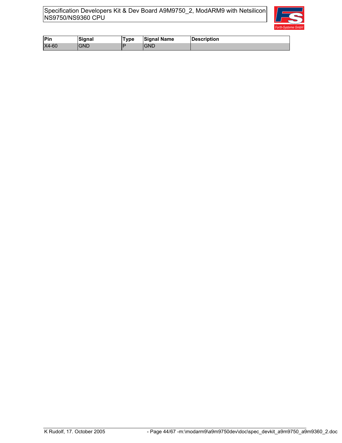

| Pin   | <b>Signal</b> | vpe | <b>Signal Name</b> | <b>Description</b> |
|-------|---------------|-----|--------------------|--------------------|
| X4-60 | GND           | ۱в  | GND                |                    |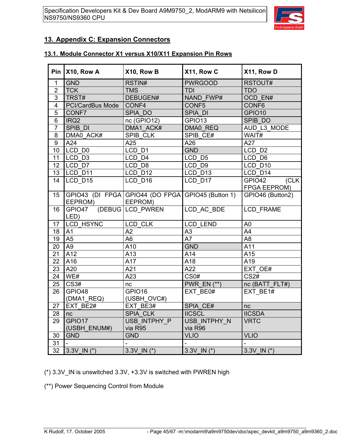

### **13. Appendix C: Expansion Connectors**

### **13.1. Module Connector X1 versus X10/X11 Expansion Pin Rows**

| Pin                     | X10, Row A              | X10, Row B                                        | X11, Row C               | X11, Row D        |
|-------------------------|-------------------------|---------------------------------------------------|--------------------------|-------------------|
| $\mathbf{1}$            | <b>GND</b>              | RSTIN#                                            | <b>PWRGOOD</b>           | RSTOUT#           |
| $\overline{2}$          | <b>TCK</b>              | <b>TMS</b>                                        | TDI                      | <b>TDO</b>        |
| $\overline{3}$          | TRST#                   | DEBUGEN#                                          | <b>NAND FWP#</b>         | OCD EN#           |
| $\overline{\mathbf{4}}$ | PCI/CardBus Mode        | CONF4                                             | CONF5                    | CONF <sub>6</sub> |
| 5                       | CONF7                   | SPIA DO                                           | SPIA DI                  | GPIO10            |
| 6                       | IRQ <sub>2</sub>        | nc (GPIO12)                                       | GPIO13                   | SPIB DO           |
| $\overline{7}$          | SPIB DI                 | DMA1 ACK#                                         | DMA0 REQ                 | AUD L3 MODE       |
| 8                       | DMA0 ACK#               | SPIB CLK                                          | SPIB CE#                 | WAIT#             |
| 9                       | A24                     | A25                                               | A26                      | A27               |
| 10                      | LCD D0                  | LCD D1                                            | <b>GND</b>               | LCD D2            |
| 11                      | LCD_D <sub>3</sub>      | LCD D4                                            | LCD D5                   | LCD D6            |
| 12                      | LCD D7                  | LCD D8                                            | LCD D9                   | LCD D10           |
| 13                      | LCD D11                 | LCD D12                                           | LCD D13                  | LCD D14           |
| 14                      | LCD D15                 | $LCD_$ D <sub>16</sub>                            | LCD D17                  | (CLK<br>GPIO42    |
|                         |                         |                                                   |                          | FPGA EEPROM)      |
| 15                      |                         | GPIO43 (DI FPGA GPIO44 (DO FPGA GPIO45 (Button 1) |                          | GPIO46 (Button2)  |
|                         | EEPROM)                 | EEPROM)                                           |                          |                   |
| 16                      | GPIO47 (DEBUG LCD PWREN |                                                   | LCD AC BDE               | <b>LCD FRAME</b>  |
|                         | LED)                    |                                                   |                          |                   |
| 17                      | LCD_HSYNC               | LCD CLK                                           | LCD LEND                 | A <sub>0</sub>    |
| 18                      | A1                      | A2                                                | A <sub>3</sub>           | A4                |
| 19                      | A <sub>5</sub>          | A <sub>6</sub>                                    | $\overline{A7}$          | $\overline{AB}$   |
| 20                      | A <sub>9</sub>          | A10                                               | <b>GND</b>               | A11               |
| 21                      | A12                     | A13                                               | A14                      | A15               |
| 22                      | A16                     | A17                                               | A18                      | A19               |
| 23                      | A20                     | A21                                               | A22                      | EXT OE#           |
| 24                      | WE#                     | A23                                               | $\overline{\text{CS0#}}$ | CS <sub>2#</sub>  |
| 25                      | $\overline{CS3#}$       | nc                                                | <b>PWR EN (**)</b>       | nc (BATT_FLT#)    |
| 26                      | GPIO48                  | GPIO16                                            | EXT BE0#                 | EXT BE1#          |
|                         | (DMA1_REQ)              | (USBH_OVC#)                                       |                          |                   |
| 27                      | EXT BE2#                | EXT BE3#                                          | SPIA CE#                 | nc                |
| 28                      | nc                      | SPIA_CLK                                          | <b>IICSCL</b>            | <b>IICSDA</b>     |
| 29                      | GPIO17                  | USB_INTPHY_P                                      | USB_INTPHY_N             | <b>VRTC</b>       |
|                         | (USBH_ENUM#)            | via R95                                           | via R96                  |                   |
| 30<br>31                | <b>GND</b>              | <b>GND</b>                                        | <b>VLIO</b>              | <b>VLIO</b>       |
|                         |                         |                                                   |                          |                   |
| $\overline{32}$         | 3.3V IN $(*)$           | $3.3V$ IN $(*)$                                   | 3.3V IN $(*)$            | $3.3V$ IN $(*)$   |

(\*) 3.3V\_IN is unswitched 3.3V, +3.3V is switched with PWREN high

(\*\*) Power Sequencing Control from Module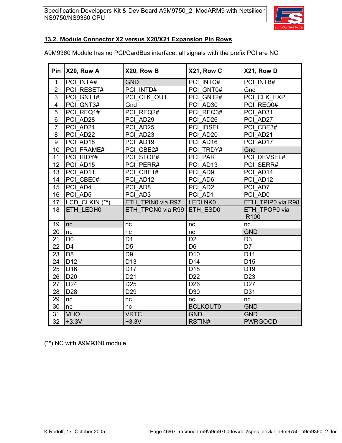

### **13.2. Module Connector X2 versus X20/X21 Expansion Pin Rows**

A9M9360 Module has no PCI/CardBus interface, all signals with the prefix PCI are NC

|                 | Pin $X20$ , Row A | X20, Row B        | X21, Row C      | X21, Row D                        |
|-----------------|-------------------|-------------------|-----------------|-----------------------------------|
| $\mathbf{1}$    | PCI INTA#         | <b>GND</b>        | PCI INTC#       | PCI INTB#                         |
| $\overline{2}$  | PCI RESET#        | PCI INTD#         | PCI GNT0#       | Gnd                               |
| 3               | PCI GNT1#         | PCI CLK OUT       | PCI GNT2#       | PCI CLK EXP                       |
| $\overline{4}$  | PCI_GNT3#         | Gnd               | PCI AD30        | PCI REQ0#                         |
| 5               | PCI REQ1#         | PCI REQ2#         | PCI REQ3#       | PCI AD31                          |
| $\overline{6}$  | PCI AD28          | PCI AD29          | PCI AD26        | PCI AD27                          |
| $\overline{7}$  | PCI AD24          | PCI AD25          | PCI IDSEL       | PCI CBE3#                         |
| 8               | PCI AD22          | PCI AD23          | PCI AD20        | PCI AD21                          |
| 9               | PCI AD18          | PCI AD19          | PCI AD16        | PCI AD17                          |
| 10              | PCI FRAME#        | PCI CBE2#         | PCI TRDY#       | Gnd                               |
| 11              | PCI IRDY#         | PCI STOP#         | PCI PAR         | PCI DEVSEL#                       |
| 12              | PCI_AD15          | PCI PERR#         | PCI AD13        | PCI SERR#                         |
| 13              | PCI AD11          | PCI_CBE1#         | PCI AD9         | PCI AD14                          |
| 14              | PCI CBE0#         | PCI AD12          | PCI AD6         | PCI AD12                          |
| 15              | PCI AD4           | PCI AD8           | PCI AD2         | PCI AD7                           |
| 16              | PCI AD5           | PCI AD3           | PCI AD1         | PCI AD0                           |
| 17              | LCD CLKIN (**)    | ETH TPINO via R97 | LEDLNK0         | ETH TPIP0 via R98                 |
| 18              | ETH LEDH0         | ETH TPON0 via R99 | ETH ESD0        | ETH TPOP0 via<br>R <sub>100</sub> |
| 19              | nc                | nc                | nc              | nc                                |
| 20              | nc                | nc                | nc              | <b>GND</b>                        |
| 21              | D <sub>0</sub>    | D <sub>1</sub>    | D <sub>2</sub>  | D <sub>3</sub>                    |
| 22              | D <sub>4</sub>    | D <sub>5</sub>    | D <sub>6</sub>  | D7                                |
| 23              | D <sub>8</sub>    | D <sub>9</sub>    | D <sub>10</sub> | D <sub>11</sub>                   |
| 24              | D <sub>12</sub>   | D <sub>13</sub>   | D <sub>14</sub> | D <sub>15</sub>                   |
| 25              | D <sub>16</sub>   | D <sub>17</sub>   | D <sub>18</sub> | D <sub>19</sub>                   |
| 26              | D <sub>20</sub>   | D <sub>21</sub>   | D <sub>22</sub> | D <sub>23</sub>                   |
| 27              | D <sub>24</sub>   | D <sub>25</sub>   | D <sub>26</sub> | D <sub>27</sub>                   |
| 28              | D <sub>28</sub>   | D <sub>29</sub>   | D30             | D31                               |
| 29              | nc                | nc                | nc              | nc                                |
| 30              | nc                | nc                | <b>BCLKOUT0</b> | <b>GND</b>                        |
| 31              | <b>VLIO</b>       | <b>VRTC</b>       | <b>GND</b>      | <b>GND</b>                        |
| $\overline{32}$ | $+3.3V$           | $+3.3V$           | RSTIN#          | <b>PWRGOOD</b>                    |

(\*\*) NC with A9M9360 module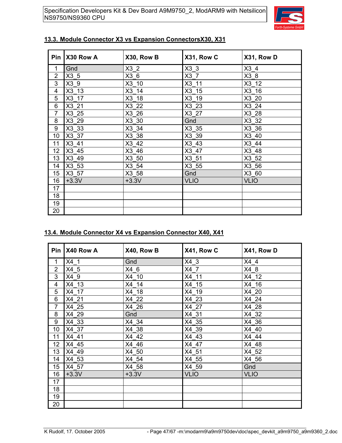

|                | Pin   X30 Row A | X30, Row B      | X31, Row C      | X31, Row D  |
|----------------|-----------------|-----------------|-----------------|-------------|
| 1              | Gnd             | X3 <sub>2</sub> | X3 <sub>3</sub> | X3 4        |
| $\overline{2}$ | X3 5            | X3 6            | X3 7            | X3 8        |
| 3              | $X3_9$          | $X3$ 10         | $X3$ _11        | $X3$ 12     |
| 4              | $X3$ 13         | X3 14           | X3 15           | X3 16       |
| 5              | X3 17           | X3 18           | X3 19           | X3 20       |
| 6              | X3 21           | X3_22           | X3 23           | X3 24       |
| $\overline{7}$ | X3 25           | X3 26           | X3 27           | X3 28       |
| 8              | X3 29           | X3 30           | Gnd             | X3 32       |
| 9              | X3 33           | X3 34           | X3 35           | X3 36       |
| 10             | X3 37           | X3 38           | X3 39           | X3 40       |
| 11             | X3 41           | $X3$ 42         | X3 43           | X3 44       |
| 12             | X3 45           | X3 46           | X3 47           | X3 48       |
| 13             | X3 49           | X3 50           | X3 51           | X3 52       |
| 14             | $X3$ 53         | X3_54           | $X3$ 55         | X3 56       |
| 15             | X3 57           | X3 58           | Gnd             | X3 60       |
| 16             | $+3.3V$         | $+3.3V$         | <b>VLIO</b>     | <b>VLIO</b> |
| 17             |                 |                 |                 |             |
| 18             |                 |                 |                 |             |
| 19             |                 |                 |                 |             |
| 20             |                 |                 |                 |             |

### **13.3. Module Connector X3 vs Expansion ConnectorsX30, X31**

### **13.4. Module Connector X4 vs Expansion Connector X40, X41**

| <b>Pin</b>     | X40 Row A | X40, Row B | X41, Row C  | X41, Row D  |
|----------------|-----------|------------|-------------|-------------|
| 1              | $X4_1$    | Gnd        | X4 3        | X4 4        |
| $\overline{2}$ | X4 5      | X4 6       | X4 7        | X4 8        |
| 3              | X4 9      | X4 10      | X4 11       | X4 12       |
| 4              | X4 13     | X4 14      | X4 15       | X4 16       |
| 5              | X4 17     | X4 18      | X4 19       | X4 20       |
| 6              | X4 21     | X4 22      | X4 23       | X4 24       |
| $\overline{7}$ | X4 25     | X4 26      | X4 27       | X4 28       |
| 8              | X4 29     | Gnd        | X4 31       | X4 32       |
| 9              | X4 33     | X4 34      | X4 35       | X4 36       |
| 10             | X4 37     | X4 38      | X4 39       | X4 40       |
| 11             | X4 41     | X4 42      | X4 43       | X4 44       |
| 12             | X4 45     | X4 46      | X4 47       | X4 48       |
| 13             | X4 49     | X4 50      | X4 51       | X4 52       |
| 14             | X4_53     | X4 54      | X4 55       | X4 56       |
| 15             | X4 57     | X4 58      | X4 59       | Gnd         |
| 16             | $+3.3V$   | $+3.3V$    | <b>VLIO</b> | <b>VLIO</b> |
| 17             |           |            |             |             |
| 18             |           |            |             |             |
| 19             |           |            |             |             |
| 20             |           |            |             |             |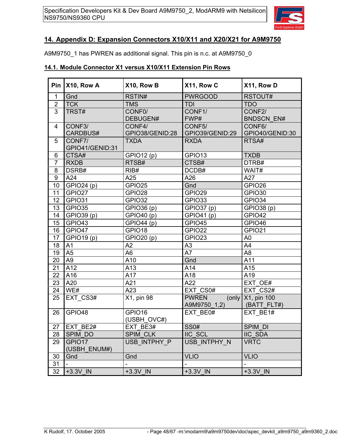

### **14. Appendix D: Expansion Connectors X10/X11 and X20/X21 for A9M9750**

A9M9750\_1 has PWREN as additional signal. This pin is n.c. at A9M9750\_0

### **14.1. Module Connector X1 versus X10/X11 Extension Pin Rows**

| Pin              | X10, Row A      | X10, Row B        | X11, Row C               | X11, Row D               |
|------------------|-----------------|-------------------|--------------------------|--------------------------|
| $\mathbf{1}$     | Gnd             | RSTIN#            | <b>PWRGOOD</b>           | RSTOUT#                  |
| $\overline{2}$   | <b>TCK</b>      | <b>TMS</b>        | <b>TDI</b>               | <b>TDO</b>               |
| $\overline{3}$   | TRST#           | CONF <sub>0</sub> | CONF1/                   | CONF2/                   |
|                  |                 | DEBUGEN#          | FWP#                     | <b>BNDSCN EN#</b>        |
| 4                | CONF3/          | CONF4/            | CONF5/                   | CONF6/                   |
|                  | CARDBUS#        | GPIO38/GENID:28   | GPIO39/GENID:29          | GPIO40/GENID:30          |
| 5                | CONF7/          | <b>TXDA</b>       | <b>RXDA</b>              | RTSA#                    |
|                  | GPIO41/GENID:31 |                   |                          |                          |
| 6                | CTSA#           | GPIO12 (p)        | GPIO13                   | <b>TXDB</b>              |
| $\overline{7}$   | <b>RXDB</b>     | RTSB#             | CTSB#                    | DTRB#                    |
| 8                | DSRB#           | RIB#              | DCDB#                    | WAIT#                    |
| $\boldsymbol{9}$ | A24             | A25               | A26                      | A27                      |
| 10               | GPIO24 (p)      | GPIO25            | Gnd                      | GPIO26                   |
| 11               | GPIO27          | GPIO28            | GPIO29                   | GPIO30                   |
| 12               | GPIO31          | GPIO32            | GPIO33                   | GPIO34                   |
| 13               | GPIO35          | GPIO36 (p)        | GPIO37 (p)               | GPIO38 (p)               |
| 14               | GPIO39 (p)      | GPIO40 (p)        | GPIO41 (p)               | GPIO42                   |
| 15               | GPIO43          | GPIO44 (p)        | GPIO45                   | GPIO46                   |
| 16               | GPIO47          | GPIO18            | GPIO22                   | GPIO21                   |
| 17               | GPIO19 (p)      | <b>GPIO20 (p)</b> | GPIO23                   | A <sub>0</sub>           |
| 18               | A <sub>1</sub>  | A2                | A <sub>3</sub>           | A4                       |
| 19               | A <sub>5</sub>  | A <sub>6</sub>    | A7                       | A <sub>8</sub>           |
| 20               | A <sub>9</sub>  | A10               | Gnd                      | A11                      |
| 21               | A12             | A13               | A14                      | A15                      |
| 22               | A16             | A17               | A18                      | A19                      |
| 23               | A20             | A21               | A22                      | EXT_OE#                  |
| 24               | WE#             | A23               | EXT CS0#                 | EXT CS2#                 |
| 25               | EXT CS3#        | X1, pin 98        | <b>PWREN</b><br>(only)   | X1, pin 100              |
|                  |                 |                   | A9M9750_1,2)             | (BATT_FLT#)              |
| 26               | GPIO48          | GPIO16            | EXT BE0#                 | EXT BE1#                 |
|                  |                 | (USBH_OVC#)       |                          |                          |
| 27               | EXT BE2#        | EXT BE3#          | <b>SS0#</b>              | SPIM DI                  |
| 28               | SPIM DO         | <b>SPIM CLK</b>   | IIC_SCL                  | IIC_SDA                  |
| 29               | GPIO17          | USB INTPHY P      | USB INTPHY N             | <b>VRTC</b>              |
|                  | (USBH_ENUM#)    |                   |                          |                          |
| 30               | Gnd             | Gnd               | <b>VLIO</b>              | <b>VLIO</b>              |
| 31               |                 |                   | $\overline{\phantom{0}}$ | $\overline{\phantom{0}}$ |
| 32               | +3.3V IN        | +3.3V IN          | +3.3V IN                 | +3.3V IN                 |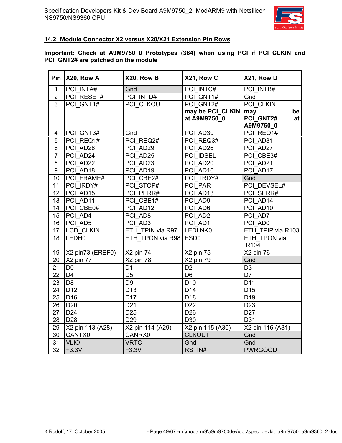

### **14.2. Module Connector X2 versus X20/X21 Extension Pin Rows**

#### **Important: Check at A9M9750\_0 Prototypes (364) when using PCI if PCI\_CLKIN and PCI\_GNT2# are patched on the module**

|                 | Pin $X20$ , Row A | X20, Row B            | X21, Row C                       | X21, Row D                                |
|-----------------|-------------------|-----------------------|----------------------------------|-------------------------------------------|
| $\mathbf{1}$    | PCI INTA#         | Gnd                   | PCI INTC#                        | PCI INTB#                                 |
| $\overline{2}$  | PCI RESET#        | PCI INTD#             | PCI GNT1#                        | Gnd                                       |
| $\overline{3}$  | PCI GNT1#         | PCI CLKOUT            | PCI GNT2#                        | <b>PCI CLKIN</b>                          |
|                 |                   |                       | may be PCI_CLKIN<br>at A9M9750_0 | may<br>be<br>PCI_GNT2#<br>at<br>A9M9750 0 |
| 4               | PCI GNT3#         | Gnd                   | PCI AD30                         | PCI REQ1#                                 |
| 5               | PCI REQ1#         | PCI REQ2#             | PCI REQ3#                        | PCI AD31                                  |
| 6               | PCI AD28          | PCI AD29              | PCI AD26                         | PCI AD27                                  |
| $\overline{7}$  | PCI AD24          | PCI AD25              | PCI IDSEL                        | PCI CBE3#                                 |
| 8               | PCI_AD22          | PCI AD23              | PCI AD20                         | PCI AD21                                  |
| $\overline{9}$  | PCI AD18          | PCI AD19              | PCI AD16                         | PCI AD17                                  |
| 10              | PCI FRAME#        | PCI CBE2#             | PCI TRDY#                        | Gnd                                       |
| 11              | PCI IRDY#         | PCI STOP#             | PCI PAR                          | PCI DEVSEL#                               |
| 12              | PCI AD15          | PCI PERR#             | PCI AD13                         | PCI SERR#                                 |
| 13              | PCI AD11          | PCI CBE1#             | PCI AD9                          | PCI AD14                                  |
| 14              | PCI CBE0#         | PCI AD12              | PCI AD6                          | PCI AD10                                  |
| 15              | PCI AD4           | PCI AD8               | PCI AD2                          | PCI AD7                                   |
| 16              | PCI AD5           | PCI AD3               | PCI AD1                          | PCI AD0                                   |
| 17              | <b>LCD CLKIN</b>  | ETH TPIN via R97      | LEDLNK0                          | ETH TPIP via R103                         |
| $\overline{18}$ | LEDH <sub>0</sub> | ETH TPON via R98 ESD0 |                                  | ETH TPON via<br>R <sub>104</sub>          |
| 19              | X2 pin73 (EREF0)  | X2 pin 74             | X2 pin 75                        | X2 pin 76                                 |
| 20              | X2 pin 77         | X2 pin 78             | X2 pin 79                        | Gnd                                       |
| 21              | D <sub>0</sub>    | D <sub>1</sub>        | D <sub>2</sub>                   | D <sub>3</sub>                            |
| 22              | D <sub>4</sub>    | D <sub>5</sub>        | D <sub>6</sub>                   | D7                                        |
| 23              | D <sub>8</sub>    | D <sub>9</sub>        | D <sub>10</sub>                  | D <sub>11</sub>                           |
| 24              | D <sub>12</sub>   | D <sub>13</sub>       | D <sub>14</sub>                  | D <sub>15</sub>                           |
| 25              | D <sub>16</sub>   | D17                   | D <sub>18</sub>                  | D <sub>19</sub>                           |
| 26              | D <sub>20</sub>   | D <sub>21</sub>       | D <sub>22</sub>                  | D <sub>23</sub>                           |
| 27              | D <sub>24</sub>   | D <sub>25</sub>       | D <sub>26</sub>                  | D <sub>27</sub>                           |
| 28              | D <sub>28</sub>   | D <sub>29</sub>       | D30                              | D31                                       |
| 29              | X2 pin 113 (A28)  | X2 pin 114 (A29)      | X2 pin 115 (A30)                 | X2 pin 116 (A31)                          |
| 30              | CANTX0            | CANRX0                | <b>CLKOUT</b>                    | Gnd                                       |
| 31              | <b>VLIO</b>       | <b>VRTC</b>           | Gnd                              | Gnd                                       |
| $\overline{32}$ | $+3.3V$           | $+3.3V$               | RSTIN#                           | <b>PWRGOOD</b>                            |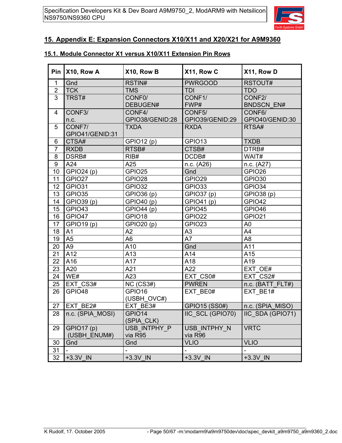

### **15. Appendix E: Expansion Connectors X10/X11 and X20/X21 for A9M9360**

### **15.1. Module Connector X1 versus X10/X11 Extension Pin Rows**

|                  | Pin $X10$ , Row A          | X10, Row B                | X11, Row C                | X11, Row D                  |
|------------------|----------------------------|---------------------------|---------------------------|-----------------------------|
| $\mathbf 1$      | Gnd                        | RSTIN#                    | <b>PWRGOOD</b>            | RSTOUT#                     |
| $\overline{2}$   | <b>TCK</b>                 | <b>TMS</b>                | <b>TDI</b>                | <b>TDO</b>                  |
| $\overline{3}$   | TRST#                      | CONF0/<br>DEBUGEN#        | CONF1/<br>FWP#            | CONF2/<br><b>BNDSCN EN#</b> |
| 4                | CONF3/<br>n.c.             | CONF4/<br>GPIO38/GENID:28 | CONF5/<br>GPIO39/GENID:29 | CONF6/<br>GPIO40/GENID:30   |
| 5                | CONF7/<br>GPIO41/GENID:31  | <b>TXDA</b>               | <b>RXDA</b>               | RTSA#                       |
| $\,6$            | CTSA#                      | GPIO12 (p)                | GPIO13                    | <b>TXDB</b>                 |
| $\overline{7}$   | <b>RXDB</b>                | RTSB#                     | CTSB#                     | DTRB#                       |
| 8                | DSRB#                      | RIB#                      | DCDB#                     | WAIT#                       |
| $\boldsymbol{9}$ | A24                        | A25                       | n.c. (A26)                | n.c. (A27)                  |
| 10               | GPIO24 (p)                 | GPIO25                    | Gnd                       | GPIO <sub>26</sub>          |
| 11               | GPIO27                     | GPIO28                    | GPIO29                    | GPIO30                      |
| 12               | GPIO31                     | GPIO32                    | GPIO33                    | GPIO34                      |
| 13               | GPIO35                     | GPIO36 (p)                | GPIO37 (p)                | GPIO38 (p)                  |
| 14               | GPIO39 (p)                 | GPIO40 (p)                | GPIO41 (p)                | GPIO42                      |
| 15               | GPIO43                     | GPIO44 (p)                | GPIO45                    | GPIO46                      |
| 16               | GPIO47                     | GPIO18                    | GPIO22                    | GPIO21                      |
| 17               | GPIO19 (p)                 | GPIO20 (p)                | GPIO23                    | A <sub>0</sub>              |
| 18               | A <sub>1</sub>             | A2                        | A <sub>3</sub>            | A4                          |
| 19               | A <sub>5</sub>             | A <sub>6</sub>            | A7                        | A <sub>8</sub>              |
| 20               | A <sub>9</sub>             | A10                       | Gnd                       | A11                         |
| 21               | A12                        | A13                       | A14                       | A15                         |
| 22               | A16                        | A17                       | A18                       | A19                         |
| 23               | A20                        | A21                       | A22                       | EXT OE#                     |
| 24               | WE#                        | A23                       | EXT CS0#                  | EXT CS2#                    |
| 25               | EXT CS3#                   | NC (CS3#)                 | <b>PWREN</b>              | n.c. (BATT_FLT#)            |
| 26               | GPIO48                     | GPIO16<br>(USBH_OVC#)     | EXT BE0#                  | EXT BE1#                    |
| 27               | EXT BE2#                   | EXT BE3#                  | GPIO15 (SS0#)             | n.c. (SPIA_MISO)            |
| 28               | n.c. (SPIA_MOSI)           | GPIO14<br>(SPIA_CLK)      | IIC_SCL (GPIO70)          | IIC_SDA (GPIO71)            |
| 29               | GPIO17 (p)<br>(USBH_ENUM#) | USB_INTPHY_P<br>via R95   | USB_INTPHY N<br>via R96   | <b>VRTC</b>                 |
| 30               | Gnd                        | Gnd                       | <b>VLIO</b>               | <b>VLIO</b>                 |
| 31               |                            |                           | $\overline{a}$            |                             |
| 32               | +3.3V IN                   | +3.3V IN                  | +3.3V IN                  | +3.3V IN                    |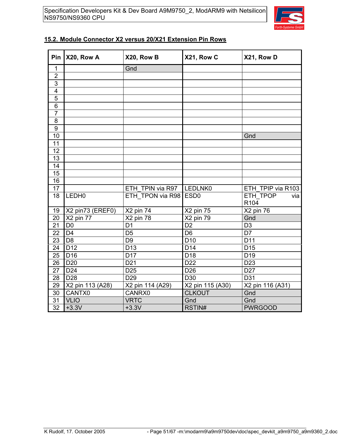

### **15.2. Module Connector X2 versus 20/X21 Extension Pin Rows**

| Pin              | X20, Row A        | X20, Row B       | X21, Row C       | X21, Row D                          |
|------------------|-------------------|------------------|------------------|-------------------------------------|
| $\mathbf 1$      |                   | Gnd              |                  |                                     |
| $\overline{2}$   |                   |                  |                  |                                     |
| $\overline{3}$   |                   |                  |                  |                                     |
| $\overline{4}$   |                   |                  |                  |                                     |
| $\overline{5}$   |                   |                  |                  |                                     |
| $\overline{6}$   |                   |                  |                  |                                     |
| $\overline{7}$   |                   |                  |                  |                                     |
| 8                |                   |                  |                  |                                     |
| $\boldsymbol{9}$ |                   |                  |                  |                                     |
| 10               |                   |                  |                  | Gnd                                 |
| 11               |                   |                  |                  |                                     |
| 12               |                   |                  |                  |                                     |
| 13               |                   |                  |                  |                                     |
| 14               |                   |                  |                  |                                     |
| 15               |                   |                  |                  |                                     |
| 16               |                   |                  |                  |                                     |
| 17               |                   | ETH TPIN via R97 | LEDLNK0          | ETH TPIP via R103                   |
| 18               | LEDH <sub>0</sub> | ETH_TPON via R98 | ESD <sub>0</sub> | ETH TPOP<br>via<br>R <sub>104</sub> |
| 19               | X2 pin73 (EREF0)  | X2 pin 74        | X2 pin 75        | X2 pin 76                           |
| 20               | X2 pin 77         | X2 pin 78        | X2 pin 79        | Gnd                                 |
| $\overline{21}$  | D <sub>0</sub>    | $\overline{D1}$  | $\overline{D2}$  | D <sub>3</sub>                      |
| 22               | D <sub>4</sub>    | D <sub>5</sub>   | D <sub>6</sub>   | D7                                  |
| 23               | D <sub>8</sub>    | D <sub>9</sub>   | D <sub>10</sub>  | D11                                 |
| 24               | D <sub>12</sub>   | D <sub>13</sub>  | D14              | D <sub>15</sub>                     |
| 25               | D <sub>16</sub>   | D <sub>17</sub>  | D <sub>18</sub>  | D <sub>19</sub>                     |
| 26               | D <sub>20</sub>   | D <sub>21</sub>  | D <sub>22</sub>  | D <sub>23</sub>                     |
| 27               | D <sub>24</sub>   | D <sub>25</sub>  | D <sub>26</sub>  | D <sub>27</sub>                     |
| 28               | D <sub>28</sub>   | D <sub>29</sub>  | D30              | D31                                 |
| 29               | X2 pin 113 (A28)  | X2 pin 114 (A29) | X2 pin 115 (A30) | X2 pin 116 (A31)                    |
| 30               | CANTX0            | CANRX0           | <b>CLKOUT</b>    | Gnd                                 |
| 31               | <b>VLIO</b>       | <b>VRTC</b>      | Gnd              | Gnd                                 |
| $\overline{32}$  | $+3.3V$           | $+3.3V$          | RSTIN#           | <b>PWRGOOD</b>                      |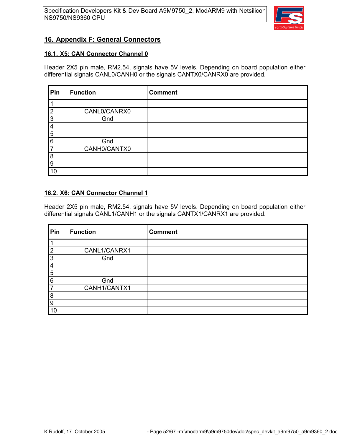

### **16. Appendix F: General Connectors**

#### **16.1. X5: CAN Connector Channel 0**

Header 2X5 pin male, RM2.54, signals have 5V levels. Depending on board population either differential signals CANL0/CANH0 or the signals CANTX0/CANRX0 are provided.

| Pin | <b>Function</b> | <b>Comment</b> |
|-----|-----------------|----------------|
|     |                 |                |
| າ   | CANL0/CANRX0    |                |
| 3   | Gnd             |                |
| 4   |                 |                |
| 5   |                 |                |
| 6   | Gnd             |                |
|     | CANH0/CANTX0    |                |
| 8   |                 |                |
| 9   |                 |                |
| 10  |                 |                |

#### **16.2. X6: CAN Connector Channel 1**

Header 2X5 pin male, RM2.54, signals have 5V levels. Depending on board population either differential signals CANL1/CANH1 or the signals CANTX1/CANRX1 are provided.

| Pin            | <b>Function</b> | <b>Comment</b> |
|----------------|-----------------|----------------|
|                |                 |                |
| $\overline{2}$ | CANL1/CANRX1    |                |
| 3              | Gnd             |                |
| $\overline{4}$ |                 |                |
| 5              |                 |                |
| 6              | Gnd             |                |
| 7              | CANH1/CANTX1    |                |
| 8              |                 |                |
| 9              |                 |                |
| 10             |                 |                |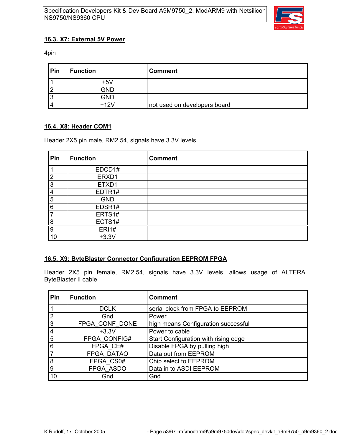

### **16.3. X7: External 5V Power**

4pin

| <b>Pin</b> | <b>Function</b> | <b>Comment</b>               |
|------------|-----------------|------------------------------|
|            | +5V             |                              |
|            | <b>GND</b>      |                              |
|            | GND             |                              |
|            | +12V            | not used on developers board |

### **16.4. X8: Header COM1**

Header 2X5 pin male, RM2.54, signals have 3.3V levels

| Pin            | <b>Function</b>    | <b>Comment</b> |
|----------------|--------------------|----------------|
|                | EDCD1#             |                |
| $\overline{2}$ | ERXD1              |                |
| 3              | ETXD1              |                |
| 4              | EDTR <sub>1#</sub> |                |
| 5              | <b>GND</b>         |                |
| 6              | EDSR1#             |                |
| $\overline{7}$ | ERTS1#             |                |
| 8              | ECTS1#             |                |
| 9              | <b>ERI1#</b>       |                |
| 10             | $+3.3V$            |                |

### **16.5. X9: ByteBlaster Connector Configuration EEPROM FPGA**

Header 2X5 pin female, RM2.54, signals have 3.3V levels, allows usage of ALTERA ByteBlaster II cable

| Pin            | <b>Function</b> | <b>Comment</b>                       |
|----------------|-----------------|--------------------------------------|
| $\vert$ 1      | <b>DCLK</b>     | serial clock from FPGA to EEPROM     |
| $\sqrt{2}$     | Gnd             | Power                                |
| $\overline{3}$ | FPGA CONF DONE  | high means Configuration successful  |
| 4              | $+3.3V$         | Power to cable                       |
| $\overline{5}$ | FPGA CONFIG#    | Start Configuration with rising edge |
| $\overline{6}$ | FPGA CE#        | Disable FPGA by pulling high         |
| Γ7             | FPGA DATAO      | Data out from EEPROM                 |
| $\overline{8}$ | FPGA CS0#       | Chip select to EEPROM                |
| g              | FPGA ASDO       | Data in to ASDI EEPROM               |
| 10             | Gnd             | Gnd                                  |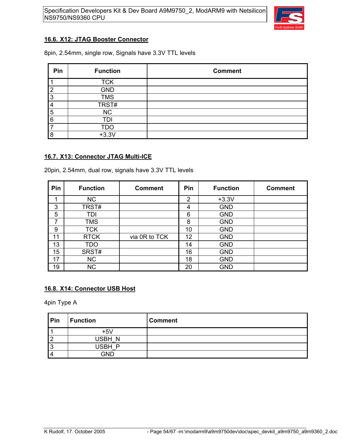

### **16.6. X12: JTAG Booster Connector**

8pin, 2.54mm, single row, Signals have 3.3V TTL levels

| Pin | <b>Function</b> | <b>Comment</b> |
|-----|-----------------|----------------|
|     | <b>TCK</b>      |                |
| ◠   | <b>GND</b>      |                |
| ຊ   | <b>TMS</b>      |                |
|     | TRST#           |                |
| 5   | <b>NC</b>       |                |
| 6   | TDI             |                |
|     | TDO             |                |
| о   | $+3.3V$         |                |

### **16.7. X13: Connector JTAG Multi-ICE**

20pin, 2.54mm, dual row, signals have 3.3V TTL levels

| Pin | <b>Function</b> | <b>Comment</b> | Pin            | <b>Function</b> | <b>Comment</b> |
|-----|-----------------|----------------|----------------|-----------------|----------------|
| 4   | <b>NC</b>       |                | $\overline{2}$ | $+3.3V$         |                |
| 3   | TRST#           |                | 4              | <b>GND</b>      |                |
| 5   | TDI             |                | 6              | <b>GND</b>      |                |
| 7   | <b>TMS</b>      |                | 8              | <b>GND</b>      |                |
| 9   | <b>TCK</b>      |                | 10             | <b>GND</b>      |                |
| 11  | <b>RTCK</b>     | via 0R to TCK  | 12             | <b>GND</b>      |                |
| 13  | TDO             |                | 14             | <b>GND</b>      |                |
| 15  | SRST#           |                | 16             | <b>GND</b>      |                |
| 17  | <b>NC</b>       |                | 18             | <b>GND</b>      |                |
| 19  | <b>NC</b>       |                | 20             | <b>GND</b>      |                |

### **16.8. X14: Connector USB Host**

4pin Type A

| Pin     | <b>Function</b> | <b>Comment</b> |
|---------|-----------------|----------------|
|         | $+5V$           |                |
| 2       | USBH N          |                |
| c<br>J. | USBH<br>D       |                |
| Δ       | GND             |                |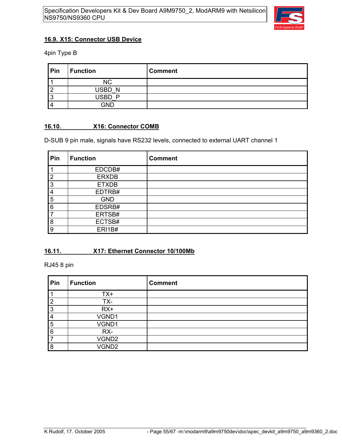

### **16.9. X15: Connector USB Device**

4pin Type B

| Pin | <b>Function</b> | <b>Comment</b> |
|-----|-----------------|----------------|
|     | <b>NC</b>       |                |
|     | USBD N          |                |
|     | <b>ISRD</b>     |                |
|     | GND             |                |

### **16.10. X16: Connector COMB**

D-SUB 9 pin male, signals have RS232 levels, connected to external UART channel 1

| Pin            | <b>Function</b> | <b>Comment</b> |
|----------------|-----------------|----------------|
|                | EDCDB#          |                |
| $\overline{2}$ | <b>ERXDB</b>    |                |
| 3              | <b>ETXDB</b>    |                |
| $\overline{4}$ | EDTRB#          |                |
| 5              | <b>GND</b>      |                |
| 6              | EDSRB#          |                |
|                | ERTSB#          |                |
| 8              | ECTSB#          |                |
| 9              | ERI1B#          |                |

### **16.11. X17: Ethernet Connector 10/100Mb**

RJ45 8 pin

| Pin | <b>Function</b> | <b>Comment</b> |
|-----|-----------------|----------------|
|     | TX+             |                |
| 2   | TX-             |                |
| 3   | $RX+$           |                |
| 4   | VGND1           |                |
| 5   | VGND1           |                |
| 6   | RX-             |                |
|     | VGND2           |                |
| 8   | VGND2           |                |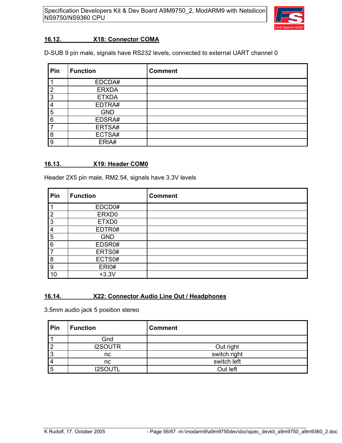

#### **16.12. X18: Connector COMA**

D-SUB 9 pin male, signals have RS232 levels, connected to external UART channel 0

| Pin | <b>Function</b> | <b>Comment</b> |
|-----|-----------------|----------------|
|     | EDCDA#          |                |
| 2   | <b>ERXDA</b>    |                |
| 3   | <b>ETXDA</b>    |                |
| 4   | EDTRA#          |                |
| 5   | <b>GND</b>      |                |
| 6   | EDSRA#          |                |
| 7   | ERTSA#          |                |
| 8   | ECTSA#          |                |
| 9   | ERIA#           |                |

#### **16.13. X19: Header COM0**

Header 2X5 pin male, RM2.54, signals have 3.3V levels

| Pin | <b>Function</b> | <b>Comment</b> |
|-----|-----------------|----------------|
|     | EDCD0#          |                |
| っ   | ERXD0           |                |
| 3   | ETXD0           |                |
| 4   | EDTR0#          |                |
| 5   | <b>GND</b>      |                |
| 6   | EDSR0#          |                |
|     | ERTS0#          |                |
| 8   | ECTS0#          |                |
| 9   | ERI0#           |                |
| 10  | $+3.3V$         |                |

### **16.14. X22: Connector Audio Line Out / Headphones**

3.5mm audio jack 5 position stereo

| Pin | <b>Function</b> | <b>Comment</b> |
|-----|-----------------|----------------|
|     | Gnd             |                |
|     | <b>I2SOUTR</b>  | Out right      |
|     | nc              | switch right   |
|     | nc              | switch left    |
| 5   | <b>I2SOUTL</b>  | Out left       |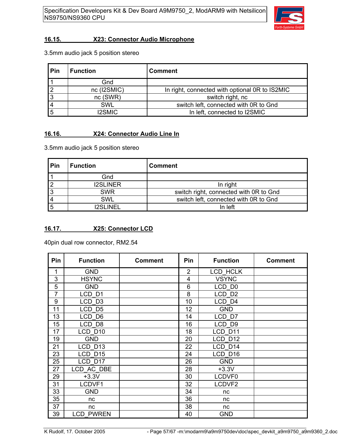

### **16.15. X23: Connector Audio Microphone**

3.5mm audio jack 5 position stereo

| Pin | <b>Function</b> | <b>Comment</b>                                 |
|-----|-----------------|------------------------------------------------|
|     | Gnd             |                                                |
|     | nc (I2SMIC)     | In right, connected with optional OR to IS2MIC |
| ົ   | nc(SWR)         | switch right, nc                               |
|     | <b>SWL</b>      | switch left, connected with OR to Gnd          |
|     | I2SMIC          | In left, connected to I2SMIC                   |

### **16.16. X24: Connector Audio Line In**

3.5mm audio jack 5 position stereo

| Pin | <b>Function</b> | <b>Comment</b>                         |
|-----|-----------------|----------------------------------------|
|     | Gnd             |                                        |
|     | <b>I2SLINER</b> | In right                               |
| 3   | <b>SWR</b>      | switch right, connected with OR to Gnd |
|     | <b>SWL</b>      | switch left, connected with 0R to Gnd  |
|     | I2SI INFI       | In left                                |

### **16.17. X25: Connector LCD**

40pin dual row connector, RM2.54

| <b>Pin</b> | <b>Function</b>   | <b>Comment</b> | <b>Pin</b> | <b>Function</b>   | <b>Comment</b> |
|------------|-------------------|----------------|------------|-------------------|----------------|
| 1          | <b>GND</b>        |                | 2          | <b>LCD HCLK</b>   |                |
| 3          | <b>HSYNC</b>      |                | 4          | <b>VSYNC</b>      |                |
| 5          | <b>GND</b>        |                | 6          | LCD D0            |                |
| 7          | LCD <sub>D1</sub> |                | 8          | LCD D2            |                |
| 9          | LCD <sub>D3</sub> |                | 10         | LCD <sub>D4</sub> |                |
| 11         | LCD D5            |                | 12         | <b>GND</b>        |                |
| 13         | LCD D6            |                | 14         | LCD D7            |                |
| 15         | LCD D8            |                | 16         | LCD D9            |                |
| 17         | LCD D10           |                | 18         | LCD D11           |                |
| 19         | <b>GND</b>        |                | 20         | LCD D12           |                |
| 21         | LCD D13           |                | 22         | LCD D14           |                |
| 23         | LCD D15           |                | 24         | LCD D16           |                |
| 25         | LCD D17           |                | 26         | <b>GND</b>        |                |
| 27         | LCD_AC_DBE        |                | 28         | $+3.3V$           |                |
| 29         | $+3.3V$           |                | 30         | LCDVF0            |                |
| 31         | LCDVF1            |                | 32         | LCDVF2            |                |
| 33         | <b>GND</b>        |                | 34         | nc                |                |
| 35         | nc                |                | 36         | nc                |                |
| 37         | nc                |                | 38         | nc                |                |
| 39         | <b>LCD PWREN</b>  |                | 40         | <b>GND</b>        |                |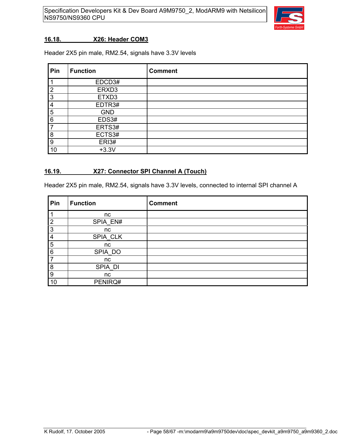

#### **16.18. X26: Header COM3**

Header 2X5 pin male, RM2.54, signals have 3.3V levels

| Pin            | <b>Function</b>    | <b>Comment</b> |
|----------------|--------------------|----------------|
|                | EDCD3#             |                |
| $\overline{2}$ | ERXD3              |                |
| 3              | ETXD3              |                |
| 4              | EDTR <sub>3#</sub> |                |
| 5              | <b>GND</b>         |                |
| 6              | EDS3#              |                |
| 7              | ERTS3#             |                |
| 8              | ECTS3#             |                |
| 9              | ERI3#              |                |
| 10             | $+3.3V$            |                |

#### **16.19. X27: Connector SPI Channel A (Touch)**

Header 2X5 pin male, RM2.54, signals have 3.3V levels, connected to internal SPI channel A

| Pin            | <b>Function</b> | <b>Comment</b> |
|----------------|-----------------|----------------|
|                | nc              |                |
| $\overline{2}$ | SPIA EN#        |                |
| 3              | nc              |                |
| 4              | SPIA_CLK        |                |
| 5              | nc              |                |
| 6              | SPIA_DO         |                |
| 7              | nc              |                |
| 8              | SPIA_DI         |                |
| 9              | nc              |                |
| 10             | PENIRQ#         |                |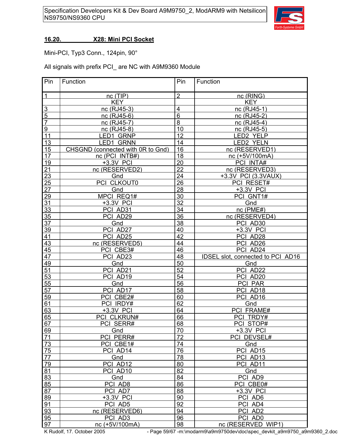

#### **16.20. X28: Mini PCI Socket**

Mini-PCI, Typ3 Conn., 124pin, 90°

All signals with prefix PCI\_ are NC with A9M9360 Module

| Pin             | Function                          | Pin            | Function                          |
|-----------------|-----------------------------------|----------------|-----------------------------------|
| $\mathbf{1}$    | nc(TIP)                           | $\overline{2}$ | nc (RING)                         |
|                 | <b>KEY</b>                        |                | <b>KEY</b>                        |
| $\overline{3}$  | nc (RJ45-3)                       | 4              | nc (RJ45-1)                       |
| $\overline{5}$  | nc (RJ45-6)                       | $\,$ 6 $\,$    | nc (RJ45-2)                       |
| $\overline{7}$  | nc (RJ45-7)                       | 8              | nc (RJ45-4)                       |
| $\overline{9}$  | nc (RJ45-8)                       | 10             | nc (RJ45-5)                       |
| 11              | LED1 GRNP                         | 12             | LED2 YELP                         |
| 13              | LED1 GRNN                         | 14             | LED2 YELN                         |
| 15              | CHSGND (connected with 0R to Gnd) | 16             | nc (RESERVED1)                    |
| 17              | nc (PCI INTB#)                    | 18             | nc (+5V/100mA)                    |
| 19              | +3.3V PCI                         | 20             | PCI INTA#                         |
| 21              | nc (RESERVED2)                    | 22             | nc (RESERVED3)                    |
| 23              | Gnd                               | 24             | +3.3V PCI (3.3VAUX)               |
| 25              | PCI CLKOUT0                       | 26             | PCI RESET#                        |
| 27              | Gnd                               | 28             | +3.3V PCI                         |
| 29              | MPCI REQ1#                        | 30             | PCI GNT1#                         |
| 31              | +3.3V PCI                         | 32             | Gnd                               |
| 33              | PCI AD31                          | 34             | nc (PME#)                         |
| 35              | PCI AD29                          | 36             | nc (RESERVED4)                    |
| 37              | Gnd                               | 38             | PCI AD30                          |
| 39              | PCI AD27                          | 40             | +3.3V PCI                         |
| 41              | PCI AD25                          | 42             | PCI AD28                          |
| 43              | nc (RESERVED5)                    | 44             | PCI AD26                          |
| 45              | PCI CBE3#                         | 46             | PCI AD24                          |
| 47              | PCI AD23                          | 48             | IDSEL slot, connected to PCI AD16 |
| 49              | Gnd                               | 50             | Gnd                               |
| 51              | PCI AD21                          | 52             | PCI AD22                          |
| 53              | PCI AD19                          | 54             | PCI AD20                          |
| 55              | Gnd                               | 56             | PCI PAR                           |
| 57              | PCI AD17                          | 58             | PCI AD18                          |
| 59              | PCI CBE2#                         | 60             | PCI AD16                          |
| 61              | PCI IRDY#                         | 62             | Gnd                               |
| 63              | +3.3V PCI                         | 64             | PCI FRAME#                        |
| 65              | PCI CLKRUN#                       | 66             | PCI TRDY#                         |
| 67              | PCI SERR#                         | 68             | PCI STOP#                         |
| 69              | Gnd                               | 70             | +3.3V PCI                         |
| 71              | PCI PERR#                         | 72             | PCI DEVSEL#                       |
| 73              | PCI CBE1#                         | 74             | Gnd                               |
| 75              | PCI AD14                          | 76             | PCI AD15                          |
| $\overline{77}$ | Gnd                               | 78             | PCI AD13                          |
| 79              | PCI AD12                          | 80             | PCI AD11                          |
| 81              | PCI AD10                          | 82             | Gnd                               |
| 83              | Gnd                               | 84             | PCI AD9                           |
| 85              | PCI AD8                           | 86             | PCI CBE0#                         |
| 87              | PCI AD7                           | 88             | +3.3V PCI                         |
| 89              | +3.3V PCI                         | 90             | PCI AD6                           |
| 91              | PCI AD5                           | 92             | PCI AD4                           |
| 93              | nc (RESERVED6)                    | 94             | PCI AD2                           |
| 95              | PCI AD3                           | 96             | PCI AD0                           |
| 97              | nc (+5V/100mA)                    | 98             | nc (RESERVED WIP1)                |

K Rudolf, 17. October 2005 - Page 59/67 -m:\modarm9\a9m9750dev\doc\spec\_devkit\_a9m9750\_a9m9360\_2.doc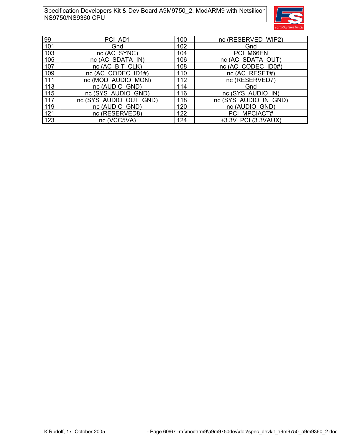

| 99    | PCI AD1                | 100 | nc (RESERVED WIP2)    |
|-------|------------------------|-----|-----------------------|
| 101   | Gnd                    | 102 | Gnd                   |
| 103   | nc (AC SYNC)           | 104 | PCI M66EN             |
| $105$ | nc (AC SDATA IN)       | 106 | nc (AC SDATA OUT)     |
| 107   | nc (AC BIT CLK)        | 108 | nc (AC CODEC ID0#)    |
| 109   | nc (AC CODEC ID1#)     | 110 | nc (AC RESET#)        |
| 111   | nc (MOD AUDIO MON)     | 112 | nc (RESERVED7)        |
| 113   | nc (AUDIO GND)         | 114 | Gnd                   |
| 115   | nc (SYS AUDIO GND)     | 116 | nc (SYS_AUDIO_IN)     |
| 117   | nc (SYS AUDIO OUT GND) | 118 | nc (SYS AUDIO IN GND) |
| 119   | nc (AUDIO GND)         | 120 | nc (AUDIO GND)        |
| 121   | nc (RESERVED8)         | 122 | PCI MPCIACT#          |
| 123   | nc (VCC5VA)            | 124 | +3.3V PCI (3.3VAUX)   |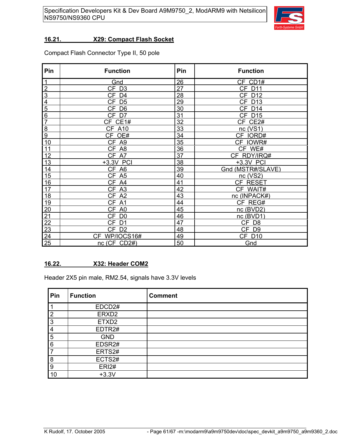

### **16.21. X29: Compact Flash Socket**

Compact Flash Connector Type II, 50 pole

| Pin                     | <b>Function</b>     | Pin | <b>Function</b>   |
|-------------------------|---------------------|-----|-------------------|
| $\mathbf 1$             | Gnd                 | 26  | $CF$ $CD1#$       |
| $\overline{2}$          | $CF$ D <sub>3</sub> | 27  | <b>CF D11</b>     |
| $\overline{3}$          | CF D4               | 28  | CF D12            |
| $\overline{\mathbf{4}}$ | CF D5               | 29  | CF D13            |
| $\overline{5}$          | CF D6               | 30  | <b>CF D14</b>     |
| $6\phantom{1}6$         | CF D7               | 31  | <b>CF D15</b>     |
| $\overline{7}$          | CF CE1#             | 32  | CF CE2#           |
| 8                       | <b>CF A10</b>       | 33  | nc(VS1)           |
| 9                       | CF OE#              | 34  | CF IORD#          |
| 10                      | CF A9               | 35  | CF IOWR#          |
| 11                      | CF_A8               | 36  | CF WE#            |
| 12                      | CF A7               | 37  | CF RDY/IRQ#       |
| 13                      | +3.3V PCI           | 38  | +3.3V PCI         |
| 14                      | CF A6               | 39  | Gnd (MSTR#/SLAVE) |
| 15                      | CF A5               | 40  | $nc$ (VS2)        |
| 16                      | CF A4               | 41  | CF RESET          |
| 17                      | CF A3               | 42  | CF WAIT#          |
| 18                      | CF A2               | 43  | nc (INPACK#)      |
| 19                      | CF A1               | 44  | CF REG#           |
| 20                      | CF A0               | 45  | nc (BVD2)         |
| 21                      | CF D0               | 46  | nc(BVD1)          |
| 22                      | CF D1               | 47  | CF D8             |
| 23                      | CF D <sub>2</sub>   | 48  | CF D9             |
| 24                      | CF WP/IOCS16#       | 49  | <b>CF D10</b>     |
| 25                      | nc (CF CD2#)        | 50  | Gnd               |

### **16.22. X32: Header COM2**

Header 2X5 pin male, RM2.54, signals have 3.3V levels

| Pin            | <b>Function</b>    | <b>Comment</b> |
|----------------|--------------------|----------------|
|                | EDCD <sub>2#</sub> |                |
| $\overline{2}$ | ERXD <sub>2</sub>  |                |
| 3              | ETXD <sub>2</sub>  |                |
| $\overline{4}$ | EDTR <sub>2#</sub> |                |
| 5              | <b>GND</b>         |                |
| 6              | EDSR <sub>2#</sub> |                |
| $\overline{7}$ | ERTS2#             |                |
| 8              | ECTS2#             |                |
| 9              | <b>ERI2#</b>       |                |
| 10             | $+3.3V$            |                |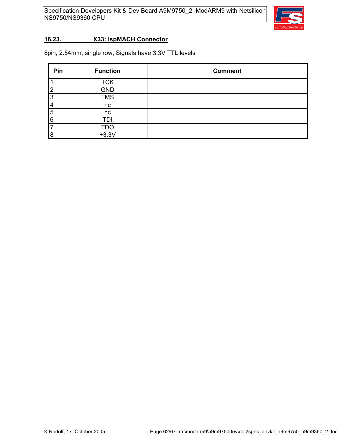

#### **16.23. X33: ispMACH Connector**

8pin, 2.54mm, single row, Signals have 3.3V TTL levels

| Pin            | <b>Function</b> | <b>Comment</b> |
|----------------|-----------------|----------------|
|                | <b>TCK</b>      |                |
| $\overline{2}$ | <b>GND</b>      |                |
| 3              | <b>TMS</b>      |                |
|                | nc              |                |
| 5              | nc              |                |
| 6              | TDI             |                |
|                | <b>TDO</b>      |                |
| 8              | $+3.3V$         |                |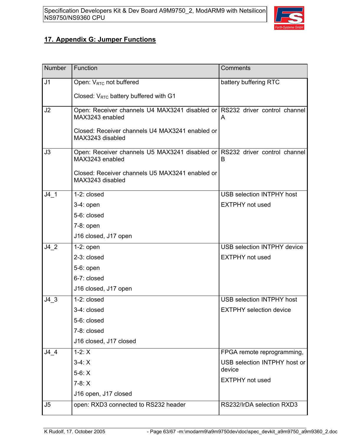

### **17. Appendix G: Jumper Functions**

| <b>Number</b>  | Function                                                                                       | Comments                           |
|----------------|------------------------------------------------------------------------------------------------|------------------------------------|
| J <sub>1</sub> | Open: $V_{\text{RTC}}$ not buffered                                                            | battery buffering RTC              |
|                | Closed: $V_{RTC}$ battery buffered with G1                                                     |                                    |
| J2             | Open: Receiver channels U4 MAX3241 disabled or RS232 driver control channel<br>MAX3243 enabled | A                                  |
|                | Closed: Receiver channels U4 MAX3241 enabled or<br>MAX3243 disabled                            |                                    |
| J3             | Open: Receiver channels U5 MAX3241 disabled or RS232 driver control channel<br>MAX3243 enabled | B                                  |
|                | Closed: Receiver channels U5 MAX3241 enabled or<br>MAX3243 disabled                            |                                    |
| $J4$ 1         | 1-2: closed                                                                                    | <b>USB selection INTPHY host</b>   |
|                | 3-4: open                                                                                      | <b>EXTPHY</b> not used             |
|                | 5-6: closed                                                                                    |                                    |
|                | $7-8:$ open                                                                                    |                                    |
|                | J16 closed, J17 open                                                                           |                                    |
| J42            | $1-2:$ open                                                                                    | <b>USB selection INTPHY device</b> |
|                | 2-3: closed                                                                                    | <b>EXTPHY</b> not used             |
|                | 5-6: open                                                                                      |                                    |
|                | 6-7: closed                                                                                    |                                    |
|                | J16 closed, J17 open                                                                           |                                    |
| $J4$ 3         | 1-2: closed                                                                                    | <b>USB selection INTPHY host</b>   |
|                | 3-4: closed                                                                                    | <b>EXTPHY</b> selection device     |
|                | 5-6: closed                                                                                    |                                    |
|                | 7-8: closed                                                                                    |                                    |
|                | J16 closed, J17 closed                                                                         |                                    |
| J4 4           | $1-2: X$                                                                                       | FPGA remote reprogramming,         |
|                | $3-4: X$                                                                                       | USB selection INTPHY host or       |
|                | $5-6: X$                                                                                       | device                             |
|                | $7-8: X$                                                                                       | <b>EXTPHY</b> not used             |
|                | J16 open, J17 closed                                                                           |                                    |
| J5             | open: RXD3 connected to RS232 header                                                           | RS232/IrDA selection RXD3          |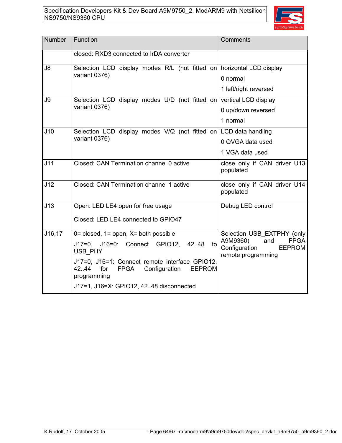

| <b>Number</b> | Function                                                                                                                       | Comments                                                                               |
|---------------|--------------------------------------------------------------------------------------------------------------------------------|----------------------------------------------------------------------------------------|
|               | closed: RXD3 connected to IrDA converter                                                                                       |                                                                                        |
| J8            | Selection LCD display modes R/L (not fitted on   horizontal LCD display                                                        |                                                                                        |
|               | variant 0376)                                                                                                                  | 0 normal                                                                               |
|               |                                                                                                                                | 1 left/right reversed                                                                  |
| J9            | Selection LCD display modes $U/D$ (not fitted on vertical LCD display                                                          |                                                                                        |
|               | variant 0376)                                                                                                                  | 0 up/down reversed                                                                     |
|               |                                                                                                                                | 1 normal                                                                               |
| J10           | Selection LCD display modes V/Q (not fitted on LCD data handling                                                               |                                                                                        |
|               | variant 0376)                                                                                                                  | 0 QVGA data used                                                                       |
|               |                                                                                                                                | 1 VGA data used                                                                        |
| J11           | Closed: CAN Termination channel 0 active                                                                                       | close only if CAN driver U13<br>populated                                              |
| J12           | Closed: CAN Termination channel 1 active                                                                                       | close only if CAN driver U14<br>populated                                              |
| J13           | Open: LED LE4 open for free usage                                                                                              | Debug LED control                                                                      |
|               | Closed: LED LE4 connected to GPIO47                                                                                            |                                                                                        |
| J16,17        | $0 = closed$ , 1 = open, $X = both possible$                                                                                   | Selection USB_EXTPHY (only                                                             |
|               | J17=0, J16=0: Connect GPIO12, 4248<br>to<br>USB PHY                                                                            | A9M9360)<br><b>FPGA</b><br>and<br>Configuration<br><b>EEPROM</b><br>remote programming |
|               | J17=0, J16=1: Connect remote interface GPIO12,<br><b>EEPROM</b><br>42.44<br>for<br><b>FPGA</b><br>Configuration<br>programming |                                                                                        |
|               | J17=1, J16=X: GPIO12, 4248 disconnected                                                                                        |                                                                                        |
|               |                                                                                                                                |                                                                                        |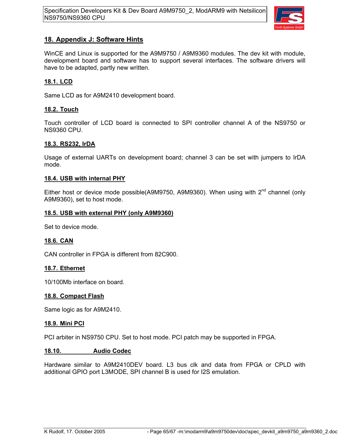

### **18. Appendix J: Software Hints**

WinCE and Linux is supported for the A9M9750 / A9M9360 modules. The dev kit with module, development board and software has to support several interfaces. The software drivers will have to be adapted, partly new written.

### **18.1. LCD**

Same LCD as for A9M2410 development board.

#### **18.2. Touch**

Touch controller of LCD board is connected to SPI controller channel A of the NS9750 or NS9360 CPU.

#### **18.3. RS232, IrDA**

Usage of external UARTs on development board; channel 3 can be set with jumpers to IrDA mode.

#### **18.4. USB with internal PHY**

Either host or device mode possible(A9M9750, A9M9360). When using with  $2^{nd}$  channel (only A9M9360), set to host mode.

#### **18.5. USB with external PHY (only A9M9360)**

Set to device mode.

#### **18.6. CAN**

CAN controller in FPGA is different from 82C900.

#### **18.7. Ethernet**

10/100Mb interface on board.

#### **18.8. Compact Flash**

Same logic as for A9M2410.

#### **18.9. Mini PCI**

PCI arbiter in NS9750 CPU. Set to host mode. PCI patch may be supported in FPGA.

#### **18.10. Audio Codec**

Hardware similar to A9M2410DEV board. L3 bus clk and data from FPGA or CPLD with additional GPIO port L3MODE, SPI channel B is used for I2S emulation.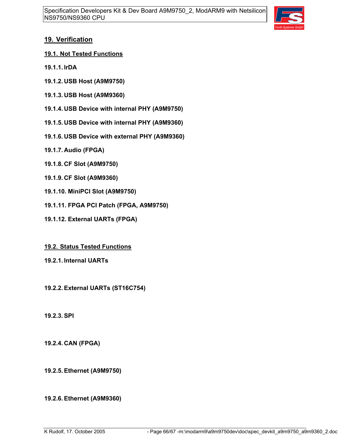

### **19. Verification**

- **19.1. Not Tested Functions**
- **19.1.1. IrDA**
- **19.1.2. USB Host (A9M9750)**
- **19.1.3. USB Host (A9M9360)**
- **19.1.4. USB Device with internal PHY (A9M9750)**
- **19.1.5. USB Device with internal PHY (A9M9360)**
- **19.1.6. USB Device with external PHY (A9M9360)**
- **19.1.7. Audio (FPGA)**
- **19.1.8. CF Slot (A9M9750)**
- **19.1.9. CF Slot (A9M9360)**
- **19.1.10. MiniPCI Slot (A9M9750)**
- **19.1.11. FPGA PCI Patch (FPGA, A9M9750)**
- **19.1.12. External UARTs (FPGA)**
- **19.2. Status Tested Functions**
- **19.2.1. Internal UARTs**

**19.2.2. External UARTs (ST16C754)**

**19.2.3. SPI**

**19.2.4. CAN (FPGA)**

**19.2.5. Ethernet (A9M9750)**

**19.2.6. Ethernet (A9M9360)**